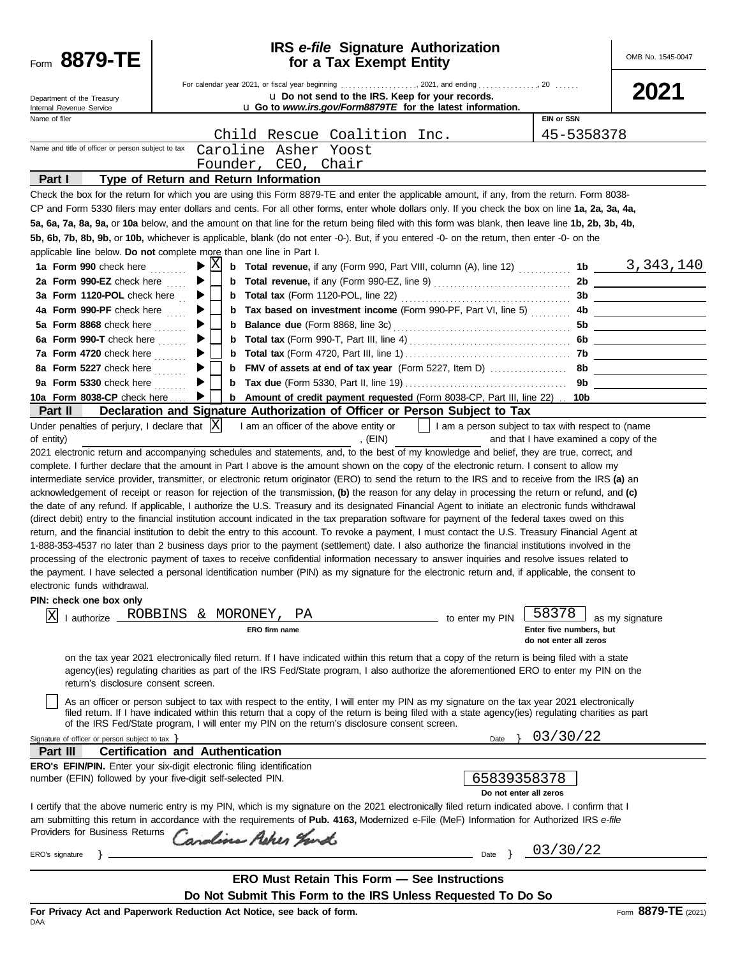| Form 8879-TE                                                                                                        | <b>IRS</b> e-file Signature Authorization<br>for a Tax Exempt Entity                                                                                                                                                                                                                                                                                                                                                                                                                                                                                                                                                                                                                                                                                                                                                                                                                                                                                                                                                                                                                                                                                                                                                                                                                                                                                                                                                                                                                                                                                                                                                                                                                                                                                                                                                                                                                                                                                                                                                                                                                                                                                                                                                                                                                              |                                                                                                                         | OMB No. 1545-0047   |
|---------------------------------------------------------------------------------------------------------------------|---------------------------------------------------------------------------------------------------------------------------------------------------------------------------------------------------------------------------------------------------------------------------------------------------------------------------------------------------------------------------------------------------------------------------------------------------------------------------------------------------------------------------------------------------------------------------------------------------------------------------------------------------------------------------------------------------------------------------------------------------------------------------------------------------------------------------------------------------------------------------------------------------------------------------------------------------------------------------------------------------------------------------------------------------------------------------------------------------------------------------------------------------------------------------------------------------------------------------------------------------------------------------------------------------------------------------------------------------------------------------------------------------------------------------------------------------------------------------------------------------------------------------------------------------------------------------------------------------------------------------------------------------------------------------------------------------------------------------------------------------------------------------------------------------------------------------------------------------------------------------------------------------------------------------------------------------------------------------------------------------------------------------------------------------------------------------------------------------------------------------------------------------------------------------------------------------------------------------------------------------------------------------------------------------|-------------------------------------------------------------------------------------------------------------------------|---------------------|
| Department of the Treasury<br>Internal Revenue Service                                                              | u Do not send to the IRS. Keep for your records.<br>u Go to www.irs.gov/Form8879TE for the latest information.                                                                                                                                                                                                                                                                                                                                                                                                                                                                                                                                                                                                                                                                                                                                                                                                                                                                                                                                                                                                                                                                                                                                                                                                                                                                                                                                                                                                                                                                                                                                                                                                                                                                                                                                                                                                                                                                                                                                                                                                                                                                                                                                                                                    |                                                                                                                         | 2021                |
| Name of filer                                                                                                       |                                                                                                                                                                                                                                                                                                                                                                                                                                                                                                                                                                                                                                                                                                                                                                                                                                                                                                                                                                                                                                                                                                                                                                                                                                                                                                                                                                                                                                                                                                                                                                                                                                                                                                                                                                                                                                                                                                                                                                                                                                                                                                                                                                                                                                                                                                   | <b>EIN or SSN</b>                                                                                                       |                     |
|                                                                                                                     | Child Rescue Coalition Inc.                                                                                                                                                                                                                                                                                                                                                                                                                                                                                                                                                                                                                                                                                                                                                                                                                                                                                                                                                                                                                                                                                                                                                                                                                                                                                                                                                                                                                                                                                                                                                                                                                                                                                                                                                                                                                                                                                                                                                                                                                                                                                                                                                                                                                                                                       | 45-5358378                                                                                                              |                     |
| Name and title of officer or person subject to tax                                                                  | Caroline Asher Yoost                                                                                                                                                                                                                                                                                                                                                                                                                                                                                                                                                                                                                                                                                                                                                                                                                                                                                                                                                                                                                                                                                                                                                                                                                                                                                                                                                                                                                                                                                                                                                                                                                                                                                                                                                                                                                                                                                                                                                                                                                                                                                                                                                                                                                                                                              |                                                                                                                         |                     |
|                                                                                                                     | Founder, CEO, Chair                                                                                                                                                                                                                                                                                                                                                                                                                                                                                                                                                                                                                                                                                                                                                                                                                                                                                                                                                                                                                                                                                                                                                                                                                                                                                                                                                                                                                                                                                                                                                                                                                                                                                                                                                                                                                                                                                                                                                                                                                                                                                                                                                                                                                                                                               |                                                                                                                         |                     |
| Part I                                                                                                              | Type of Return and Return Information                                                                                                                                                                                                                                                                                                                                                                                                                                                                                                                                                                                                                                                                                                                                                                                                                                                                                                                                                                                                                                                                                                                                                                                                                                                                                                                                                                                                                                                                                                                                                                                                                                                                                                                                                                                                                                                                                                                                                                                                                                                                                                                                                                                                                                                             |                                                                                                                         |                     |
|                                                                                                                     | Check the box for the return for which you are using this Form 8879-TE and enter the applicable amount, if any, from the return. Form 8038-<br>CP and Form 5330 filers may enter dollars and cents. For all other forms, enter whole dollars only. If you check the box on line 1a, 2a, 3a, 4a,<br>5a, 6a, 7a, 8a, 9a, or 10a below, and the amount on that line for the return being filed with this form was blank, then leave line 1b, 2b, 3b, 4b,                                                                                                                                                                                                                                                                                                                                                                                                                                                                                                                                                                                                                                                                                                                                                                                                                                                                                                                                                                                                                                                                                                                                                                                                                                                                                                                                                                                                                                                                                                                                                                                                                                                                                                                                                                                                                                             |                                                                                                                         |                     |
|                                                                                                                     | 5b, 6b, 7b, 8b, 9b, or 10b, whichever is applicable, blank (do not enter -0-). But, if you entered -0- on the return, then enter -0- on the                                                                                                                                                                                                                                                                                                                                                                                                                                                                                                                                                                                                                                                                                                                                                                                                                                                                                                                                                                                                                                                                                                                                                                                                                                                                                                                                                                                                                                                                                                                                                                                                                                                                                                                                                                                                                                                                                                                                                                                                                                                                                                                                                       |                                                                                                                         |                     |
|                                                                                                                     | applicable line below. Do not complete more than one line in Part I.                                                                                                                                                                                                                                                                                                                                                                                                                                                                                                                                                                                                                                                                                                                                                                                                                                                                                                                                                                                                                                                                                                                                                                                                                                                                                                                                                                                                                                                                                                                                                                                                                                                                                                                                                                                                                                                                                                                                                                                                                                                                                                                                                                                                                              |                                                                                                                         |                     |
| 1a Form 990 check here                                                                                              | ΙX<br><b>b</b> Total revenue, if any (Form 990, Part VIII, column (A), line 12)  1b $\frac{3,343,140}{\cdots}$<br>▶                                                                                                                                                                                                                                                                                                                                                                                                                                                                                                                                                                                                                                                                                                                                                                                                                                                                                                                                                                                                                                                                                                                                                                                                                                                                                                                                                                                                                                                                                                                                                                                                                                                                                                                                                                                                                                                                                                                                                                                                                                                                                                                                                                               |                                                                                                                         |                     |
| 2a Form 990-EZ check here                                                                                           | ▶<br>b                                                                                                                                                                                                                                                                                                                                                                                                                                                                                                                                                                                                                                                                                                                                                                                                                                                                                                                                                                                                                                                                                                                                                                                                                                                                                                                                                                                                                                                                                                                                                                                                                                                                                                                                                                                                                                                                                                                                                                                                                                                                                                                                                                                                                                                                                            |                                                                                                                         |                     |
| 3a Form 1120-POL check here                                                                                         | ▶<br>b                                                                                                                                                                                                                                                                                                                                                                                                                                                                                                                                                                                                                                                                                                                                                                                                                                                                                                                                                                                                                                                                                                                                                                                                                                                                                                                                                                                                                                                                                                                                                                                                                                                                                                                                                                                                                                                                                                                                                                                                                                                                                                                                                                                                                                                                                            |                                                                                                                         |                     |
| 4a Form 990-PF check here                                                                                           | b                                                                                                                                                                                                                                                                                                                                                                                                                                                                                                                                                                                                                                                                                                                                                                                                                                                                                                                                                                                                                                                                                                                                                                                                                                                                                                                                                                                                                                                                                                                                                                                                                                                                                                                                                                                                                                                                                                                                                                                                                                                                                                                                                                                                                                                                                                 |                                                                                                                         |                     |
| 5a Form 8868 check here                                                                                             | <b>Balance due</b> (Form 8868, line 3c) <b>CONSERVING SET ASSESS</b> 50<br>b                                                                                                                                                                                                                                                                                                                                                                                                                                                                                                                                                                                                                                                                                                                                                                                                                                                                                                                                                                                                                                                                                                                                                                                                                                                                                                                                                                                                                                                                                                                                                                                                                                                                                                                                                                                                                                                                                                                                                                                                                                                                                                                                                                                                                      |                                                                                                                         |                     |
| 6a Form 990-T check here $\ldots$                                                                                   | b                                                                                                                                                                                                                                                                                                                                                                                                                                                                                                                                                                                                                                                                                                                                                                                                                                                                                                                                                                                                                                                                                                                                                                                                                                                                                                                                                                                                                                                                                                                                                                                                                                                                                                                                                                                                                                                                                                                                                                                                                                                                                                                                                                                                                                                                                                 |                                                                                                                         |                     |
| 7a Form 4720 check here                                                                                             | b                                                                                                                                                                                                                                                                                                                                                                                                                                                                                                                                                                                                                                                                                                                                                                                                                                                                                                                                                                                                                                                                                                                                                                                                                                                                                                                                                                                                                                                                                                                                                                                                                                                                                                                                                                                                                                                                                                                                                                                                                                                                                                                                                                                                                                                                                                 |                                                                                                                         |                     |
| 8a Form 5227 check here                                                                                             | b                                                                                                                                                                                                                                                                                                                                                                                                                                                                                                                                                                                                                                                                                                                                                                                                                                                                                                                                                                                                                                                                                                                                                                                                                                                                                                                                                                                                                                                                                                                                                                                                                                                                                                                                                                                                                                                                                                                                                                                                                                                                                                                                                                                                                                                                                                 |                                                                                                                         |                     |
| 9a Form 5330 check here                                                                                             | b                                                                                                                                                                                                                                                                                                                                                                                                                                                                                                                                                                                                                                                                                                                                                                                                                                                                                                                                                                                                                                                                                                                                                                                                                                                                                                                                                                                                                                                                                                                                                                                                                                                                                                                                                                                                                                                                                                                                                                                                                                                                                                                                                                                                                                                                                                 |                                                                                                                         |                     |
| 10a Form 8038-CP check here                                                                                         | <b>b</b> Amount of credit payment requested (Form 8038-CP, Part III, line 22) . 10b                                                                                                                                                                                                                                                                                                                                                                                                                                                                                                                                                                                                                                                                                                                                                                                                                                                                                                                                                                                                                                                                                                                                                                                                                                                                                                                                                                                                                                                                                                                                                                                                                                                                                                                                                                                                                                                                                                                                                                                                                                                                                                                                                                                                               |                                                                                                                         |                     |
| <b>Part II</b><br>Under penalties of perjury, I declare that $ X $                                                  | Declaration and Signature Authorization of Officer or Person Subject to Tax<br>1 am an officer of the above entity or $\vert \vert$ 1 am a person subject to tax with respect to (name                                                                                                                                                                                                                                                                                                                                                                                                                                                                                                                                                                                                                                                                                                                                                                                                                                                                                                                                                                                                                                                                                                                                                                                                                                                                                                                                                                                                                                                                                                                                                                                                                                                                                                                                                                                                                                                                                                                                                                                                                                                                                                            |                                                                                                                         |                     |
| of entity)<br>electronic funds withdrawal.<br>PIN: check one box only<br> X <br>return's disclosure consent screen. | , (EIN)<br>2021 electronic return and accompanying schedules and statements, and, to the best of my knowledge and belief, they are true, correct, and<br>complete. I further declare that the amount in Part I above is the amount shown on the copy of the electronic return. I consent to allow my<br>intermediate service provider, transmitter, or electronic return originator (ERO) to send the return to the IRS and to receive from the IRS (a) an<br>acknowledgement of receipt or reason for rejection of the transmission, (b) the reason for any delay in processing the return or refund, and (c)<br>the date of any refund. If applicable, I authorize the U.S. Treasury and its designated Financial Agent to initiate an electronic funds withdrawal<br>(direct debit) entry to the financial institution account indicated in the tax preparation software for payment of the federal taxes owed on this<br>return, and the financial institution to debit the entry to this account. To revoke a payment, I must contact the U.S. Treasury Financial Agent at<br>1-888-353-4537 no later than 2 business days prior to the payment (settlement) date. I also authorize the financial institutions involved in the<br>processing of the electronic payment of taxes to receive confidential information necessary to answer inquiries and resolve issues related to<br>the payment. I have selected a personal identification number (PIN) as my signature for the electronic return and, if applicable, the consent to<br>I authorize ROBBINS & MORONEY,<br>РA<br>ERO firm name<br>on the tax year 2021 electronically filed return. If I have indicated within this return that a copy of the return is being filed with a state<br>agency(ies) regulating charities as part of the IRS Fed/State program, I also authorize the aforementioned ERO to enter my PIN on the<br>As an officer or person subject to tax with respect to the entity, I will enter my PIN as my signature on the tax year 2021 electronically<br>filed return. If I have indicated within this return that a copy of the return is being filed with a state agency(ies) regulating charities as part<br>of the IRS Fed/State program, I will enter my PIN on the return's disclosure consent screen. | and that I have examined a copy of the<br>58378<br>to enter my PIN<br>Enter five numbers, but<br>do not enter all zeros | as my signature     |
| Signature of officer or person subject to tax $\}$                                                                  |                                                                                                                                                                                                                                                                                                                                                                                                                                                                                                                                                                                                                                                                                                                                                                                                                                                                                                                                                                                                                                                                                                                                                                                                                                                                                                                                                                                                                                                                                                                                                                                                                                                                                                                                                                                                                                                                                                                                                                                                                                                                                                                                                                                                                                                                                                   | 03/30/22<br>Date                                                                                                        |                     |
| Part III                                                                                                            | <b>Certification and Authentication</b>                                                                                                                                                                                                                                                                                                                                                                                                                                                                                                                                                                                                                                                                                                                                                                                                                                                                                                                                                                                                                                                                                                                                                                                                                                                                                                                                                                                                                                                                                                                                                                                                                                                                                                                                                                                                                                                                                                                                                                                                                                                                                                                                                                                                                                                           |                                                                                                                         |                     |
|                                                                                                                     | ERO's EFIN/PIN. Enter your six-digit electronic filing identification<br>number (EFIN) followed by your five-digit self-selected PIN.                                                                                                                                                                                                                                                                                                                                                                                                                                                                                                                                                                                                                                                                                                                                                                                                                                                                                                                                                                                                                                                                                                                                                                                                                                                                                                                                                                                                                                                                                                                                                                                                                                                                                                                                                                                                                                                                                                                                                                                                                                                                                                                                                             | 65839358378<br>Do not enter all zeros                                                                                   |                     |
|                                                                                                                     | I certify that the above numeric entry is my PIN, which is my signature on the 2021 electronically filed return indicated above. I confirm that I                                                                                                                                                                                                                                                                                                                                                                                                                                                                                                                                                                                                                                                                                                                                                                                                                                                                                                                                                                                                                                                                                                                                                                                                                                                                                                                                                                                                                                                                                                                                                                                                                                                                                                                                                                                                                                                                                                                                                                                                                                                                                                                                                 |                                                                                                                         |                     |
| Providers for Business Returns                                                                                      | am submitting this return in accordance with the requirements of Pub. 4163, Modernized e-File (MeF) Information for Authorized IRS e-file<br>andina Asher yand                                                                                                                                                                                                                                                                                                                                                                                                                                                                                                                                                                                                                                                                                                                                                                                                                                                                                                                                                                                                                                                                                                                                                                                                                                                                                                                                                                                                                                                                                                                                                                                                                                                                                                                                                                                                                                                                                                                                                                                                                                                                                                                                    |                                                                                                                         |                     |
| ERO's signature                                                                                                     |                                                                                                                                                                                                                                                                                                                                                                                                                                                                                                                                                                                                                                                                                                                                                                                                                                                                                                                                                                                                                                                                                                                                                                                                                                                                                                                                                                                                                                                                                                                                                                                                                                                                                                                                                                                                                                                                                                                                                                                                                                                                                                                                                                                                                                                                                                   | 03/30/22<br>Date }                                                                                                      |                     |
|                                                                                                                     |                                                                                                                                                                                                                                                                                                                                                                                                                                                                                                                                                                                                                                                                                                                                                                                                                                                                                                                                                                                                                                                                                                                                                                                                                                                                                                                                                                                                                                                                                                                                                                                                                                                                                                                                                                                                                                                                                                                                                                                                                                                                                                                                                                                                                                                                                                   |                                                                                                                         |                     |
|                                                                                                                     | <b>ERO Must Retain This Form - See Instructions</b><br>Do Not Submit This Form to the IRS Unless Requested To Do So                                                                                                                                                                                                                                                                                                                                                                                                                                                                                                                                                                                                                                                                                                                                                                                                                                                                                                                                                                                                                                                                                                                                                                                                                                                                                                                                                                                                                                                                                                                                                                                                                                                                                                                                                                                                                                                                                                                                                                                                                                                                                                                                                                               |                                                                                                                         |                     |
|                                                                                                                     | For Privacy Act and Paperwork Reduction Act Notice, see back of form.                                                                                                                                                                                                                                                                                                                                                                                                                                                                                                                                                                                                                                                                                                                                                                                                                                                                                                                                                                                                                                                                                                                                                                                                                                                                                                                                                                                                                                                                                                                                                                                                                                                                                                                                                                                                                                                                                                                                                                                                                                                                                                                                                                                                                             |                                                                                                                         | Form 8879-TE (2021) |
| DAA                                                                                                                 |                                                                                                                                                                                                                                                                                                                                                                                                                                                                                                                                                                                                                                                                                                                                                                                                                                                                                                                                                                                                                                                                                                                                                                                                                                                                                                                                                                                                                                                                                                                                                                                                                                                                                                                                                                                                                                                                                                                                                                                                                                                                                                                                                                                                                                                                                                   |                                                                                                                         |                     |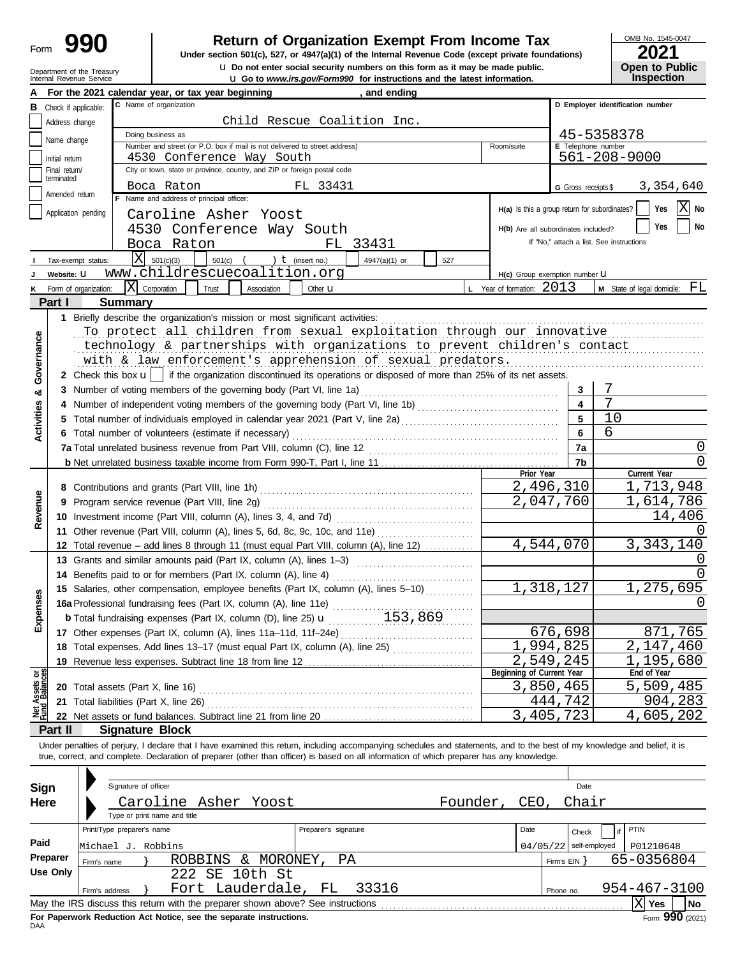| Form |  |
|------|--|
|------|--|

# **C Return of Organization Exempt From Income Tax**

Internal Revenue Service u **Go to** *www.irs.gov/Form990* **for instructions and the latest information. u** Do not enter social security numbers on this form as it may be made public. **Under section 501(c), 527, or 4947(a)(1) of the Internal Revenue Code (except private foundations)** OMB No. 1545-0047

| ---        |  |                       |  |  |  |  |  |
|------------|--|-----------------------|--|--|--|--|--|
|            |  | <b>Open to Public</b> |  |  |  |  |  |
|            |  |                       |  |  |  |  |  |
| Inspection |  |                       |  |  |  |  |  |

|                                | Department of the Treasury<br>Internal Revenue Service |                            |                                                                                                                                                                            |                      | Q Do not enter social security numbers on this form as it may be made public.<br><b>u</b> Go to www.irs.gov/Form990 for instructions and the latest information. |                                               |                     | Open to Public<br><b>Inspection</b>      |  |  |
|--------------------------------|--------------------------------------------------------|----------------------------|----------------------------------------------------------------------------------------------------------------------------------------------------------------------------|----------------------|------------------------------------------------------------------------------------------------------------------------------------------------------------------|-----------------------------------------------|---------------------|------------------------------------------|--|--|
|                                |                                                        |                            | For the 2021 calendar year, or tax year beginning                                                                                                                          |                      | , and ending                                                                                                                                                     |                                               |                     |                                          |  |  |
|                                | <b>B</b> Check if applicable:                          |                            | C Name of organization                                                                                                                                                     |                      |                                                                                                                                                                  |                                               |                     | D Employer identification number         |  |  |
|                                | Address change                                         |                            | Child Rescue Coalition Inc.                                                                                                                                                |                      |                                                                                                                                                                  |                                               |                     |                                          |  |  |
|                                | Name change                                            |                            | Doing business as                                                                                                                                                          |                      |                                                                                                                                                                  |                                               |                     | 45-5358378                               |  |  |
|                                |                                                        |                            | Number and street (or P.O. box if mail is not delivered to street address)                                                                                                 |                      |                                                                                                                                                                  | Room/suite                                    | E Telephone number  |                                          |  |  |
|                                | Initial return                                         |                            | 4530 Conference Way South                                                                                                                                                  |                      |                                                                                                                                                                  |                                               |                     | 561-208-9000                             |  |  |
|                                | Final return/<br>terminated                            |                            | City or town, state or province, country, and ZIP or foreign postal code                                                                                                   |                      |                                                                                                                                                                  |                                               |                     |                                          |  |  |
|                                | Amended return                                         |                            | Boca Raton                                                                                                                                                                 | FL 33431             |                                                                                                                                                                  |                                               | G Gross receipts \$ | 3,354,640                                |  |  |
|                                |                                                        |                            | F Name and address of principal officer:                                                                                                                                   |                      |                                                                                                                                                                  | H(a) Is this a group return for subordinates? |                     | Χ<br>Yes<br>No                           |  |  |
|                                | Application pending                                    |                            | Caroline Asher Yoost                                                                                                                                                       |                      |                                                                                                                                                                  |                                               |                     |                                          |  |  |
|                                |                                                        |                            | 4530 Conference Way South                                                                                                                                                  |                      |                                                                                                                                                                  | H(b) Are all subordinates included?           |                     | Yes<br><b>No</b>                         |  |  |
|                                |                                                        |                            | Boca Raton                                                                                                                                                                 |                      | FL 33431                                                                                                                                                         |                                               |                     | If "No," attach a list. See instructions |  |  |
|                                | Tax-exempt status:                                     | ΙXΙ                        | 501(c)(3)<br>501(c) $($ $)$ $($ $)$ $($ (insert no.)                                                                                                                       |                      | 4947(a)(1) or<br>527                                                                                                                                             |                                               |                     |                                          |  |  |
|                                | Website: U                                             |                            | www.childrescuecoalition.org                                                                                                                                               |                      |                                                                                                                                                                  | H(c) Group exemption number LI                |                     |                                          |  |  |
| ĸ                              | Form of organization:                                  |                            | $\overline{X}$ Corporation<br>Trust<br>Association                                                                                                                         | Other $\mathbf u$    |                                                                                                                                                                  | L Year of formation: 2013                     |                     | $M$ State of legal domicile: $FL$        |  |  |
|                                | Part I                                                 | <b>Summary</b>             |                                                                                                                                                                            |                      |                                                                                                                                                                  |                                               |                     |                                          |  |  |
|                                |                                                        |                            | 1 Briefly describe the organization's mission or most significant activities:                                                                                              |                      |                                                                                                                                                                  |                                               |                     |                                          |  |  |
|                                |                                                        |                            | To protect all children from sexual exploitation through our innovative                                                                                                    |                      |                                                                                                                                                                  |                                               |                     |                                          |  |  |
|                                |                                                        |                            | technology & partnerships with organizations to prevent children's contact                                                                                                 |                      |                                                                                                                                                                  |                                               |                     |                                          |  |  |
|                                |                                                        |                            | with & law enforcement's apprehension of sexual predators.                                                                                                                 |                      |                                                                                                                                                                  |                                               |                     |                                          |  |  |
| Governance                     |                                                        |                            | 2 Check this box $\mathbf{u}$   if the organization discontinued its operations or disposed of more than 25% of its net assets.                                            |                      |                                                                                                                                                                  |                                               |                     |                                          |  |  |
| න්                             |                                                        |                            | 3 Number of voting members of the governing body (Part VI, line 1a)                                                                                                        |                      |                                                                                                                                                                  |                                               | 3                   | 7                                        |  |  |
|                                |                                                        |                            |                                                                                                                                                                            |                      |                                                                                                                                                                  |                                               | 4                   | $\overline{7}$                           |  |  |
| <b>Activities</b>              |                                                        |                            |                                                                                                                                                                            |                      |                                                                                                                                                                  |                                               | 5                   | 10                                       |  |  |
|                                |                                                        |                            | 6 Total number of volunteers (estimate if necessary)                                                                                                                       |                      |                                                                                                                                                                  |                                               | 6                   | 6                                        |  |  |
|                                |                                                        |                            |                                                                                                                                                                            |                      |                                                                                                                                                                  |                                               | 7a                  | $\left( \right)$                         |  |  |
|                                |                                                        |                            |                                                                                                                                                                            |                      |                                                                                                                                                                  |                                               | 7b                  |                                          |  |  |
|                                |                                                        |                            |                                                                                                                                                                            |                      |                                                                                                                                                                  | Prior Year                                    |                     | Current Year                             |  |  |
|                                |                                                        |                            | 8 Contributions and grants (Part VIII, line 1h)                                                                                                                            |                      |                                                                                                                                                                  |                                               | 2,496,310           | 1,713,948                                |  |  |
| Revenue                        |                                                        |                            | 9 Program service revenue (Part VIII, line 2g)                                                                                                                             |                      |                                                                                                                                                                  |                                               | 2,047,760           | 1,614,786                                |  |  |
|                                |                                                        |                            | 10 Investment income (Part VIII, column (A), lines 3, 4, and 7d)                                                                                                           |                      |                                                                                                                                                                  |                                               |                     | 14,406                                   |  |  |
|                                |                                                        |                            | 11 Other revenue (Part VIII, column (A), lines 5, 6d, 8c, 9c, 10c, and 11e)                                                                                                |                      |                                                                                                                                                                  |                                               |                     |                                          |  |  |
|                                |                                                        |                            | 12 Total revenue - add lines 8 through 11 (must equal Part VIII, column (A), line 12)                                                                                      |                      |                                                                                                                                                                  |                                               | 4,544,070           | 3, 343, 140                              |  |  |
|                                |                                                        |                            | 13 Grants and similar amounts paid (Part IX, column (A), lines 1-3)                                                                                                        |                      | <u> 1986 - Johann Stoff, Amerikaansk kanton (</u>                                                                                                                |                                               |                     |                                          |  |  |
|                                |                                                        |                            | 14 Benefits paid to or for members (Part IX, column (A), line 4)                                                                                                           |                      |                                                                                                                                                                  |                                               |                     |                                          |  |  |
| nses                           |                                                        |                            | 15 Salaries, other compensation, employee benefits (Part IX, column (A), lines 5-10)                                                                                       |                      |                                                                                                                                                                  |                                               | 1,318,127           | 1,275,695                                |  |  |
|                                |                                                        |                            | 16a Professional fundraising fees (Part IX, column (A), line 11e)                                                                                                          |                      |                                                                                                                                                                  |                                               |                     | 0                                        |  |  |
| Exper                          |                                                        |                            | <b>b</b> Total fundraising expenses (Part IX, column (D), line 25) $\mathbf{u}$                                                                                            |                      | 153,869                                                                                                                                                          |                                               |                     |                                          |  |  |
|                                |                                                        |                            | 17 Other expenses (Part IX, column (A), lines 11a-11d, 11f-24e)                                                                                                            |                      |                                                                                                                                                                  |                                               | 676,698             | 871,765                                  |  |  |
|                                |                                                        |                            | 18 Total expenses. Add lines 13-17 (must equal Part IX, column (A), line 25)                                                                                               |                      |                                                                                                                                                                  |                                               | 1,994,825           | 2,147,460                                |  |  |
|                                |                                                        |                            | 19 Revenue less expenses. Subtract line 18 from line 12                                                                                                                    |                      |                                                                                                                                                                  | Beginning of Current Year                     | 2,549,245           | 1,195,680<br>End of Year                 |  |  |
| Net Assets or<br>Fund Balances |                                                        |                            |                                                                                                                                                                            |                      |                                                                                                                                                                  |                                               | 3,850,465           | 5,509,485                                |  |  |
|                                |                                                        |                            | 21 Total liabilities (Part X, line 26)                                                                                                                                     |                      |                                                                                                                                                                  |                                               | 444,742             | 904,283                                  |  |  |
|                                |                                                        |                            |                                                                                                                                                                            |                      |                                                                                                                                                                  |                                               | 3,405,723           | 4,605,202                                |  |  |
|                                | Part II                                                | <b>Signature Block</b>     |                                                                                                                                                                            |                      |                                                                                                                                                                  |                                               |                     |                                          |  |  |
|                                |                                                        |                            | Under penalties of periury, I declare that I have examined this return, including accompanying schedules and statements, and to the best of my knowledge and belief, it is |                      |                                                                                                                                                                  |                                               |                     |                                          |  |  |
|                                |                                                        |                            | true, correct, and complete. Declaration of preparer (other than officer) is based on all information of which preparer has any knowledge.                                 |                      |                                                                                                                                                                  |                                               |                     |                                          |  |  |
|                                |                                                        |                            |                                                                                                                                                                            |                      |                                                                                                                                                                  |                                               |                     |                                          |  |  |
| Sign                           |                                                        | Signature of officer       |                                                                                                                                                                            |                      |                                                                                                                                                                  |                                               | Date                |                                          |  |  |
|                                | Here                                                   |                            | Caroline Asher Yoost                                                                                                                                                       |                      |                                                                                                                                                                  | Founder,<br>CEO,                              | Chair               |                                          |  |  |
|                                |                                                        |                            | Type or print name and title                                                                                                                                               |                      |                                                                                                                                                                  |                                               |                     |                                          |  |  |
|                                |                                                        | Print/Type preparer's name |                                                                                                                                                                            | Preparer's signature |                                                                                                                                                                  | Date                                          | Check               | PTIN                                     |  |  |
| Paid                           |                                                        |                            |                                                                                                                                                                            |                      |                                                                                                                                                                  |                                               | self-employed       |                                          |  |  |
|                                | Preparer                                               | Michael J. Robbins         | ROBBINS & MORONEY,                                                                                                                                                         | ΡA                   |                                                                                                                                                                  | 04/05/22                                      |                     | P01210648<br>65-0356804                  |  |  |
|                                | <b>Use Only</b>                                        | Firm's name                | 222 SE 10th St                                                                                                                                                             |                      |                                                                                                                                                                  |                                               | Firm's EIN }        |                                          |  |  |
|                                |                                                        |                            | Fort Lauderdale,                                                                                                                                                           | FL                   | 33316                                                                                                                                                            |                                               |                     | 954-467-3100                             |  |  |
|                                |                                                        | Firm's address             | May the IRS discuss this return with the preparer shown above? See instructions                                                                                            |                      |                                                                                                                                                                  |                                               | Phone no.           | $ X $ Yes<br>No                          |  |  |
|                                |                                                        |                            |                                                                                                                                                                            |                      |                                                                                                                                                                  |                                               |                     |                                          |  |  |

| Sign                                           | Signature of officer                                                                                |                      |              |          | Date          |              |  |  |  |
|------------------------------------------------|-----------------------------------------------------------------------------------------------------|----------------------|--------------|----------|---------------|--------------|--|--|--|
| Here                                           | Caroline Asher Yoost                                                                                | Founder              | Chair<br>CEO |          |               |              |  |  |  |
|                                                | Type or print name and title                                                                        |                      |              |          |               |              |  |  |  |
|                                                | Print/Type preparer's name                                                                          | Preparer's signature |              | Date     | Check         | PTIN         |  |  |  |
| Paid                                           | Michael J. Robbins                                                                                  |                      |              | 04/05/22 | self-employed | P01210648    |  |  |  |
| Preparer                                       | ROBBINS & MORONEY,<br>Firm's name                                                                   | PA                   |              |          | Firm's EIN Y  | 65-0356804   |  |  |  |
| Use Only                                       | SE 10th St<br>2.2.2                                                                                 |                      |              |          |               |              |  |  |  |
| Fort Lauderdale, FL<br>33316<br>Firm's address |                                                                                                     |                      |              |          | Phone no.     | 954-467-3100 |  |  |  |
|                                                | May the IRS discuss this return with the preparer shown above? See instructions<br>No<br><b>Yes</b> |                      |              |          |               |              |  |  |  |
| <b>DAA</b>                                     | Form 990 (2021)<br>For Paperwork Reduction Act Notice, see the separate instructions.               |                      |              |          |               |              |  |  |  |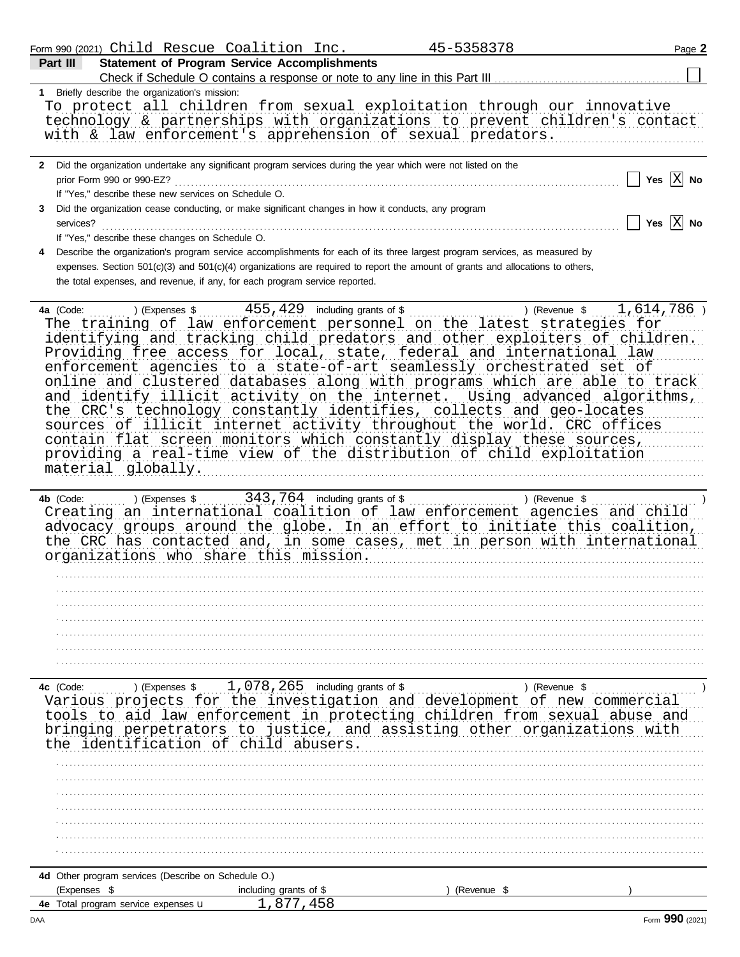|                |                                                | Form 990 (2021) Child Rescue Coalition Inc.                                                                                                                                                                                                                                                                                                                                                                                                                                                                                                                                                              | 45-5358378    | Page 2                                                                                                                                                  |
|----------------|------------------------------------------------|----------------------------------------------------------------------------------------------------------------------------------------------------------------------------------------------------------------------------------------------------------------------------------------------------------------------------------------------------------------------------------------------------------------------------------------------------------------------------------------------------------------------------------------------------------------------------------------------------------|---------------|---------------------------------------------------------------------------------------------------------------------------------------------------------|
| Part III       |                                                | <b>Statement of Program Service Accomplishments</b>                                                                                                                                                                                                                                                                                                                                                                                                                                                                                                                                                      |               |                                                                                                                                                         |
|                | 1 Briefly describe the organization's mission: |                                                                                                                                                                                                                                                                                                                                                                                                                                                                                                                                                                                                          |               |                                                                                                                                                         |
|                |                                                | To protect all children from sexual exploitation through our innovative<br>with & law enforcement's apprehension of sexual predators.                                                                                                                                                                                                                                                                                                                                                                                                                                                                    |               | technology & partnerships with organizations to prevent children's contact                                                                              |
|                | prior Form 990 or 990-EZ?                      | 2 Did the organization undertake any significant program services during the year which were not listed on the<br>If "Yes," describe these new services on Schedule O.                                                                                                                                                                                                                                                                                                                                                                                                                                   |               | Yes $\overline{X}$ No                                                                                                                                   |
| 3<br>services? |                                                | Did the organization cease conducting, or make significant changes in how it conducts, any program<br>If "Yes," describe these changes on Schedule O.                                                                                                                                                                                                                                                                                                                                                                                                                                                    |               | Yes $\overline{X}$ No                                                                                                                                   |
| 4              |                                                | Describe the organization's program service accomplishments for each of its three largest program services, as measured by<br>expenses. Section 501(c)(3) and 501(c)(4) organizations are required to report the amount of grants and allocations to others,<br>the total expenses, and revenue, if any, for each program service reported.                                                                                                                                                                                                                                                              |               |                                                                                                                                                         |
| 4a (Code:      | material globally.                             | The training of law enforcement personnel on the latest strategies for<br>identifying and tracking child predators and other exploiters of children.<br>Providing free access for local, state, federal and international law<br>enforcement agencies to a state-of-art seamlessly orchestrated set of<br>the CRC's technology constantly identifies, collects and geo-locates<br>sources of illicit internet activity throughout the world. CRC offices<br>contain flat screen monitors which constantly display these sources,<br>providing a real-time view of the distribution of child exploitation |               | online and clustered databases along with programs which are able to track<br>and identify illicit activity on the internet. Using advanced algorithms, |
| 4b (Code:      |                                                | Creating an international coalition of law enforcement agencies and child<br>advocacy groups around the globe. In an effort to initiate this coalition,<br>the CRC has contacted and, in some cases, met in person with international<br>organizations who share this mission.                                                                                                                                                                                                                                                                                                                           |               |                                                                                                                                                         |
|                |                                                |                                                                                                                                                                                                                                                                                                                                                                                                                                                                                                                                                                                                          |               |                                                                                                                                                         |
|                |                                                |                                                                                                                                                                                                                                                                                                                                                                                                                                                                                                                                                                                                          |               |                                                                                                                                                         |
| 4c (Code:      | $\sim$ (Expenses \$                            | $1,078,265$ including grants of \$<br>Various projects for the investigation and development of new commercial<br>tools to aid law enforcement in protecting children from sexual abuse and<br>bringing perpetrators to justice, and assisting other organizations with<br>the identification of child abusers.                                                                                                                                                                                                                                                                                          |               | ) (Revenue $\frac{1}{2}$                                                                                                                                |
|                |                                                |                                                                                                                                                                                                                                                                                                                                                                                                                                                                                                                                                                                                          |               |                                                                                                                                                         |
|                |                                                |                                                                                                                                                                                                                                                                                                                                                                                                                                                                                                                                                                                                          |               |                                                                                                                                                         |
| (Expenses \$   |                                                | 4d Other program services (Describe on Schedule O.)<br>including grants of \$                                                                                                                                                                                                                                                                                                                                                                                                                                                                                                                            | ) (Revenue \$ |                                                                                                                                                         |

 $\frac{1,877,458}{$ 

4e Total program service expenses u

Form 990 (2021)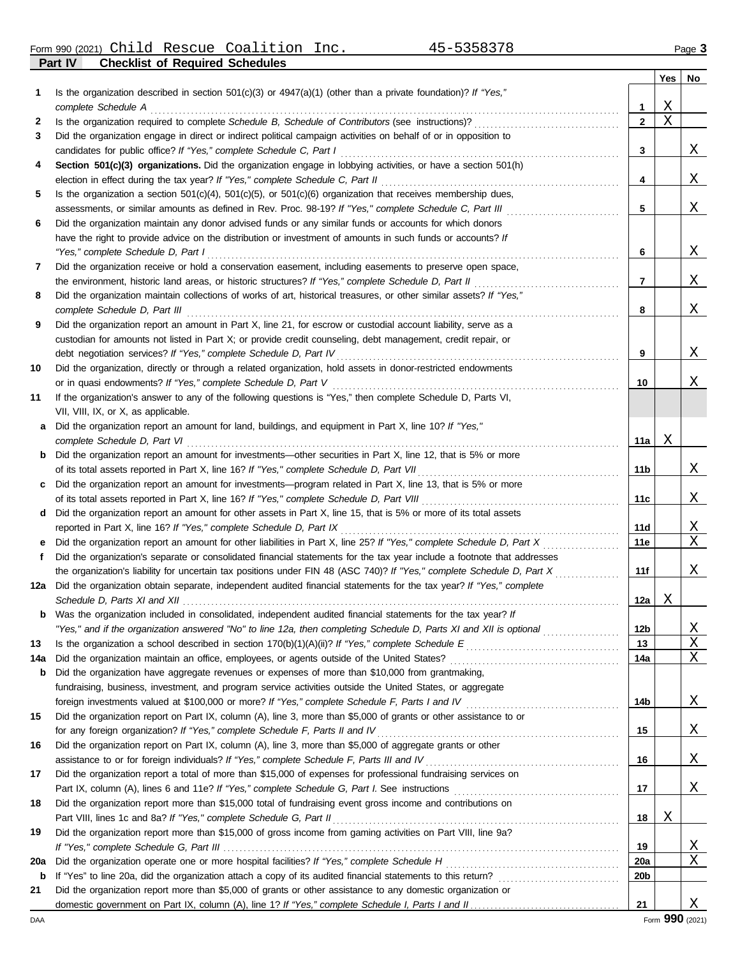Form 990 (2021) Page **3** Child Rescue Coalition Inc. 45-5358378

**Part IV Checklist of Required Schedules**

|     |                                                                                                                                                                                                                                               |                 | Yes | No |
|-----|-----------------------------------------------------------------------------------------------------------------------------------------------------------------------------------------------------------------------------------------------|-----------------|-----|----|
| 1   | Is the organization described in section $501(c)(3)$ or $4947(a)(1)$ (other than a private foundation)? If "Yes,"                                                                                                                             |                 |     |    |
|     | complete Schedule A                                                                                                                                                                                                                           | $\mathbf{1}$    | Χ   |    |
| 2   |                                                                                                                                                                                                                                               | $\mathbf{2}$    | Χ   |    |
| 3   | Did the organization engage in direct or indirect political campaign activities on behalf of or in opposition to                                                                                                                              |                 |     |    |
|     | candidates for public office? If "Yes," complete Schedule C, Part I                                                                                                                                                                           | 3               |     | Χ  |
| 4   | Section 501(c)(3) organizations. Did the organization engage in lobbying activities, or have a section 501(h)                                                                                                                                 |                 |     |    |
|     | election in effect during the tax year? If "Yes," complete Schedule C, Part II                                                                                                                                                                | 4               |     | Χ  |
| 5   | Is the organization a section $501(c)(4)$ , $501(c)(5)$ , or $501(c)(6)$ organization that receives membership dues,                                                                                                                          |                 |     |    |
|     | assessments, or similar amounts as defined in Rev. Proc. 98-19? If "Yes," complete Schedule C, Part III                                                                                                                                       | 5               |     | Χ  |
| 6   | Did the organization maintain any donor advised funds or any similar funds or accounts for which donors                                                                                                                                       |                 |     |    |
|     | have the right to provide advice on the distribution or investment of amounts in such funds or accounts? If                                                                                                                                   |                 |     |    |
|     | "Yes," complete Schedule D, Part I                                                                                                                                                                                                            | 6               |     | Χ  |
| 7   | Did the organization receive or hold a conservation easement, including easements to preserve open space,                                                                                                                                     |                 |     |    |
|     | the environment, historic land areas, or historic structures? If "Yes," complete Schedule D, Part II                                                                                                                                          | 7               |     | Χ  |
| 8   | Did the organization maintain collections of works of art, historical treasures, or other similar assets? If "Yes,"                                                                                                                           |                 |     |    |
|     | complete Schedule D, Part III                                                                                                                                                                                                                 | 8               |     | Χ  |
| 9   | Did the organization report an amount in Part X, line 21, for escrow or custodial account liability, serve as a                                                                                                                               |                 |     |    |
|     | custodian for amounts not listed in Part X; or provide credit counseling, debt management, credit repair, or                                                                                                                                  |                 |     |    |
|     |                                                                                                                                                                                                                                               | 9               |     | Χ  |
| 10  | Did the organization, directly or through a related organization, hold assets in donor-restricted endowments                                                                                                                                  |                 |     |    |
|     | or in quasi endowments? If "Yes," complete Schedule D, Part V                                                                                                                                                                                 | 10              |     | Χ  |
| 11  | If the organization's answer to any of the following questions is "Yes," then complete Schedule D, Parts VI,                                                                                                                                  |                 |     |    |
|     | VII, VIII, IX, or X, as applicable.                                                                                                                                                                                                           |                 |     |    |
| a   | Did the organization report an amount for land, buildings, and equipment in Part X, line 10? If "Yes,"                                                                                                                                        |                 |     |    |
|     | complete Schedule D, Part VI                                                                                                                                                                                                                  | 11a             | Χ   |    |
| b   | Did the organization report an amount for investments—other securities in Part X, line 12, that is 5% or more                                                                                                                                 |                 |     |    |
|     | of its total assets reported in Part X, line 16? If "Yes," complete Schedule D, Part VII                                                                                                                                                      | 11b             |     | Χ  |
| c   | Did the organization report an amount for investments—program related in Part X, line 13, that is 5% or more                                                                                                                                  |                 |     |    |
|     |                                                                                                                                                                                                                                               | 11c             |     | Χ  |
| d   | Did the organization report an amount for other assets in Part X, line 15, that is 5% or more of its total assets                                                                                                                             |                 |     |    |
|     | reported in Part X, line 16? If "Yes," complete Schedule D, Part IX                                                                                                                                                                           | <b>11d</b>      |     | X  |
|     | Did the organization report an amount for other liabilities in Part X, line 25? If "Yes," complete Schedule D, Part X                                                                                                                         | 11e             |     | Χ  |
| f   | Did the organization's separate or consolidated financial statements for the tax year include a footnote that addresses                                                                                                                       |                 |     |    |
| 12a | the organization's liability for uncertain tax positions under FIN 48 (ASC 740)? If "Yes," complete Schedule D, Part X<br>Did the organization obtain separate, independent audited financial statements for the tax year? If "Yes," complete | 11f             |     | Χ  |
|     |                                                                                                                                                                                                                                               | 12a             | X   |    |
| b   | Was the organization included in consolidated, independent audited financial statements for the tax year? If                                                                                                                                  |                 |     |    |
|     | "Yes," and if the organization answered "No" to line 12a, then completing Schedule D, Parts XI and XII is optional                                                                                                                            | 12 <sub>b</sub> |     | Χ  |
| 13  |                                                                                                                                                                                                                                               | 13              |     | Χ  |
| 14a |                                                                                                                                                                                                                                               | 14a             |     | Χ  |
| b   | Did the organization have aggregate revenues or expenses of more than \$10,000 from grantmaking,                                                                                                                                              |                 |     |    |
|     | fundraising, business, investment, and program service activities outside the United States, or aggregate                                                                                                                                     |                 |     |    |
|     |                                                                                                                                                                                                                                               | 14b             |     | Χ  |
| 15  | Did the organization report on Part IX, column (A), line 3, more than \$5,000 of grants or other assistance to or                                                                                                                             |                 |     |    |
|     | for any foreign organization? If "Yes," complete Schedule F, Parts II and IV                                                                                                                                                                  | 15              |     | Χ  |
| 16  | Did the organization report on Part IX, column (A), line 3, more than \$5,000 of aggregate grants or other                                                                                                                                    |                 |     |    |
|     | assistance to or for foreign individuals? If "Yes," complete Schedule F, Parts III and IV                                                                                                                                                     | 16              |     | Χ  |
| 17  | Did the organization report a total of more than \$15,000 of expenses for professional fundraising services on                                                                                                                                |                 |     |    |
|     |                                                                                                                                                                                                                                               | 17              |     | Χ  |
| 18  | Did the organization report more than \$15,000 total of fundraising event gross income and contributions on                                                                                                                                   |                 |     |    |
|     | Part VIII, lines 1c and 8a? If "Yes," complete Schedule G, Part II                                                                                                                                                                            | 18              | Χ   |    |
| 19  | Did the organization report more than \$15,000 of gross income from gaming activities on Part VIII, line 9a?                                                                                                                                  |                 |     |    |
|     |                                                                                                                                                                                                                                               | 19              |     | X  |
| 20a |                                                                                                                                                                                                                                               | 20a             |     | Χ  |
| b   |                                                                                                                                                                                                                                               | 20 <sub>b</sub> |     |    |
| 21  | Did the organization report more than \$5,000 of grants or other assistance to any domestic organization or                                                                                                                                   |                 |     |    |
|     |                                                                                                                                                                                                                                               | 21              |     | Х  |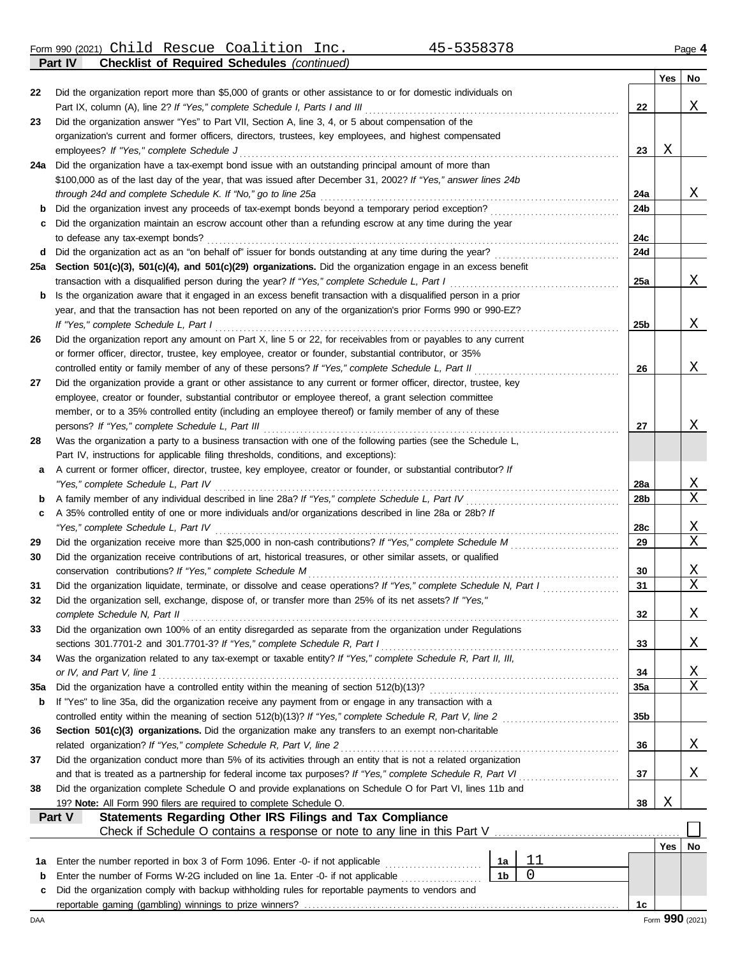Form 990 (2021) Page **4** Child Rescue Coalition Inc. 45-5358378

|     | <b>Checklist of Required Schedules (continued)</b><br>Part IV                                                      |     |     |    |
|-----|--------------------------------------------------------------------------------------------------------------------|-----|-----|----|
|     |                                                                                                                    |     | Yes | No |
| 22  | Did the organization report more than \$5,000 of grants or other assistance to or for domestic individuals on      |     |     |    |
|     | Part IX, column (A), line 2? If "Yes," complete Schedule I, Parts I and III                                        | 22  |     | Χ  |
| 23  | Did the organization answer "Yes" to Part VII, Section A, line 3, 4, or 5 about compensation of the                |     |     |    |
|     | organization's current and former officers, directors, trustees, key employees, and highest compensated            |     |     |    |
|     | employees? If "Yes," complete Schedule J                                                                           | 23  | Χ   |    |
| 24a | Did the organization have a tax-exempt bond issue with an outstanding principal amount of more than                |     |     |    |
|     | \$100,000 as of the last day of the year, that was issued after December 31, 2002? If "Yes," answer lines 24b      |     |     |    |
|     | through 24d and complete Schedule K. If "No," go to line 25a                                                       | 24a |     | Χ  |
| b   |                                                                                                                    | 24b |     |    |
| c   | Did the organization maintain an escrow account other than a refunding escrow at any time during the year          |     |     |    |
|     | to defease any tax-exempt bonds?                                                                                   | 24c |     |    |
| d   |                                                                                                                    | 24d |     |    |
| 25a | Section 501(c)(3), 501(c)(4), and 501(c)(29) organizations. Did the organization engage in an excess benefit       |     |     |    |
|     | transaction with a disqualified person during the year? If "Yes," complete Schedule L, Part I                      | 25a |     | Χ  |
| b   | Is the organization aware that it engaged in an excess benefit transaction with a disqualified person in a prior   |     |     |    |
|     | year, and that the transaction has not been reported on any of the organization's prior Forms 990 or 990-EZ?       |     |     |    |
|     | If "Yes," complete Schedule L, Part I                                                                              | 25b |     | Χ  |
|     | Did the organization report any amount on Part X, line 5 or 22, for receivables from or payables to any current    |     |     |    |
| 26  |                                                                                                                    |     |     |    |
|     | or former officer, director, trustee, key employee, creator or founder, substantial contributor, or 35%            |     |     |    |
|     | controlled entity or family member of any of these persons? If "Yes," complete Schedule L, Part II                 | 26  |     | Χ  |
| 27  | Did the organization provide a grant or other assistance to any current or former officer, director, trustee, key  |     |     |    |
|     | employee, creator or founder, substantial contributor or employee thereof, a grant selection committee             |     |     |    |
|     | member, or to a 35% controlled entity (including an employee thereof) or family member of any of these             |     |     |    |
|     | persons? If "Yes," complete Schedule L, Part III                                                                   | 27  |     | Χ  |
| 28  | Was the organization a party to a business transaction with one of the following parties (see the Schedule L,      |     |     |    |
|     | Part IV, instructions for applicable filing thresholds, conditions, and exceptions):                               |     |     |    |
| а   | A current or former officer, director, trustee, key employee, creator or founder, or substantial contributor? If   |     |     |    |
|     | "Yes," complete Schedule L, Part IV                                                                                | 28a |     | Χ  |
| b   | A family member of any individual described in line 28a? If "Yes," complete Schedule L, Part IV                    | 28b |     | X  |
| c   | A 35% controlled entity of one or more individuals and/or organizations described in line 28a or 28b? If           |     |     |    |
|     | "Yes," complete Schedule L, Part IV                                                                                | 28c |     | Χ  |
| 29  |                                                                                                                    | 29  |     | Χ  |
| 30  | Did the organization receive contributions of art, historical treasures, or other similar assets, or qualified     |     |     |    |
|     | conservation contributions? If "Yes," complete Schedule M                                                          | 30  |     | Χ  |
| 31  | Did the organization liquidate, terminate, or dissolve and cease operations? If "Yes," complete Schedule N, Part I | 31  |     | X  |
| 32  | Did the organization sell, exchange, dispose of, or transfer more than 25% of its net assets? If "Yes,"            |     |     |    |
|     | complete Schedule N, Part II                                                                                       | 32  |     | Χ  |
| 33  | Did the organization own 100% of an entity disregarded as separate from the organization under Regulations         |     |     |    |
|     | sections 301.7701-2 and 301.7701-3? If "Yes," complete Schedule R, Part I                                          | 33  |     | Χ  |
| 34  | Was the organization related to any tax-exempt or taxable entity? If "Yes," complete Schedule R, Part II, III,     |     |     |    |
|     | or IV, and Part V, line 1                                                                                          | 34  |     | Χ  |
| 35a | Did the organization have a controlled entity within the meaning of section 512(b)(13)?                            | 35a |     | Χ  |
| b   | If "Yes" to line 35a, did the organization receive any payment from or engage in any transaction with a            |     |     |    |
|     | controlled entity within the meaning of section 512(b)(13)? If "Yes," complete Schedule R, Part V, line 2          | 35b |     |    |
| 36  | Section 501(c)(3) organizations. Did the organization make any transfers to an exempt non-charitable               |     |     |    |
|     | related organization? If "Yes," complete Schedule R, Part V, line 2                                                | 36  |     | Χ  |
| 37  | Did the organization conduct more than 5% of its activities through an entity that is not a related organization   |     |     |    |
|     | and that is treated as a partnership for federal income tax purposes? If "Yes," complete Schedule R, Part VI       | 37  |     | Χ  |
| 38  | Did the organization complete Schedule O and provide explanations on Schedule O for Part VI, lines 11b and         |     |     |    |
|     | 19? Note: All Form 990 filers are required to complete Schedule O.                                                 | 38  | Χ   |    |
|     | Statements Regarding Other IRS Filings and Tax Compliance<br>Part V                                                |     |     |    |
|     |                                                                                                                    |     |     |    |
|     |                                                                                                                    |     | Yes | No |
| 1а  | 11<br>Enter the number reported in box 3 of Form 1096. Enter -0- if not applicable<br>1a                           |     |     |    |
| b   | 0<br>1 <sub>b</sub><br>Enter the number of Forms W-2G included on line 1a. Enter -0- if not applicable             |     |     |    |
| с   | Did the organization comply with backup withholding rules for reportable payments to vendors and                   |     |     |    |
|     |                                                                                                                    | 1c  |     |    |
|     |                                                                                                                    |     |     |    |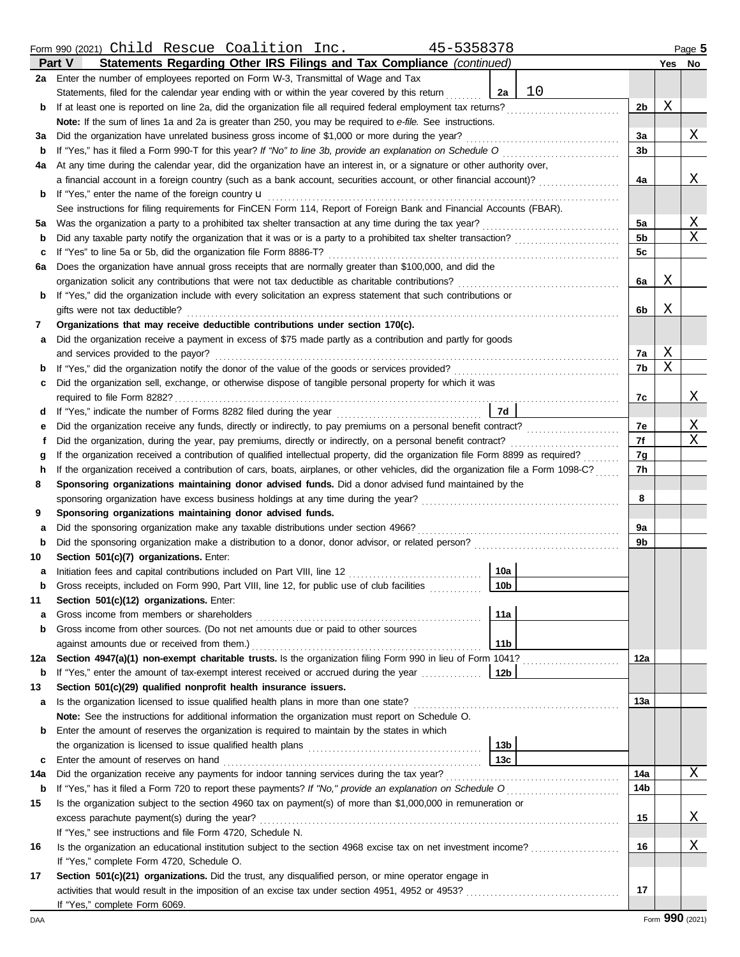|              | Form 990 (2021) Child Rescue Coalition Inc.<br>45-5358378                                                                          |     |   | Page 5 |
|--------------|------------------------------------------------------------------------------------------------------------------------------------|-----|---|--------|
|              | Statements Regarding Other IRS Filings and Tax Compliance (continued)<br><b>Part V</b>                                             |     |   | Yes No |
|              | 2a Enter the number of employees reported on Form W-3, Transmittal of Wage and Tax                                                 |     |   |        |
|              | 10<br>Statements, filed for the calendar year ending with or within the year covered by this return<br>2a                          |     |   |        |
| b            | If at least one is reported on line 2a, did the organization file all required federal employment tax returns?                     | 2b  | Χ |        |
|              | Note: If the sum of lines 1a and 2a is greater than 250, you may be required to e-file. See instructions.                          |     |   |        |
| за           | Did the organization have unrelated business gross income of \$1,000 or more during the year?                                      | 3a  |   | Χ      |
| b            | If "Yes," has it filed a Form 990-T for this year? If "No" to line 3b, provide an explanation on Schedule O                        | 3b  |   |        |
| 4a           | At any time during the calendar year, did the organization have an interest in, or a signature or other authority over,            |     |   |        |
|              | a financial account in a foreign country (such as a bank account, securities account, or other financial account)?                 | 4a  |   | Χ      |
| b            | If "Yes," enter the name of the foreign country <b>u</b>                                                                           |     |   |        |
|              | See instructions for filing requirements for FinCEN Form 114, Report of Foreign Bank and Financial Accounts (FBAR).                |     |   |        |
| 5а           | Was the organization a party to a prohibited tax shelter transaction at any time during the tax year?                              | 5а  |   | Χ      |
| b            |                                                                                                                                    | 5b  |   | X      |
| с            | If "Yes" to line 5a or 5b, did the organization file Form 8886-T?                                                                  | 5c  |   |        |
| 6а           | Does the organization have annual gross receipts that are normally greater than \$100,000, and did the                             |     |   |        |
|              | organization solicit any contributions that were not tax deductible as charitable contributions?                                   | 6а  | Χ |        |
| b            | If "Yes," did the organization include with every solicitation an express statement that such contributions or                     |     |   |        |
|              | gifts were not tax deductible?                                                                                                     | 6b  | Χ |        |
| 7            | Organizations that may receive deductible contributions under section 170(c).                                                      |     |   |        |
| а            | Did the organization receive a payment in excess of \$75 made partly as a contribution and partly for goods                        |     |   |        |
|              | and services provided to the payor?                                                                                                | 7a  | Χ |        |
| b            |                                                                                                                                    | 7b  | X |        |
| с            | Did the organization sell, exchange, or otherwise dispose of tangible personal property for which it was                           |     |   |        |
|              | required to file Form 8282?                                                                                                        | 7c  |   | Χ      |
| d            | 7d                                                                                                                                 |     |   |        |
| е            |                                                                                                                                    | 7e  |   | Χ      |
| Ť            | Did the organization, during the year, pay premiums, directly or indirectly, on a personal benefit contract?                       | 7f  |   | X      |
| g            | If the organization received a contribution of qualified intellectual property, did the organization file Form 8899 as required?   | 7g  |   |        |
| h            | If the organization received a contribution of cars, boats, airplanes, or other vehicles, did the organization file a Form 1098-C? | 7h  |   |        |
| 8            | Sponsoring organizations maintaining donor advised funds. Did a donor advised fund maintained by the                               |     |   |        |
|              | sponsoring organization have excess business holdings at any time during the year?                                                 | 8   |   |        |
| 9            | Sponsoring organizations maintaining donor advised funds.                                                                          |     |   |        |
| a            | Did the sponsoring organization make any taxable distributions under section 4966?                                                 | 9a  |   |        |
| b            |                                                                                                                                    | 9b  |   |        |
| 10           | Section 501(c)(7) organizations. Enter:                                                                                            |     |   |        |
| a            | 10a<br>Initiation fees and capital contributions included on Part VIII, line 12 [11] [11] [12] [11] [12] [11] [12] [1              |     |   |        |
|              | $\sqrt{10b}$<br>Gross receipts, included on Form 990, Part VIII, line 12, for public use of club facilities                        |     |   |        |
| 11           | Section 501(c)(12) organizations. Enter:                                                                                           |     |   |        |
| а            | 11a<br>Gross income from members or shareholders                                                                                   |     |   |        |
| b            | Gross income from other sources. (Do not net amounts due or paid to other sources                                                  |     |   |        |
|              | 11 <sub>b</sub><br>against amounts due or received from them.)                                                                     |     |   |        |
| 12a          | Section 4947(a)(1) non-exempt charitable trusts. Is the organization filing Form 990 in lieu of Form 1041?                         | 12a |   |        |
|              | <b>b</b> If "Yes," enter the amount of tax-exempt interest received or accrued during the year<br>  12b                            |     |   |        |
| 13           | Section 501(c)(29) qualified nonprofit health insurance issuers.                                                                   |     |   |        |
| a            | Is the organization licensed to issue qualified health plans in more than one state?                                               | 13а |   |        |
|              | Note: See the instructions for additional information the organization must report on Schedule O.                                  |     |   |        |
| b            | Enter the amount of reserves the organization is required to maintain by the states in which                                       |     |   |        |
|              | 13 <sub>b</sub>                                                                                                                    |     |   |        |
| $\mathbf{c}$ | 13с<br>Enter the amount of reserves on hand                                                                                        |     |   |        |
| 14a          | Did the organization receive any payments for indoor tanning services during the tax year?                                         | 14a |   | Χ      |
| b            |                                                                                                                                    | 14b |   |        |
| 15           | Is the organization subject to the section 4960 tax on payment(s) of more than \$1,000,000 in remuneration or                      |     |   |        |
|              | excess parachute payment(s) during the year?                                                                                       | 15  |   | Χ      |
|              | If "Yes," see instructions and file Form 4720, Schedule N.                                                                         |     |   |        |
| 16           | Is the organization an educational institution subject to the section 4968 excise tax on net investment income?                    | 16  |   | Χ      |
|              | If "Yes," complete Form 4720, Schedule O.                                                                                          |     |   |        |
| 17           | Section 501(c)(21) organizations. Did the trust, any disqualified person, or mine operator engage in                               |     |   |        |
|              |                                                                                                                                    | 17  |   |        |
|              | If "Yes," complete Form 6069.                                                                                                      |     |   |        |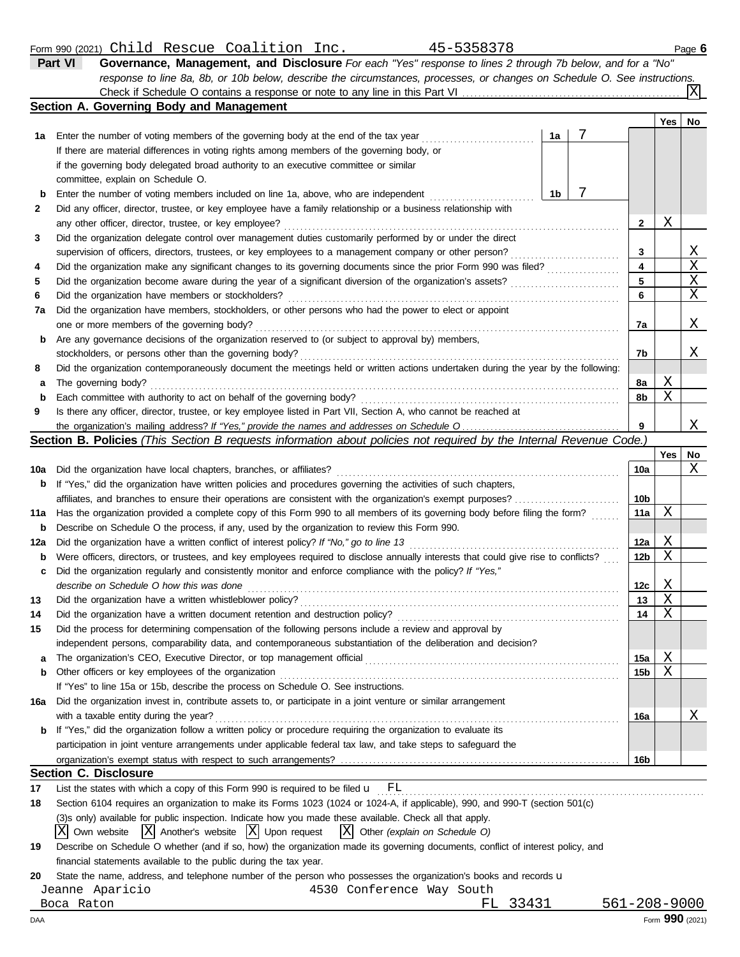|    | 45-5358378<br>Form 990 (2021) Child Rescue Coalition Inc.                                                                         |   |              |     | Page 6    |
|----|-----------------------------------------------------------------------------------------------------------------------------------|---|--------------|-----|-----------|
|    | <b>Part VI</b><br>Governance, Management, and Disclosure For each "Yes" response to lines 2 through 7b below, and for a "No"      |   |              |     |           |
|    | response to line 8a, 8b, or 10b below, describe the circumstances, processes, or changes on Schedule O. See instructions.         |   |              |     |           |
|    |                                                                                                                                   |   |              |     | IXI       |
|    | Section A. Governing Body and Management                                                                                          |   |              |     |           |
|    |                                                                                                                                   |   |              | Yes | <b>No</b> |
| 1a | Enter the number of voting members of the governing body at the end of the tax year<br>1a                                         | 7 |              |     |           |
|    | If there are material differences in voting rights among members of the governing body, or                                        |   |              |     |           |
|    | if the governing body delegated broad authority to an executive committee or similar                                              |   |              |     |           |
|    | committee, explain on Schedule O.                                                                                                 |   |              |     |           |
| b  | Enter the number of voting members included on line 1a, above, who are independent<br>1 <sub>b</sub>                              |   |              |     |           |
| 2  | Did any officer, director, trustee, or key employee have a family relationship or a business relationship with                    |   |              |     |           |
|    | any other officer, director, trustee, or key employee?                                                                            |   | $\mathbf{2}$ | Χ   |           |
| 3  | Did the organization delegate control over management duties customarily performed by or under the direct                         |   |              |     |           |
|    | supervision of officers, directors, trustees, or key employees to a management company or other person?                           |   | 3            |     | X         |
| 4  |                                                                                                                                   |   | 4            |     | X         |
| 5  | Did the organization become aware during the year of a significant diversion of the organization's assets?                        |   | 5            |     | X         |
| 6  | Did the organization have members or stockholders?                                                                                |   | 6            |     | Χ         |
| 7a | Did the organization have members, stockholders, or other persons who had the power to elect or appoint                           |   |              |     |           |
|    | one or more members of the governing body?                                                                                        |   | 7a           |     | Χ         |
| b  | Are any governance decisions of the organization reserved to (or subject to approval by) members,                                 |   |              |     |           |
|    | stockholders, or persons other than the governing body?                                                                           |   | 7b           |     | X         |
| 8  | Did the organization contemporaneously document the meetings held or written actions undertaken during the year by the following: |   |              |     |           |
| а  | The governing body?                                                                                                               |   | 8а           | Χ   |           |

| <b>b</b> Each committee with authority to act on behalf of the governing body?                                     |
|--------------------------------------------------------------------------------------------------------------------|
| 9 Is there any officer, director, trustee, or key employee listed in Part VII, Section A, who cannot be reached at |
|                                                                                                                    |

### **Section B. Policies** *(This Section B requests information about policies not required by the Internal Revenue Code.)*

|     |                                                                                                                                     |                 | <b>Yes</b> | No |
|-----|-------------------------------------------------------------------------------------------------------------------------------------|-----------------|------------|----|
| 10a | Did the organization have local chapters, branches, or affiliates?                                                                  | 10a             |            | Χ  |
| b   | If "Yes," did the organization have written policies and procedures governing the activities of such chapters,                      |                 |            |    |
|     | affiliates, and branches to ensure their operations are consistent with the organization's exempt purposes?                         | 10 <sub>b</sub> |            |    |
| 11a | Has the organization provided a complete copy of this Form 990 to all members of its governing body before filing the form?         | 11a             | X          |    |
| b   | Describe on Schedule O the process, if any, used by the organization to review this Form 990.                                       |                 |            |    |
| 12a | Did the organization have a written conflict of interest policy? If "No," go to line 13                                             | 12a             | X          |    |
| b   | Were officers, directors, or trustees, and key employees required to disclose annually interests that could give rise to conflicts? | 12 <sub>b</sub> | X          |    |
| c   | Did the organization regularly and consistently monitor and enforce compliance with the policy? If "Yes,"                           |                 |            |    |
|     | describe on Schedule O how this was done                                                                                            | 12 <sub>c</sub> | X          |    |
| 13  | Did the organization have a written whistleblower policy?                                                                           | 13              | X          |    |
| 14  | Did the organization have a written document retention and destruction policy?                                                      | 14              | X          |    |
| 15  | Did the process for determining compensation of the following persons include a review and approval by                              |                 |            |    |
|     | independent persons, comparability data, and contemporaneous substantiation of the deliberation and decision?                       |                 |            |    |
| a   |                                                                                                                                     | 15a             | Χ          |    |
| b   | Other officers or key employees of the organization                                                                                 | 15 <sub>b</sub> | X          |    |
|     | If "Yes" to line 15a or 15b, describe the process on Schedule O. See instructions.                                                  |                 |            |    |
| 16a | Did the organization invest in, contribute assets to, or participate in a joint venture or similar arrangement                      |                 |            |    |
|     | with a taxable entity during the year?                                                                                              | 16a             |            | Χ  |
| b   | If "Yes," did the organization follow a written policy or procedure requiring the organization to evaluate its                      |                 |            |    |
|     | participation in joint venture arrangements under applicable federal tax law, and take steps to safeguard the                       |                 |            |    |
|     |                                                                                                                                     | 16b             |            |    |
|     | <b>Section C. Disclosure</b>                                                                                                        |                 |            |    |
| 17  | List the states with which a copy of this Form 990 is required to be filed $\mathbf{u}$ $\mathrm{FL}$                               |                 |            |    |

| 18 | Section 6104 requires an organization to make its Forms 1023 (1024 or 1024-A, if applicable), 990, and 990-T (section 501(c)         |
|----|--------------------------------------------------------------------------------------------------------------------------------------|
|    | (3) sonly) available for public inspection. Indicate how you made these available. Check all that apply.                             |
|    | $\overline{X}$ Own website $\overline{X}$ Another's website $\overline{X}$ Upon request $\overline{X}$ Other (explain on Schedule O) |
| 19 | Describe on Schedule O whether (and if so, how) the organization made its governing documents, conflict of interest policy, and      |
|    | financial statements available to the public during the tax year.                                                                    |

- Jeanne Aparicio 4530 Conference Way South
	-

Boca Raton FL 33431 561-208-9000 FL 33431 561-208-9000 FL 33431 561-208-9000 FORM 990 (2021)

**8b**

X

X

**9**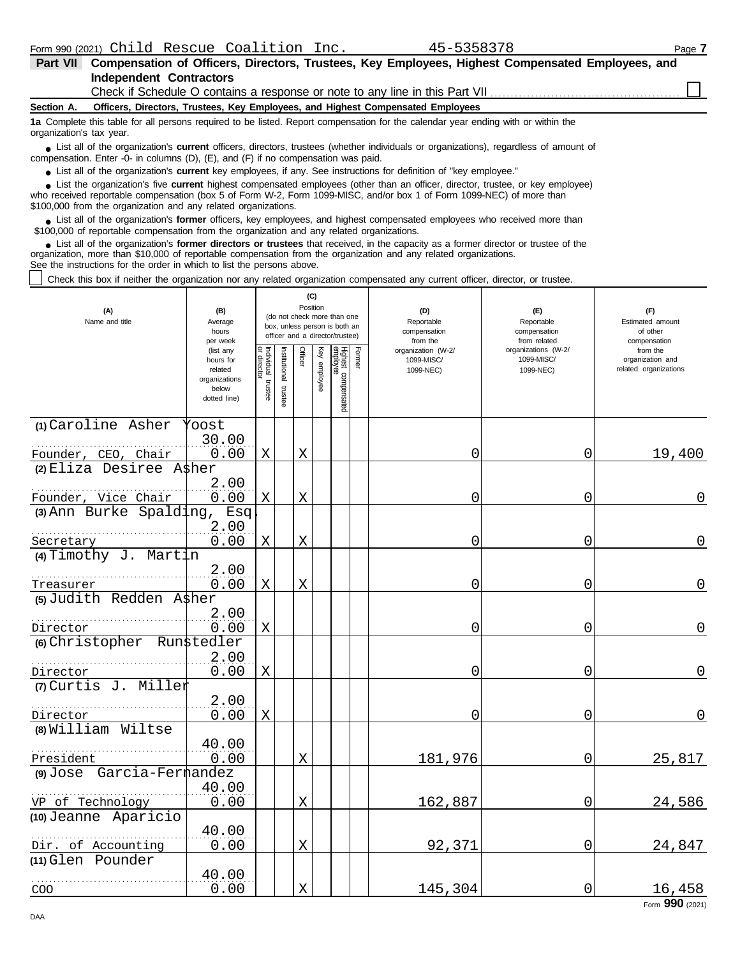$X \begin{bmatrix} | & | & | & 145,304 | & 0 & 16,458 \end{bmatrix}$ 

0.00 X 92,371 0 24,847

| Part VII                                                                                                                                                                                                                                                                                                                        |                          |            |              |          |              |                                 |        | Compensation of Officers, Directors, Trustees, Key Employees, Highest Compensated Employees, and |                                     |                              |
|---------------------------------------------------------------------------------------------------------------------------------------------------------------------------------------------------------------------------------------------------------------------------------------------------------------------------------|--------------------------|------------|--------------|----------|--------------|---------------------------------|--------|--------------------------------------------------------------------------------------------------|-------------------------------------|------------------------------|
| <b>Independent Contractors</b>                                                                                                                                                                                                                                                                                                  |                          |            |              |          |              |                                 |        |                                                                                                  |                                     |                              |
|                                                                                                                                                                                                                                                                                                                                 |                          |            |              |          |              |                                 |        | Check if Schedule O contains a response or note to any line in this Part VII                     |                                     |                              |
| Section A.                                                                                                                                                                                                                                                                                                                      |                          |            |              |          |              |                                 |        | Officers, Directors, Trustees, Key Employees, and Highest Compensated Employees                  |                                     |                              |
| 1a Complete this table for all persons required to be listed. Report compensation for the calendar year ending with or within the<br>organization's tax year.                                                                                                                                                                   |                          |            |              |          |              |                                 |        |                                                                                                  |                                     |                              |
| • List all of the organization's <b>current</b> officers, directors, trustees (whether individuals or organizations), regardless of amount of<br>compensation. Enter -0- in columns (D), (E), and (F) if no compensation was paid.                                                                                              |                          |            |              |          |              |                                 |        |                                                                                                  |                                     |                              |
| • List all of the organization's current key employees, if any. See instructions for definition of "key employee."                                                                                                                                                                                                              |                          |            |              |          |              |                                 |        |                                                                                                  |                                     |                              |
| • List the organization's five current highest compensated employees (other than an officer, director, trustee, or key employee)<br>who received reportable compensation (box 5 of Form W-2, Form 1099-MISC, and/or box 1 of Form 1099-NEC) of more than<br>\$100,000 from the organization and any related organizations.      |                          |            |              |          |              |                                 |        |                                                                                                  |                                     |                              |
| • List all of the organization's former officers, key employees, and highest compensated employees who received more than<br>\$100,000 of reportable compensation from the organization and any related organizations.                                                                                                          |                          |            |              |          |              |                                 |        |                                                                                                  |                                     |                              |
| List all of the organization's former directors or trustees that received, in the capacity as a former director or trustee of the<br>organization, more than \$10,000 of reportable compensation from the organization and any related organizations.<br>See the instructions for the order in which to list the persons above. |                          |            |              |          |              |                                 |        |                                                                                                  |                                     |                              |
| Check this box if neither the organization nor any related organization compensated any current officer, director, or trustee.                                                                                                                                                                                                  |                          |            |              |          |              |                                 |        |                                                                                                  |                                     |                              |
|                                                                                                                                                                                                                                                                                                                                 |                          |            |              |          | (C)          |                                 |        |                                                                                                  |                                     |                              |
| (A)                                                                                                                                                                                                                                                                                                                             | (B)                      |            |              | Position |              | (do not check more than one     |        | (D)                                                                                              | (E)                                 | (F)                          |
| Name and title                                                                                                                                                                                                                                                                                                                  | Average<br>hours         |            |              |          |              | box, unless person is both an   |        | Reportable<br>compensation                                                                       | Reportable<br>compensation          | Estimated amount<br>of other |
|                                                                                                                                                                                                                                                                                                                                 | per week                 |            |              |          |              | officer and a director/trustee) |        | from the                                                                                         | from related<br>organizations (W-2/ | compensation                 |
|                                                                                                                                                                                                                                                                                                                                 | (list any<br>hours for   | Individual | nstitutional | Officer  | Key employee | Highest compensated<br>employee | Former | organization (W-2/<br>1099-MISC/                                                                 | 1099-MISC/                          | from the<br>organization and |
|                                                                                                                                                                                                                                                                                                                                 | related<br>organizations |            |              |          |              |                                 |        | 1099-NEC)                                                                                        | 1099-NEC)                           | related organizations        |
|                                                                                                                                                                                                                                                                                                                                 | below                    | trustee    | trustee      |          |              |                                 |        |                                                                                                  |                                     |                              |
|                                                                                                                                                                                                                                                                                                                                 | dotted line)             |            |              |          |              |                                 |        |                                                                                                  |                                     |                              |
| (1) Caroline Asher                                                                                                                                                                                                                                                                                                              | Yoost                    |            |              |          |              |                                 |        |                                                                                                  |                                     |                              |
|                                                                                                                                                                                                                                                                                                                                 | 30.00                    |            |              |          |              |                                 |        |                                                                                                  |                                     |                              |
| Founder, CEO, Chair                                                                                                                                                                                                                                                                                                             | 0.00                     | Χ          |              | X        |              |                                 |        | 0                                                                                                | 0                                   | 19,400                       |
| $(2)$ Eliza Desiree A\$her                                                                                                                                                                                                                                                                                                      |                          |            |              |          |              |                                 |        |                                                                                                  |                                     |                              |
|                                                                                                                                                                                                                                                                                                                                 | 2.00                     |            |              |          |              |                                 |        |                                                                                                  |                                     |                              |
| Founder, Vice Chair                                                                                                                                                                                                                                                                                                             | 0.00                     | Χ          |              | X        |              |                                 |        | 0                                                                                                | 0                                   | $\overline{0}$               |
| $(3)$ Ann Burke Spalding,                                                                                                                                                                                                                                                                                                       | Esq<br>2.00              |            |              |          |              |                                 |        |                                                                                                  |                                     |                              |
| Secretary                                                                                                                                                                                                                                                                                                                       | 0.00                     | Χ          |              | X        |              |                                 |        | 0                                                                                                | 0                                   | $\overline{0}$               |
| $(4)$ Timothy J. Martin                                                                                                                                                                                                                                                                                                         |                          |            |              |          |              |                                 |        |                                                                                                  |                                     |                              |
|                                                                                                                                                                                                                                                                                                                                 | 2.00                     |            |              |          |              |                                 |        |                                                                                                  |                                     |                              |
| Treasurer                                                                                                                                                                                                                                                                                                                       | 0.00                     | Χ          |              | Χ        |              |                                 |        | 0                                                                                                | 0                                   | $\overline{0}$               |
| (5) Judith Redden A\$her                                                                                                                                                                                                                                                                                                        |                          |            |              |          |              |                                 |        |                                                                                                  |                                     |                              |
|                                                                                                                                                                                                                                                                                                                                 | 2.00                     |            |              |          |              |                                 |        |                                                                                                  |                                     |                              |
| Director                                                                                                                                                                                                                                                                                                                        | 0.00                     | Χ          |              |          |              |                                 |        | 0                                                                                                | 0                                   | $\overline{0}$               |
| (6) Christopher                                                                                                                                                                                                                                                                                                                 | Run\$tedler              |            |              |          |              |                                 |        |                                                                                                  |                                     |                              |
|                                                                                                                                                                                                                                                                                                                                 | 2.00                     |            |              |          |              |                                 |        |                                                                                                  |                                     |                              |
| Director                                                                                                                                                                                                                                                                                                                        | 0.00                     | Χ          |              |          |              |                                 |        | 0                                                                                                | 0                                   | $\overline{0}$               |
| (7) Curtis J. Miller                                                                                                                                                                                                                                                                                                            |                          |            |              |          |              |                                 |        |                                                                                                  |                                     |                              |
| Director                                                                                                                                                                                                                                                                                                                        | 2.00<br>0.00             | Χ          |              |          |              |                                 |        | 0                                                                                                | 0                                   | $\mathbf 0$                  |
| (8) William Wiltse                                                                                                                                                                                                                                                                                                              |                          |            |              |          |              |                                 |        |                                                                                                  |                                     |                              |
|                                                                                                                                                                                                                                                                                                                                 | 40.00                    |            |              |          |              |                                 |        |                                                                                                  |                                     |                              |
| President                                                                                                                                                                                                                                                                                                                       | 0.00                     |            |              | X        |              |                                 |        | 181,976                                                                                          | 0                                   | 25,817                       |
| (9) Jose Garcia-Fermandez                                                                                                                                                                                                                                                                                                       |                          |            |              |          |              |                                 |        |                                                                                                  |                                     |                              |
|                                                                                                                                                                                                                                                                                                                                 | 40.00                    |            |              |          |              |                                 |        |                                                                                                  |                                     |                              |
| VP of Technology                                                                                                                                                                                                                                                                                                                | 0.00                     |            |              | X        |              |                                 |        | 162,887                                                                                          | 0                                   | 24,586                       |

COO

**(10)** Jeanne Aparicio

. . . . . . . . . . . . . . . . . . . . . . . . . . . . . . . . . . . . . . . . . . . . . . . . . . . . . . .

. . . . . . . . . . . . . . . . . . . . . . . . . . . . . . . . . . . . . . . . . . . . . . . . . . . . . . .

40.00

40.00

**(11)** Glen Pounder

Dir. of Accounting

Form **990** (2021)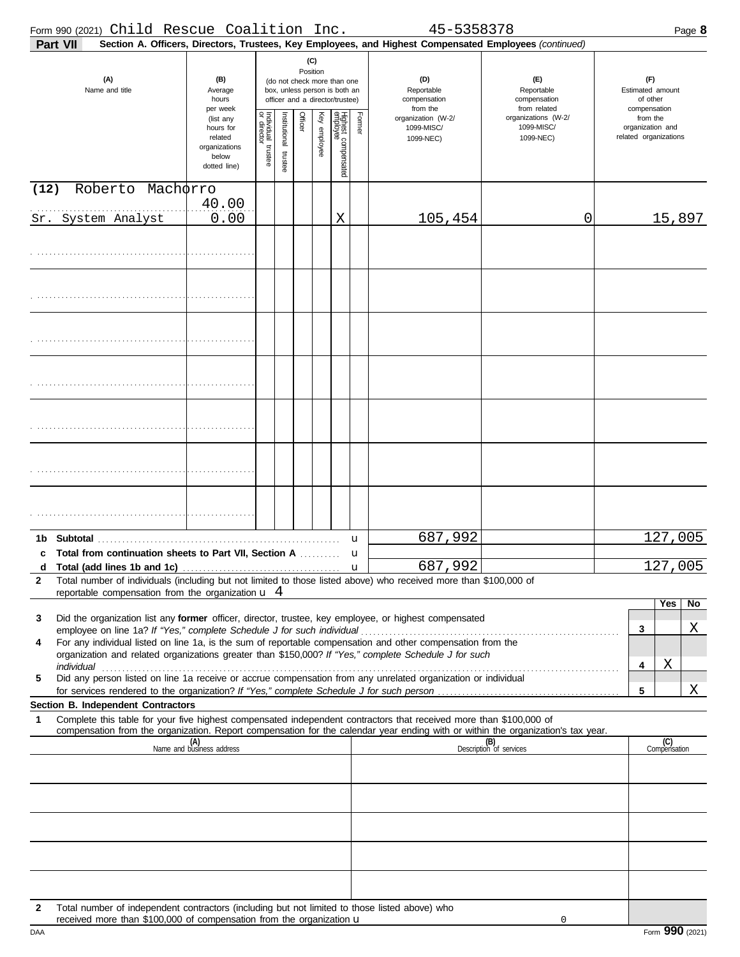|              | Form 990 (2021) Child Rescue Coalition Inc.                                                   |                                                                             |                                                                                                                    |                      |         |              |                                 |                                               | 45-5358378                                                                                                                                                                                                           |                                                     | Page 8                                                |
|--------------|-----------------------------------------------------------------------------------------------|-----------------------------------------------------------------------------|--------------------------------------------------------------------------------------------------------------------|----------------------|---------|--------------|---------------------------------|-----------------------------------------------|----------------------------------------------------------------------------------------------------------------------------------------------------------------------------------------------------------------------|-----------------------------------------------------|-------------------------------------------------------|
|              | Part VII                                                                                      |                                                                             |                                                                                                                    |                      |         |              |                                 |                                               | Section A. Officers, Directors, Trustees, Key Employees, and Highest Compensated Employees (continued)                                                                                                               |                                                     |                                                       |
|              | (A)<br>Name and title                                                                         | (B)<br>Average<br>hours<br>per week                                         | (C)<br>Position<br>(do not check more than one<br>box, unless person is both an<br>officer and a director/trustee) |                      |         |              |                                 | (D)<br>Reportable<br>compensation<br>from the | (F)<br>Reportable<br>compensation<br>from related                                                                                                                                                                    | (F)<br>Estimated amount<br>of other<br>compensation |                                                       |
|              |                                                                                               | (list any<br>hours for<br>related<br>organizations<br>below<br>dotted line) | Individual trustee<br>or director                                                                                  | nstitutional trustee | Officer | Key employee | Highest compensated<br>employee | Former                                        | organization (W-2/<br>1099-MISC/<br>1099-NEC)                                                                                                                                                                        | organizations (W-2/<br>1099-MISC/<br>1099-NEC)      | from the<br>organization and<br>related organizations |
| (12)         | Roberto                                                                                       | Machorro                                                                    |                                                                                                                    |                      |         |              |                                 |                                               |                                                                                                                                                                                                                      |                                                     |                                                       |
|              |                                                                                               | 40.00                                                                       |                                                                                                                    |                      |         |              |                                 |                                               |                                                                                                                                                                                                                      |                                                     |                                                       |
|              | Sr. System Analyst                                                                            | 0.00                                                                        |                                                                                                                    |                      |         |              | Χ                               |                                               | 105,454                                                                                                                                                                                                              | 0                                                   | 15,897                                                |
|              |                                                                                               |                                                                             |                                                                                                                    |                      |         |              |                                 |                                               |                                                                                                                                                                                                                      |                                                     |                                                       |
|              |                                                                                               |                                                                             |                                                                                                                    |                      |         |              |                                 |                                               |                                                                                                                                                                                                                      |                                                     |                                                       |
|              |                                                                                               |                                                                             |                                                                                                                    |                      |         |              |                                 |                                               |                                                                                                                                                                                                                      |                                                     |                                                       |
|              |                                                                                               |                                                                             |                                                                                                                    |                      |         |              |                                 |                                               |                                                                                                                                                                                                                      |                                                     |                                                       |
|              |                                                                                               |                                                                             |                                                                                                                    |                      |         |              |                                 |                                               |                                                                                                                                                                                                                      |                                                     |                                                       |
|              |                                                                                               |                                                                             |                                                                                                                    |                      |         |              |                                 |                                               |                                                                                                                                                                                                                      |                                                     |                                                       |
|              |                                                                                               |                                                                             |                                                                                                                    |                      |         |              |                                 |                                               |                                                                                                                                                                                                                      |                                                     |                                                       |
|              |                                                                                               |                                                                             |                                                                                                                    |                      |         |              |                                 |                                               |                                                                                                                                                                                                                      |                                                     |                                                       |
|              |                                                                                               |                                                                             |                                                                                                                    |                      |         |              |                                 |                                               |                                                                                                                                                                                                                      |                                                     |                                                       |
|              |                                                                                               |                                                                             |                                                                                                                    |                      |         |              |                                 |                                               |                                                                                                                                                                                                                      |                                                     |                                                       |
|              |                                                                                               |                                                                             |                                                                                                                    |                      |         |              |                                 |                                               |                                                                                                                                                                                                                      |                                                     |                                                       |
|              |                                                                                               |                                                                             |                                                                                                                    |                      |         |              |                                 |                                               |                                                                                                                                                                                                                      |                                                     |                                                       |
|              |                                                                                               |                                                                             |                                                                                                                    |                      |         |              |                                 |                                               |                                                                                                                                                                                                                      |                                                     |                                                       |
|              |                                                                                               |                                                                             |                                                                                                                    |                      |         |              |                                 |                                               |                                                                                                                                                                                                                      |                                                     |                                                       |
|              |                                                                                               |                                                                             |                                                                                                                    |                      |         |              |                                 |                                               |                                                                                                                                                                                                                      |                                                     |                                                       |
|              |                                                                                               |                                                                             |                                                                                                                    |                      |         |              |                                 |                                               |                                                                                                                                                                                                                      |                                                     |                                                       |
|              |                                                                                               |                                                                             |                                                                                                                    |                      |         |              |                                 | $\mathbf{u}$                                  | 687,992                                                                                                                                                                                                              |                                                     | 127,005                                               |
| c            | <b>Total from continuation sheets to Part VII, Section A</b> <i>minimal</i>                   |                                                                             |                                                                                                                    |                      |         |              |                                 | u                                             |                                                                                                                                                                                                                      |                                                     |                                                       |
| $\mathbf{2}$ |                                                                                               |                                                                             |                                                                                                                    |                      |         |              |                                 |                                               | 687,992<br>Total number of individuals (including but not limited to those listed above) who received more than \$100,000 of                                                                                         |                                                     | 127,005                                               |
|              | reportable compensation from the organization $\mathbf{u}$ 4                                  |                                                                             |                                                                                                                    |                      |         |              |                                 |                                               |                                                                                                                                                                                                                      |                                                     |                                                       |
|              |                                                                                               |                                                                             |                                                                                                                    |                      |         |              |                                 |                                               |                                                                                                                                                                                                                      |                                                     | Yes<br>No                                             |
| 3            |                                                                                               |                                                                             |                                                                                                                    |                      |         |              |                                 |                                               | Did the organization list any former officer, director, trustee, key employee, or highest compensated                                                                                                                |                                                     | Χ<br>3                                                |
| 4            |                                                                                               |                                                                             |                                                                                                                    |                      |         |              |                                 |                                               | For any individual listed on line 1a, is the sum of reportable compensation and other compensation from the<br>organization and related organizations greater than \$150,000? If "Yes," complete Schedule J for such |                                                     |                                                       |
|              |                                                                                               |                                                                             |                                                                                                                    |                      |         |              |                                 |                                               |                                                                                                                                                                                                                      |                                                     | Χ<br>4                                                |
| 5            |                                                                                               |                                                                             |                                                                                                                    |                      |         |              |                                 |                                               | Did any person listed on line 1a receive or accrue compensation from any unrelated organization or individual                                                                                                        |                                                     | X<br>5                                                |
|              | Section B. Independent Contractors                                                            |                                                                             |                                                                                                                    |                      |         |              |                                 |                                               |                                                                                                                                                                                                                      |                                                     |                                                       |
| 1            |                                                                                               |                                                                             |                                                                                                                    |                      |         |              |                                 |                                               | Complete this table for your five highest compensated independent contractors that received more than \$100,000 of                                                                                                   |                                                     |                                                       |
|              |                                                                                               | (A)<br>Name and business address                                            |                                                                                                                    |                      |         |              |                                 |                                               | compensation from the organization. Report compensation for the calendar year ending with or within the organization's tax year.                                                                                     | $(B)$<br>Description of services                    | (C)<br>Compensation                                   |
|              |                                                                                               |                                                                             |                                                                                                                    |                      |         |              |                                 |                                               |                                                                                                                                                                                                                      |                                                     |                                                       |
|              |                                                                                               |                                                                             |                                                                                                                    |                      |         |              |                                 |                                               |                                                                                                                                                                                                                      |                                                     |                                                       |
|              |                                                                                               |                                                                             |                                                                                                                    |                      |         |              |                                 |                                               |                                                                                                                                                                                                                      |                                                     |                                                       |
|              |                                                                                               |                                                                             |                                                                                                                    |                      |         |              |                                 |                                               |                                                                                                                                                                                                                      |                                                     |                                                       |
|              |                                                                                               |                                                                             |                                                                                                                    |                      |         |              |                                 |                                               |                                                                                                                                                                                                                      |                                                     |                                                       |
|              |                                                                                               |                                                                             |                                                                                                                    |                      |         |              |                                 |                                               |                                                                                                                                                                                                                      |                                                     |                                                       |
|              |                                                                                               |                                                                             |                                                                                                                    |                      |         |              |                                 |                                               |                                                                                                                                                                                                                      |                                                     |                                                       |
|              |                                                                                               |                                                                             |                                                                                                                    |                      |         |              |                                 |                                               |                                                                                                                                                                                                                      |                                                     |                                                       |
| $\mathbf{2}$ | Total number of independent contractors (including but not limited to those listed above) who |                                                                             |                                                                                                                    |                      |         |              |                                 |                                               |                                                                                                                                                                                                                      |                                                     |                                                       |
|              | received more than \$100,000 of compensation from the organization $\mathbf u$                |                                                                             |                                                                                                                    |                      |         |              |                                 |                                               |                                                                                                                                                                                                                      | 0                                                   |                                                       |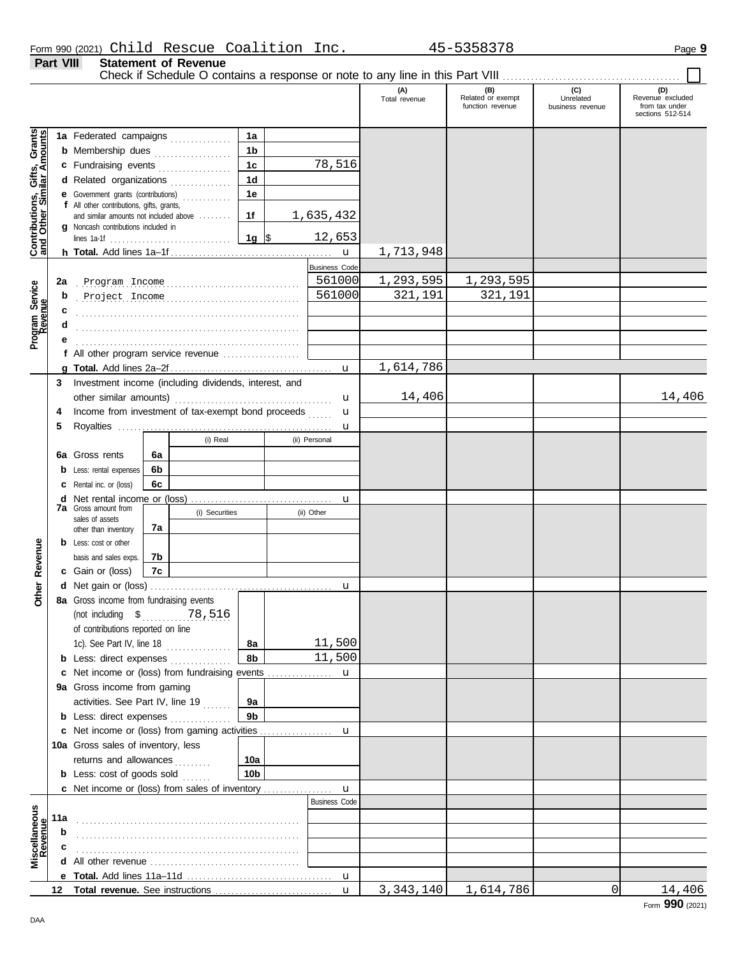**Part VIII Statement of Revenue**

### Check if Schedule O contains a response or note to any line in this Part VIII ............. **(A) (B) (C) (D)** Total revenue Related or exempt Unrelated Revenue excluded function revenue business revenue from tax under sections 512-514 Gifts, Grants<br>ilar Amounts **Contributions, Gifts, Grants and Other Similar Amounts 1a 1a** Federated campaigns **. . . . . . . . . . . . 1b b** Membership dues **. . . . . . . . . . . . . .** . . **1c** 78,516 **c** Fundraising events **. . . . . . . . . . . . . .** . . **1d d** Related organizations . . . . . . . . . . . . . **1e** Contributions,<br>and Other Sim **e** Government grants (contributions) . . . . . . . . . . . . **f** All other contributions, gifts, grants, **1f** 1,635,432 and similar amounts not included above ........ **g** Noncash contributions included in  $\frac{12,653}{5}$ lines 1a-1f . . . . . . . . . . . . . . . . . . . . . . . . . . . . . . **1g** 1,713,948 **h Total.** Add lines 1a–1f . . . . . . . . . . . . . . . . . . . . . . . . . . . . . . . . . . . . . . . . u Business Code . . . . . . . . . . . . . . . . . . . . . . . . . . . . . . . . . . . . . . . . . . . . . . . . . . . . . . . **2a** Program Income 561000 1,293,595 1,293,595 Program Service<br>Revenue **Program Service** . . . . . . . . . . . . . . . . . . . . . . . . . . . . . . . . . . . . . . . . . . . . . . . . . . . . . . . Project Income 561000 321,191 321,191 **b c d** . . . . . . . . . . . . . . . . . . . . . . . . . . . . . . . . . . . . . . . . . . . . . . . . . . . . . . . **e** . . . . . . . . . . . . . . . . . . . . . . . . . . . . . . . . . . . . . . . . . . . . . . . . . . . . . . . **f** All other program service revenue . . . . . . . . . . . . . . . . . . . 1,614,786 **g Total.** Add lines 2a–2f . . . . . . . . . . . . . . . . . . . . . . . . . . . . . . . . . . . . . . . . u **3** Investment income (including dividends, interest, and 14,406 14,406 other similar amounts) . . . . . . . . . . . . . . . . . . . . . . . . . . . . . . . . . . . . . . . u u **4** Income from investment of tax-exempt bond proceeds ...... **5** Royalties . . . . . . . . . . . . . . . . . . . . . . . . . . . . . . . . . . . . . . . . . . . . . . . . . . . . . u (i) Real (ii) Personal **6a 6a** Gross rents **6b b** Less: rental expenses **6c c** Rental inc. or (loss) **d** Net rental income or (loss) . . . . . . . . . . . . . . . . . . . . . . . . . . . . . . . . . . . u **7a** Gross amount from (i) Securities (ii) Other sales of assets **7a** other than inventory Revenue **b** Less: cost or other **Other Revenue 7b** basis and sales exps. **7c c** Gain or (loss) Other I **d** u Net gain or (loss) . . . . . . . . . . . . . . . . . . . . . . . . . . . . . . . . . . . . . . . . . . . . . **8a** Gross income from fundraising events (not including \$ . . . . . . . . . . . . . . . . . . . . . . 78,516 of contributions reported on line 1c). See Part IV, line 18 **8a** 11,500 **8b** 11,500 **b** Less: direct expenses . . . . . . . . . . . . . u **c** Net income or (loss) from fundraising events ................ **9a** Gross income from gaming activities. See Part IV, line 19 ....... **9a 9b b** Less: direct expenses ............... u Net income or (loss) from gaming activities . . . . . . . . . . . . . . . . . . **c** 10a Gross sales of inventory, less returns and allowances . . . . . . . . **10a 10b b** Less: cost of goods sold ....... **c** Net income or (loss) from sales of inventory ................ u Business Code **scellaneous**<br>Revenue **Miscellaneous 11a b** . . . . . . . . . . . . . . . . . . . . . . . . . . . . . . . . . . . . . . . . . . . . . . . . . . . . . . . **c d** All other revenue . . . . . . . . . . . . . . . . . . . . . . . . . . . . . . . . . . . . . **e Total.** Add lines 11a–11d . . . . . . . . . . . . . . . . . . . . . . . . . . . . . . . . . . . . u **Total revenue.** See instructions 3,343,140 1,614,786 0 14,406**12** u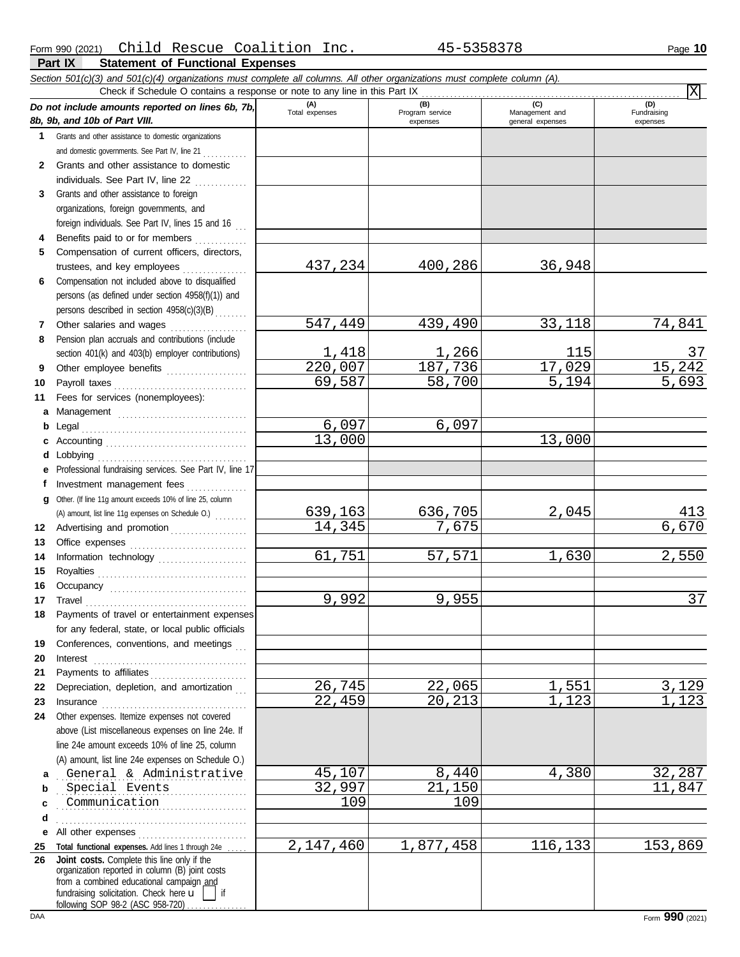**Part IX Statement of Functional Expenses**

|              | Section 501(c)(3) and 501(c)(4) organizations must complete all columns. All other organizations must complete column (A).<br>Check if Schedule O contains a response or note to any line in this Part IX                                                                                                                                                                                                                                                                                            |                         |                        |                                    | ΙXΙ                     |
|--------------|------------------------------------------------------------------------------------------------------------------------------------------------------------------------------------------------------------------------------------------------------------------------------------------------------------------------------------------------------------------------------------------------------------------------------------------------------------------------------------------------------|-------------------------|------------------------|------------------------------------|-------------------------|
|              | Do not include amounts reported on lines 6b, 7b,                                                                                                                                                                                                                                                                                                                                                                                                                                                     | (A)<br>Total expenses   | (B)<br>Program service | (C)                                | (D)                     |
|              | 8b, 9b, and 10b of Part VIII.                                                                                                                                                                                                                                                                                                                                                                                                                                                                        |                         | expenses               | Management and<br>general expenses | Fundraising<br>expenses |
| $\mathbf 1$  | Grants and other assistance to domestic organizations                                                                                                                                                                                                                                                                                                                                                                                                                                                |                         |                        |                                    |                         |
|              | and domestic governments. See Part IV, line 21                                                                                                                                                                                                                                                                                                                                                                                                                                                       |                         |                        |                                    |                         |
| $\mathbf{2}$ | Grants and other assistance to domestic                                                                                                                                                                                                                                                                                                                                                                                                                                                              |                         |                        |                                    |                         |
|              | individuals. See Part IV, line 22                                                                                                                                                                                                                                                                                                                                                                                                                                                                    |                         |                        |                                    |                         |
| 3            | Grants and other assistance to foreign                                                                                                                                                                                                                                                                                                                                                                                                                                                               |                         |                        |                                    |                         |
|              | organizations, foreign governments, and                                                                                                                                                                                                                                                                                                                                                                                                                                                              |                         |                        |                                    |                         |
|              | foreign individuals. See Part IV, lines 15 and 16                                                                                                                                                                                                                                                                                                                                                                                                                                                    |                         |                        |                                    |                         |
| 4            | Benefits paid to or for members                                                                                                                                                                                                                                                                                                                                                                                                                                                                      |                         |                        |                                    |                         |
| 5            | Compensation of current officers, directors,                                                                                                                                                                                                                                                                                                                                                                                                                                                         |                         |                        |                                    |                         |
|              | trustees, and key employees                                                                                                                                                                                                                                                                                                                                                                                                                                                                          | 437,234                 | 400,286                | 36,948                             |                         |
| 6            | Compensation not included above to disqualified                                                                                                                                                                                                                                                                                                                                                                                                                                                      |                         |                        |                                    |                         |
|              | persons (as defined under section 4958(f)(1)) and                                                                                                                                                                                                                                                                                                                                                                                                                                                    |                         |                        |                                    |                         |
|              | persons described in section 4958(c)(3)(B)                                                                                                                                                                                                                                                                                                                                                                                                                                                           |                         |                        |                                    |                         |
| 7            | Other salaries and wages                                                                                                                                                                                                                                                                                                                                                                                                                                                                             | $\overline{547}$ , 449  | 439,490                | 33,118                             | 74,841                  |
| 8            | Pension plan accruals and contributions (include                                                                                                                                                                                                                                                                                                                                                                                                                                                     |                         |                        |                                    |                         |
|              | section 401(k) and 403(b) employer contributions)                                                                                                                                                                                                                                                                                                                                                                                                                                                    | $\frac{1,418}{220,007}$ | <u>1,266</u>           | 115                                | 37                      |
| 9            | Other employee benefits                                                                                                                                                                                                                                                                                                                                                                                                                                                                              |                         | 187,736                | 17,029                             | 15,242                  |
| 10           | Payroll taxes                                                                                                                                                                                                                                                                                                                                                                                                                                                                                        | 69,587                  | 58,700                 | $\overline{5}$ , 194               | $\frac{1}{5,693}$       |
| 11           | Fees for services (nonemployees):                                                                                                                                                                                                                                                                                                                                                                                                                                                                    |                         |                        |                                    |                         |
| a            |                                                                                                                                                                                                                                                                                                                                                                                                                                                                                                      |                         |                        |                                    |                         |
| b            | Legal                                                                                                                                                                                                                                                                                                                                                                                                                                                                                                | 6,097                   | 6,097                  |                                    |                         |
|              |                                                                                                                                                                                                                                                                                                                                                                                                                                                                                                      | 13,000                  |                        | 13,000                             |                         |
| d            |                                                                                                                                                                                                                                                                                                                                                                                                                                                                                                      |                         |                        |                                    |                         |
| е            | Professional fundraising services. See Part IV, line 17                                                                                                                                                                                                                                                                                                                                                                                                                                              |                         |                        |                                    |                         |
| f            | Investment management fees                                                                                                                                                                                                                                                                                                                                                                                                                                                                           |                         |                        |                                    |                         |
| g            | Other. (If line 11g amount exceeds 10% of line 25, column                                                                                                                                                                                                                                                                                                                                                                                                                                            |                         |                        |                                    |                         |
|              | (A) amount, list line 11g expenses on Schedule O.)                                                                                                                                                                                                                                                                                                                                                                                                                                                   | <u>639,163</u>          | 636,705                | 2,045                              | $\frac{413}{6,670}$     |
| 12           | Advertising and promotion                                                                                                                                                                                                                                                                                                                                                                                                                                                                            | 14, 345                 | 7,675                  |                                    |                         |
| 13           |                                                                                                                                                                                                                                                                                                                                                                                                                                                                                                      |                         |                        |                                    |                         |
| 14           | Information technology                                                                                                                                                                                                                                                                                                                                                                                                                                                                               | 61,751                  | 57,571                 | 1,630                              | 2,550                   |
| 15           |                                                                                                                                                                                                                                                                                                                                                                                                                                                                                                      |                         |                        |                                    |                         |
| 16           |                                                                                                                                                                                                                                                                                                                                                                                                                                                                                                      |                         |                        |                                    |                         |
| 17           | Travel                                                                                                                                                                                                                                                                                                                                                                                                                                                                                               | 9,992                   | 9,955                  |                                    | 37                      |
|              | Payments of travel or entertainment expenses                                                                                                                                                                                                                                                                                                                                                                                                                                                         |                         |                        |                                    |                         |
|              | for any federal, state, or local public officials                                                                                                                                                                                                                                                                                                                                                                                                                                                    |                         |                        |                                    |                         |
| 19           | Conferences, conventions, and meetings                                                                                                                                                                                                                                                                                                                                                                                                                                                               |                         |                        |                                    |                         |
| 20           | Interest                                                                                                                                                                                                                                                                                                                                                                                                                                                                                             |                         |                        |                                    |                         |
| 21           | Payments to affiliates                                                                                                                                                                                                                                                                                                                                                                                                                                                                               |                         |                        |                                    |                         |
| 22           | Depreciation, depletion, and amortization                                                                                                                                                                                                                                                                                                                                                                                                                                                            | 26,745                  | 22,065<br>20,213       | <u>1,551</u><br>1,123              | $\frac{3,129}{1,123}$   |
| 23           | $In surface \begin{tabular}{@{}l@{}} \hline \multicolumn{3}{c}{\textbf{}} & \multicolumn{3}{c}{\textbf{}} \\ \multicolumn{3}{c}{\textbf{}} & \multicolumn{3}{c}{\textbf{}} \\ \multicolumn{3}{c}{\textbf{}} & \multicolumn{3}{c}{\textbf{}} \\ \multicolumn{3}{c}{\textbf{}} & \multicolumn{3}{c}{\textbf{}} \\ \multicolumn{3}{c}{\textbf{}} & \multicolumn{3}{c}{\textbf{}} \\ \multicolumn{3}{c}{\textbf{}} & \multicolumn{3}{c}{\textbf{}} \\ \multicolumn{3}{c}{\textbf{}} & \multicolumn{3}{c$ | 22,459                  |                        |                                    |                         |
| 24           | Other expenses. Itemize expenses not covered                                                                                                                                                                                                                                                                                                                                                                                                                                                         |                         |                        |                                    |                         |
|              | above (List miscellaneous expenses on line 24e. If                                                                                                                                                                                                                                                                                                                                                                                                                                                   |                         |                        |                                    |                         |
|              | line 24e amount exceeds 10% of line 25, column                                                                                                                                                                                                                                                                                                                                                                                                                                                       |                         |                        |                                    |                         |
|              | (A) amount, list line 24e expenses on Schedule O.)<br>General & Administrative                                                                                                                                                                                                                                                                                                                                                                                                                       | 45,107                  |                        | 4,380                              |                         |
| a            | Special Events                                                                                                                                                                                                                                                                                                                                                                                                                                                                                       | 32,997                  | 8,440<br>21,150        |                                    | <u>32,287</u><br>11,847 |
| b            | Communication                                                                                                                                                                                                                                                                                                                                                                                                                                                                                        | 109                     | 109                    |                                    |                         |
| c            |                                                                                                                                                                                                                                                                                                                                                                                                                                                                                                      |                         |                        |                                    |                         |
| d            |                                                                                                                                                                                                                                                                                                                                                                                                                                                                                                      |                         |                        |                                    |                         |
| е            | All other expenses<br><u> 1986 - Johann Stoff, martin film ar yn y breninnas y breninnas y breninnas y breninnas y breninnas y breninnas </u><br>Total functional expenses. Add lines 1 through 24e                                                                                                                                                                                                                                                                                                  | 2,147,460               | 1,877,458              | 116,133                            | 153,869                 |
| 25<br>26     | Joint costs. Complete this line only if the                                                                                                                                                                                                                                                                                                                                                                                                                                                          |                         |                        |                                    |                         |
|              | organization reported in column (B) joint costs                                                                                                                                                                                                                                                                                                                                                                                                                                                      |                         |                        |                                    |                         |
|              | from a combined educational campaign and<br>fundraising solicitation. Check here $\mathbf{u}$                                                                                                                                                                                                                                                                                                                                                                                                        |                         |                        |                                    |                         |
|              | $\parallel$ if<br>following SOP 98-2 (ASC 958-720)                                                                                                                                                                                                                                                                                                                                                                                                                                                   |                         |                        |                                    |                         |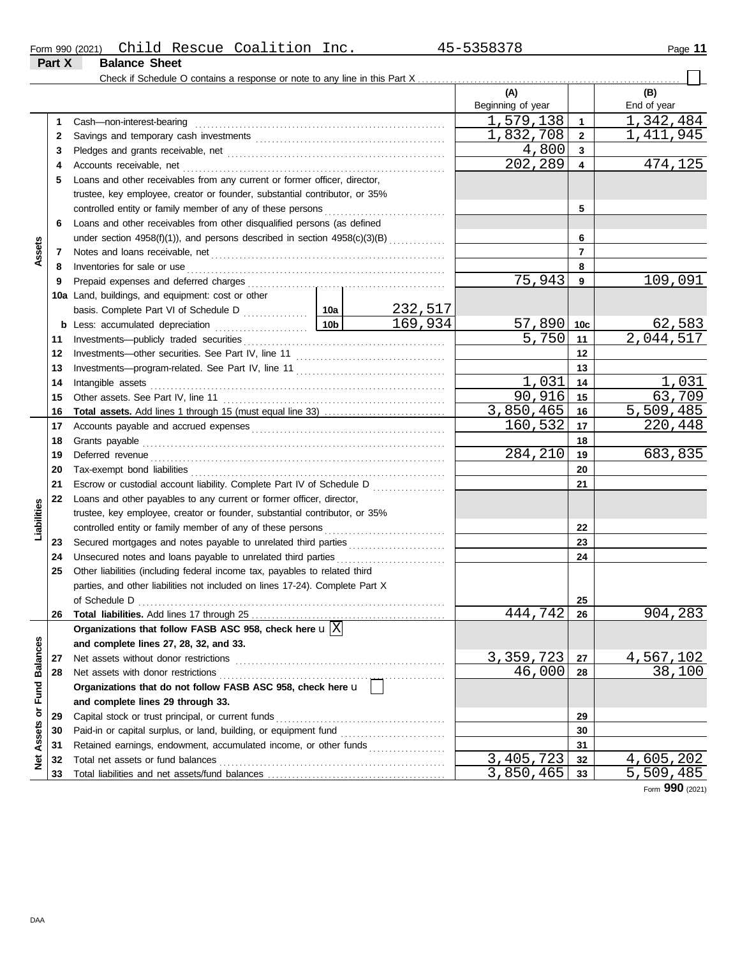|        |                      | Form 990 (2021) Child Rescue Coalition 1 | Inc. | 45-5358378 | Page 11 |
|--------|----------------------|------------------------------------------|------|------------|---------|
| Part X | <b>Balance Sheet</b> |                                          |      |            |         |

|                 |    |                                                                                                                                                                                                                                      |           |         | (A)                       |              | (B)                    |
|-----------------|----|--------------------------------------------------------------------------------------------------------------------------------------------------------------------------------------------------------------------------------------|-----------|---------|---------------------------|--------------|------------------------|
|                 |    |                                                                                                                                                                                                                                      |           |         | Beginning of year         |              | End of year            |
|                 | 1. | Cash-non-interest-bearing                                                                                                                                                                                                            |           |         | $\overline{1}$ , 579, 138 | $\mathbf 1$  | 1,342,484              |
|                 | 2  |                                                                                                                                                                                                                                      |           |         | 1,832,708                 | $\mathbf{2}$ | <u>1,411,945</u>       |
|                 | З  |                                                                                                                                                                                                                                      |           |         | 4,800                     | 3            |                        |
|                 | 4  |                                                                                                                                                                                                                                      |           |         | 202,289                   | 4            | 474,125                |
|                 | 5  | Loans and other receivables from any current or former officer, director,                                                                                                                                                            |           |         |                           |              |                        |
|                 |    | trustee, key employee, creator or founder, substantial contributor, or 35%                                                                                                                                                           |           |         |                           |              |                        |
|                 |    |                                                                                                                                                                                                                                      |           |         |                           | 5            |                        |
|                 | 6  | Loans and other receivables from other disqualified persons (as defined                                                                                                                                                              |           |         |                           |              |                        |
|                 |    | under section 4958(f)(1)), and persons described in section 4958(c)(3)(B)                                                                                                                                                            |           |         |                           | 6            |                        |
| Assets          | 7  |                                                                                                                                                                                                                                      |           |         |                           | 7            |                        |
|                 | 8  | Inventories for sale or use <i>communication</i> and the state of the contract of the state or the state or the state or the state or the state or the state or the state or the state of the state or the state or the state or th  |           |         |                           | 8            |                        |
|                 | 9  |                                                                                                                                                                                                                                      |           |         | 75,943                    | 9            | 109,091                |
|                 |    | 10a Land, buildings, and equipment: cost or other                                                                                                                                                                                    |           |         |                           |              |                        |
|                 |    |                                                                                                                                                                                                                                      |           | 232,517 |                           |              |                        |
|                 | b  |                                                                                                                                                                                                                                      |           | 169,934 | 57,890                    | 10c          | 62,583                 |
|                 | 11 |                                                                                                                                                                                                                                      |           |         | 5,750                     | 11           | $\overline{2,044,517}$ |
|                 | 12 |                                                                                                                                                                                                                                      |           |         | 12                        |              |                        |
|                 | 13 |                                                                                                                                                                                                                                      |           |         |                           | 13           |                        |
|                 | 14 |                                                                                                                                                                                                                                      |           |         | 1,031                     | 14           | 1,031                  |
|                 | 15 |                                                                                                                                                                                                                                      |           |         | 90,916                    | 15           | 63,709                 |
|                 | 16 | Total assets. Add lines 1 through 15 (must equal line 33)                                                                                                                                                                            |           |         | 3,850,465                 | 16           | 5,509,485              |
|                 | 17 |                                                                                                                                                                                                                                      |           |         | 160,532                   | 17           | 220,448                |
|                 | 18 |                                                                                                                                                                                                                                      |           | 18      |                           |              |                        |
|                 | 19 | Deferred revenue <b>contract and the contract of the contract of the contract of the contract of the contract of the contract of the contract of the contract of the contract of the contract of the contract of the contract of</b> | 284,210   | 19      | 683,835                   |              |                        |
|                 | 20 |                                                                                                                                                                                                                                      |           | 20      |                           |              |                        |
|                 | 21 | Escrow or custodial account liability. Complete Part IV of Schedule D                                                                                                                                                                |           |         | 21                        |              |                        |
|                 | 22 | Loans and other payables to any current or former officer, director,                                                                                                                                                                 |           |         |                           |              |                        |
| Liabilities     |    | trustee, key employee, creator or founder, substantial contributor, or 35%                                                                                                                                                           |           |         |                           |              |                        |
|                 |    |                                                                                                                                                                                                                                      |           |         |                           | 22           |                        |
|                 | 23 | Secured mortgages and notes payable to unrelated third parties                                                                                                                                                                       |           |         |                           | 23           |                        |
|                 | 24 | Unsecured notes and loans payable to unrelated third parties                                                                                                                                                                         |           |         |                           | 24           |                        |
|                 | 25 | Other liabilities (including federal income tax, payables to related third                                                                                                                                                           |           |         |                           |              |                        |
|                 |    | parties, and other liabilities not included on lines 17-24). Complete Part X                                                                                                                                                         |           |         |                           |              |                        |
|                 |    |                                                                                                                                                                                                                                      |           |         |                           | 25           |                        |
|                 | 26 |                                                                                                                                                                                                                                      |           |         | 444,742                   | 26           | <u>904,283</u>         |
|                 |    | Organizations that follow FASB ASC 958, check here $\mathbf{u}[\overline{X}]$                                                                                                                                                        |           |         |                           |              |                        |
|                 |    | and complete lines 27, 28, 32, and 33.                                                                                                                                                                                               |           |         |                           |              |                        |
|                 | 27 | Net assets without donor restrictions                                                                                                                                                                                                | 3,359,723 | 27      | <u>4,567,102</u>          |              |                        |
| <b>Balances</b> | 28 | Net assets with donor restrictions                                                                                                                                                                                                   | 46,000    | 28      | 38,100                    |              |                        |
|                 |    | Organizations that do not follow FASB ASC 958, check here u                                                                                                                                                                          |           |         |                           |              |                        |
| Fund            |    | and complete lines 29 through 33.                                                                                                                                                                                                    |           |         |                           |              |                        |
| ৯               | 29 | Capital stock or trust principal, or current funds                                                                                                                                                                                   |           |         |                           | 29           |                        |
|                 | 30 |                                                                                                                                                                                                                                      |           |         |                           | 30           |                        |
| Assets          | 31 | Retained earnings, endowment, accumulated income, or other funds                                                                                                                                                                     |           |         |                           | 31           |                        |
| ğ               | 32 | Total net assets or fund balances                                                                                                                                                                                                    |           |         | 3,405,723                 | 32           | 4,605,202              |
|                 | 33 |                                                                                                                                                                                                                                      |           |         | 3,850,465                 | 33           | 5,509,485              |

Form **990** (2021)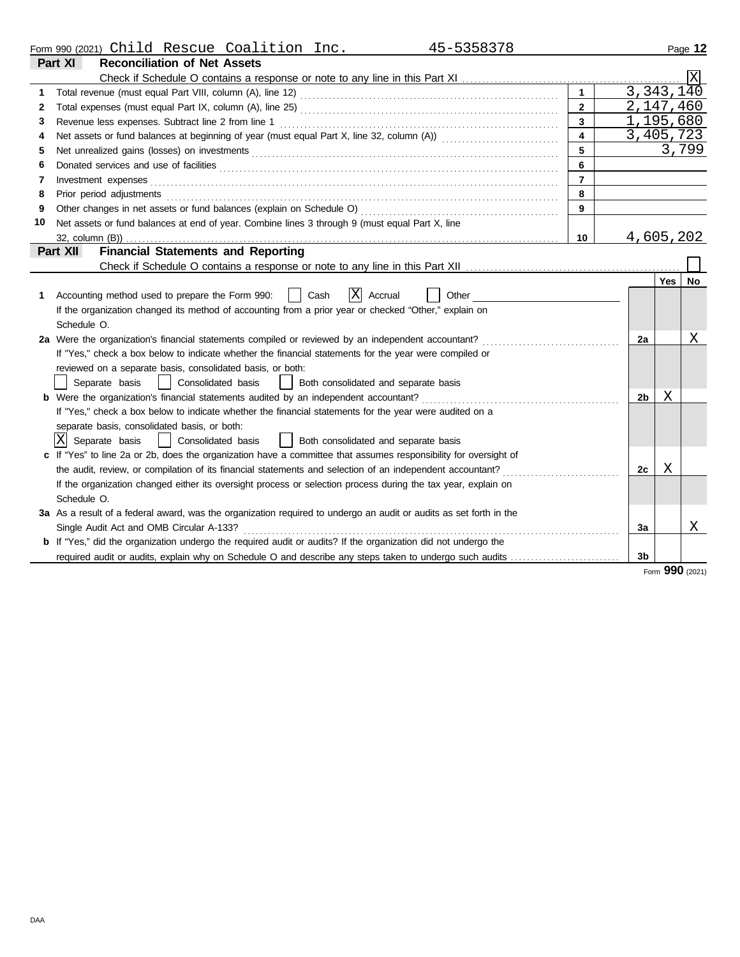|  | Form 990 (2021) | Child | Rescue | Coalition | Inc. | EDEODTO | Page<br>1 Z |
|--|-----------------|-------|--------|-----------|------|---------|-------------|
|--|-----------------|-------|--------|-----------|------|---------|-------------|

|    | <b>Reconciliation of Net Assets</b><br>Part XI                                                                        |                         |                     |                 |
|----|-----------------------------------------------------------------------------------------------------------------------|-------------------------|---------------------|-----------------|
|    |                                                                                                                       |                         |                     |                 |
|    |                                                                                                                       |                         |                     | 3,343,140       |
| 2  |                                                                                                                       | $\overline{2}$          |                     | 2,147,460       |
| 3  |                                                                                                                       | $\overline{\mathbf{3}}$ |                     | 1,195,680       |
| 4  |                                                                                                                       |                         |                     | 3,405,723       |
| 5  |                                                                                                                       | 5                       |                     | 3,799           |
| 6  |                                                                                                                       | 6                       |                     |                 |
| 7  | Investment expenses <b>contract and the expenses</b>                                                                  | $\overline{7}$          |                     |                 |
| 8  | Prior period adjustments                                                                                              | 8                       |                     |                 |
| 9  | Other changes in net assets or fund balances (explain on Schedule O)                                                  | 9                       |                     |                 |
| 10 | Net assets or fund balances at end of year. Combine lines 3 through 9 (must equal Part X, line                        |                         |                     |                 |
|    |                                                                                                                       | 10                      |                     | 4,605,202       |
|    | <b>Financial Statements and Reporting</b><br>Part XII                                                                 |                         |                     |                 |
|    |                                                                                                                       |                         |                     |                 |
|    |                                                                                                                       |                         | <b>Yes</b>          | No.             |
| 1. | ΙXΙ<br>Accounting method used to prepare the Form 990:<br>Cash<br>Accrual<br>Other                                    |                         |                     |                 |
|    | If the organization changed its method of accounting from a prior year or checked "Other," explain on                 |                         |                     |                 |
|    | Schedule O.                                                                                                           |                         |                     |                 |
|    | 2a Were the organization's financial statements compiled or reviewed by an independent accountant?                    |                         | 2a                  | Χ               |
|    | If "Yes," check a box below to indicate whether the financial statements for the year were compiled or                |                         |                     |                 |
|    | reviewed on a separate basis, consolidated basis, or both:                                                            |                         |                     |                 |
|    | Separate basis<br>  Consolidated basis<br>Both consolidated and separate basis                                        |                         |                     |                 |
|    | <b>b</b> Were the organization's financial statements audited by an independent accountant?                           |                         | Χ<br>2 <sub>b</sub> |                 |
|    | If "Yes," check a box below to indicate whether the financial statements for the year were audited on a               |                         |                     |                 |
|    | separate basis, consolidated basis, or both:                                                                          |                         |                     |                 |
|    | ΙXΙ<br>Separate basis<br>Consolidated basis<br>  Both consolidated and separate basis                                 |                         |                     |                 |
|    | c If "Yes" to line 2a or 2b, does the organization have a committee that assumes responsibility for oversight of      |                         |                     |                 |
|    | the audit, review, or compilation of its financial statements and selection of an independent accountant?             |                         | X<br>2c             |                 |
|    | If the organization changed either its oversight process or selection process during the tax year, explain on         |                         |                     |                 |
|    | Schedule O.                                                                                                           |                         |                     |                 |
|    | 3a As a result of a federal award, was the organization required to undergo an audit or audits as set forth in the    |                         |                     |                 |
|    | Single Audit Act and OMB Circular A-133?                                                                              |                         | 3a                  | Χ               |
|    | <b>b</b> If "Yes," did the organization undergo the required audit or audits? If the organization did not undergo the |                         |                     |                 |
|    | required audit or audits, explain why on Schedule O and describe any steps taken to undergo such audits               |                         | 3b                  |                 |
|    |                                                                                                                       |                         |                     | Form 990 (2021) |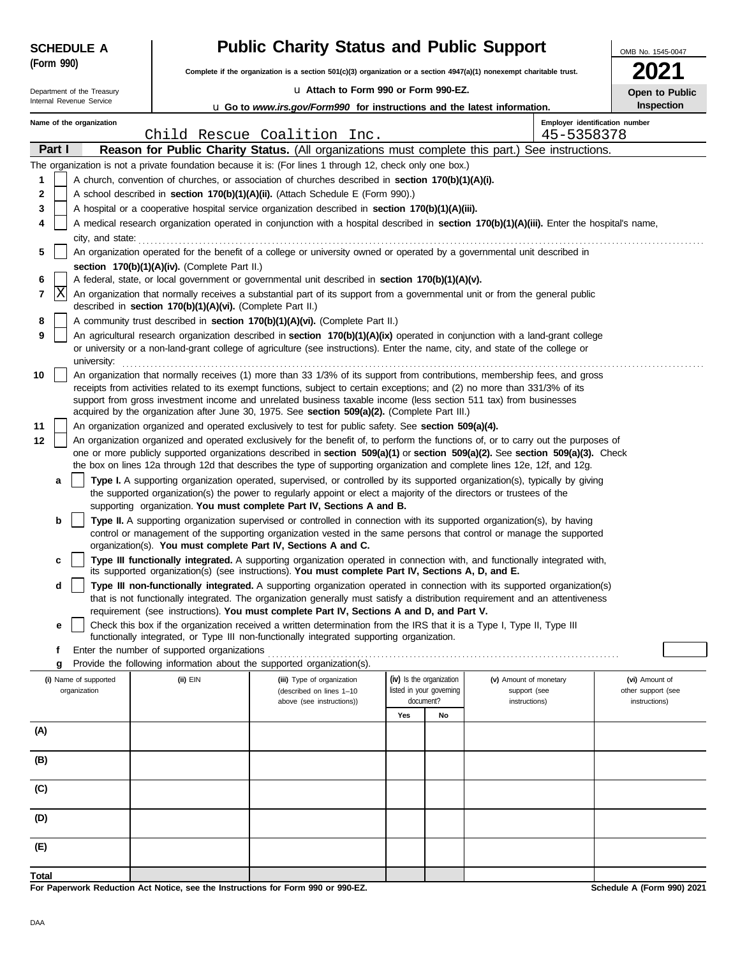| <b>SCHEDULE A</b> |            |                                       |                                                            | <b>Public Charity Status and Public Support</b>                                                                                                                                                                                                                                                                                                                                                    | OMB No. 1545-0047 |                                                                   |                                        |                                      |
|-------------------|------------|---------------------------------------|------------------------------------------------------------|----------------------------------------------------------------------------------------------------------------------------------------------------------------------------------------------------------------------------------------------------------------------------------------------------------------------------------------------------------------------------------------------------|-------------------|-------------------------------------------------------------------|----------------------------------------|--------------------------------------|
|                   | (Form 990) |                                       |                                                            | Complete if the organization is a section 501(c)(3) organization or a section 4947(a)(1) nonexempt charitable trust.                                                                                                                                                                                                                                                                               |                   |                                                                   |                                        |                                      |
|                   |            | Department of the Treasury            |                                                            | La Attach to Form 990 or Form 990-EZ.                                                                                                                                                                                                                                                                                                                                                              |                   |                                                                   |                                        | Open to Public                       |
|                   |            | Internal Revenue Service              |                                                            | <b>u</b> Go to www.irs.gov/Form990 for instructions and the latest information.                                                                                                                                                                                                                                                                                                                    |                   |                                                                   |                                        | Inspection                           |
|                   |            | Name of the organization              |                                                            |                                                                                                                                                                                                                                                                                                                                                                                                    |                   |                                                                   | Employer identification number         |                                      |
|                   |            |                                       |                                                            | Child Rescue Coalition Inc.                                                                                                                                                                                                                                                                                                                                                                        |                   |                                                                   | 45-5358378                             |                                      |
|                   | Part I     |                                       |                                                            | Reason for Public Charity Status. (All organizations must complete this part.) See instructions.                                                                                                                                                                                                                                                                                                   |                   |                                                                   |                                        |                                      |
|                   |            |                                       |                                                            | The organization is not a private foundation because it is: (For lines 1 through 12, check only one box.)                                                                                                                                                                                                                                                                                          |                   |                                                                   |                                        |                                      |
| 1                 |            |                                       |                                                            | A church, convention of churches, or association of churches described in section 170(b)(1)(A)(i).                                                                                                                                                                                                                                                                                                 |                   |                                                                   |                                        |                                      |
| 2                 |            |                                       |                                                            | A school described in section 170(b)(1)(A)(ii). (Attach Schedule E (Form 990).)                                                                                                                                                                                                                                                                                                                    |                   |                                                                   |                                        |                                      |
| 3                 |            |                                       |                                                            | A hospital or a cooperative hospital service organization described in section 170(b)(1)(A)(iii).                                                                                                                                                                                                                                                                                                  |                   |                                                                   |                                        |                                      |
| 4                 |            | city, and state:                      |                                                            | A medical research organization operated in conjunction with a hospital described in section 170(b)(1)(A)(iii). Enter the hospital's name,                                                                                                                                                                                                                                                         |                   |                                                                   |                                        |                                      |
| 5                 |            |                                       |                                                            | An organization operated for the benefit of a college or university owned or operated by a governmental unit described in                                                                                                                                                                                                                                                                          |                   |                                                                   |                                        |                                      |
|                   |            |                                       | section 170(b)(1)(A)(iv). (Complete Part II.)              |                                                                                                                                                                                                                                                                                                                                                                                                    |                   |                                                                   |                                        |                                      |
| 6                 |            |                                       |                                                            | A federal, state, or local government or governmental unit described in section 170(b)(1)(A)(v).                                                                                                                                                                                                                                                                                                   |                   |                                                                   |                                        |                                      |
| 7                 | X          |                                       | described in section 170(b)(1)(A)(vi). (Complete Part II.) | An organization that normally receives a substantial part of its support from a governmental unit or from the general public                                                                                                                                                                                                                                                                       |                   |                                                                   |                                        |                                      |
| 8                 |            |                                       |                                                            | A community trust described in section 170(b)(1)(A)(vi). (Complete Part II.)                                                                                                                                                                                                                                                                                                                       |                   |                                                                   |                                        |                                      |
| 9                 |            | university:                           |                                                            | An agricultural research organization described in section 170(b)(1)(A)(ix) operated in conjunction with a land-grant college<br>or university or a non-land-grant college of agriculture (see instructions). Enter the name, city, and state of the college or                                                                                                                                    |                   |                                                                   |                                        |                                      |
| 10                |            |                                       |                                                            | An organization that normally receives (1) more than 33 1/3% of its support from contributions, membership fees, and gross<br>receipts from activities related to its exempt functions, subject to certain exceptions; and (2) no more than 331/3% of its<br>support from gross investment income and unrelated business taxable income (less section 511 tax) from businesses                     |                   |                                                                   |                                        |                                      |
|                   |            |                                       |                                                            | acquired by the organization after June 30, 1975. See section 509(a)(2). (Complete Part III.)                                                                                                                                                                                                                                                                                                      |                   |                                                                   |                                        |                                      |
| 11                |            |                                       |                                                            | An organization organized and operated exclusively to test for public safety. See section 509(a)(4).                                                                                                                                                                                                                                                                                               |                   |                                                                   |                                        |                                      |
| 12                |            |                                       |                                                            | An organization organized and operated exclusively for the benefit of, to perform the functions of, or to carry out the purposes of<br>one or more publicly supported organizations described in section 509(a)(1) or section 509(a)(2). See section 509(a)(3). Check<br>the box on lines 12a through 12d that describes the type of supporting organization and complete lines 12e, 12f, and 12g. |                   |                                                                   |                                        |                                      |
|                   | a          |                                       |                                                            | Type I. A supporting organization operated, supervised, or controlled by its supported organization(s), typically by giving                                                                                                                                                                                                                                                                        |                   |                                                                   |                                        |                                      |
|                   |            |                                       |                                                            | the supported organization(s) the power to regularly appoint or elect a majority of the directors or trustees of the<br>supporting organization. You must complete Part IV, Sections A and B.                                                                                                                                                                                                      |                   |                                                                   |                                        |                                      |
|                   | b          |                                       |                                                            | Type II. A supporting organization supervised or controlled in connection with its supported organization(s), by having<br>control or management of the supporting organization vested in the same persons that control or manage the supported<br>organization(s). You must complete Part IV, Sections A and C.                                                                                   |                   |                                                                   |                                        |                                      |
|                   | c          |                                       |                                                            | Type III functionally integrated. A supporting organization operated in connection with, and functionally integrated with,<br>its supported organization(s) (see instructions). You must complete Part IV, Sections A, D, and E.                                                                                                                                                                   |                   |                                                                   |                                        |                                      |
|                   | d          |                                       |                                                            | Type III non-functionally integrated. A supporting organization operated in connection with its supported organization(s)<br>that is not functionally integrated. The organization generally must satisfy a distribution requirement and an attentiveness                                                                                                                                          |                   |                                                                   |                                        |                                      |
|                   |            |                                       |                                                            | requirement (see instructions). You must complete Part IV, Sections A and D, and Part V.                                                                                                                                                                                                                                                                                                           |                   |                                                                   |                                        |                                      |
|                   | е          |                                       |                                                            | Check this box if the organization received a written determination from the IRS that it is a Type I, Type II, Type III<br>functionally integrated, or Type III non-functionally integrated supporting organization.                                                                                                                                                                               |                   |                                                                   |                                        |                                      |
|                   | f          |                                       | Enter the number of supported organizations                |                                                                                                                                                                                                                                                                                                                                                                                                    |                   |                                                                   |                                        |                                      |
|                   | g          |                                       |                                                            | Provide the following information about the supported organization(s).                                                                                                                                                                                                                                                                                                                             |                   |                                                                   |                                        |                                      |
|                   |            | (i) Name of supported<br>organization | (ii) EIN                                                   | (iii) Type of organization<br>(described on lines 1-10                                                                                                                                                                                                                                                                                                                                             |                   | (iv) Is the organization<br>listed in your governing<br>document? | (v) Amount of monetary<br>support (see | (vi) Amount of<br>other support (see |
|                   |            |                                       |                                                            | above (see instructions))                                                                                                                                                                                                                                                                                                                                                                          | Yes               | No                                                                | instructions)                          | instructions)                        |
| (A)               |            |                                       |                                                            |                                                                                                                                                                                                                                                                                                                                                                                                    |                   |                                                                   |                                        |                                      |
|                   |            |                                       |                                                            |                                                                                                                                                                                                                                                                                                                                                                                                    |                   |                                                                   |                                        |                                      |
| (B)               |            |                                       |                                                            |                                                                                                                                                                                                                                                                                                                                                                                                    |                   |                                                                   |                                        |                                      |
| (C)               |            |                                       |                                                            |                                                                                                                                                                                                                                                                                                                                                                                                    |                   |                                                                   |                                        |                                      |
| (D)               |            |                                       |                                                            |                                                                                                                                                                                                                                                                                                                                                                                                    |                   |                                                                   |                                        |                                      |
| (E)               |            |                                       |                                                            |                                                                                                                                                                                                                                                                                                                                                                                                    |                   |                                                                   |                                        |                                      |
| Total             |            |                                       |                                                            |                                                                                                                                                                                                                                                                                                                                                                                                    |                   |                                                                   |                                        |                                      |

**For Paperwork Reduction Act Notice, see the Instructions for Form 990 or 990-EZ.**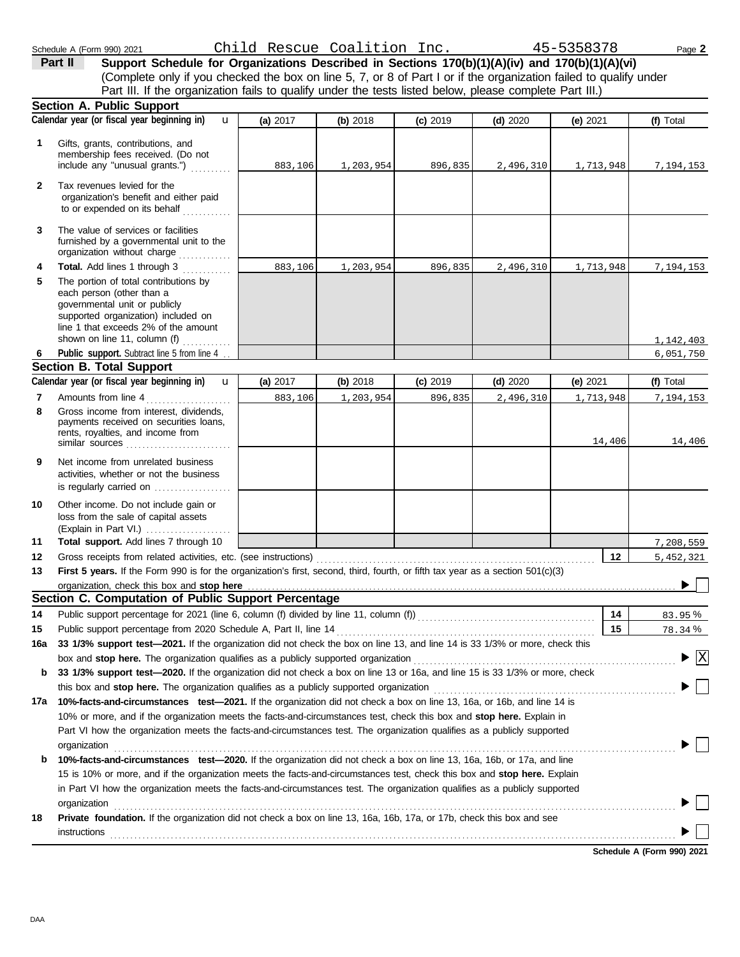(Complete only if you checked the box on line 5, 7, or 8 of Part I or if the organization failed to qualify under **Part II** Support Schedule for Organizations Described in Sections 170(b)(1)(A)(iv) and 170(b)(1)(A)(vi) Part III. If the organization fails to qualify under the tests listed below, please complete Part III.)

| 1            | Calendar year (or fiscal year beginning in)<br>$\mathbf{u}$<br>Gifts, grants, contributions, and                                                                                                                                                                                                                                                                                                                | (a) 2017 | (b) 2018  | $(c)$ 2019 | (d) $2020$ | (e) 2021  |                                    |
|--------------|-----------------------------------------------------------------------------------------------------------------------------------------------------------------------------------------------------------------------------------------------------------------------------------------------------------------------------------------------------------------------------------------------------------------|----------|-----------|------------|------------|-----------|------------------------------------|
|              |                                                                                                                                                                                                                                                                                                                                                                                                                 |          |           |            |            |           | (f) Total                          |
|              | membership fees received. (Do not<br>include any "unusual grants.")                                                                                                                                                                                                                                                                                                                                             | 883,106  | 1,203,954 | 896,835    | 2,496,310  | 1,713,948 | 7,194,153                          |
| $\mathbf{2}$ | Tax revenues levied for the<br>organization's benefit and either paid<br>to or expended on its behalf                                                                                                                                                                                                                                                                                                           |          |           |            |            |           |                                    |
| 3            | The value of services or facilities<br>furnished by a governmental unit to the<br>organization without charge www.com                                                                                                                                                                                                                                                                                           |          |           |            |            |           |                                    |
| 4<br>5       | Total. Add lines 1 through 3<br>The portion of total contributions by<br>each person (other than a<br>governmental unit or publicly<br>supported organization) included on<br>line 1 that exceeds 2% of the amount                                                                                                                                                                                              | 883,106  | 1,203,954 | 896,835    | 2,496,310  | 1,713,948 | 7,194,153                          |
|              | shown on line 11, column (f)                                                                                                                                                                                                                                                                                                                                                                                    |          |           |            |            |           | 1, 142, 403                        |
| 6            | Public support. Subtract line 5 from line 4.                                                                                                                                                                                                                                                                                                                                                                    |          |           |            |            |           | 6,051,750                          |
|              | <b>Section B. Total Support</b>                                                                                                                                                                                                                                                                                                                                                                                 |          |           |            |            |           |                                    |
|              | Calendar year (or fiscal year beginning in)<br>$\mathbf{u}$                                                                                                                                                                                                                                                                                                                                                     | (a) 2017 | (b) 2018  | (c) 2019   | $(d)$ 2020 | (e) 2021  | (f) Total                          |
| 7            | Amounts from line 4                                                                                                                                                                                                                                                                                                                                                                                             | 883,106  | 1,203,954 | 896,835    | 2,496,310  | 1,713,948 | 7,194,153                          |
| 8            | Gross income from interest. dividends.<br>payments received on securities loans,<br>rents, royalties, and income from<br>similar sources $\ldots$ , $\ldots$ , $\ldots$ , $\ldots$ , $\ldots$                                                                                                                                                                                                                   |          |           |            |            | 14,406    | 14,406                             |
| 9            | Net income from unrelated business<br>activities, whether or not the business<br>is regularly carried on                                                                                                                                                                                                                                                                                                        |          |           |            |            |           |                                    |
| 10           | Other income. Do not include gain or<br>loss from the sale of capital assets                                                                                                                                                                                                                                                                                                                                    |          |           |            |            |           |                                    |
| 11           | Total support. Add lines 7 through 10                                                                                                                                                                                                                                                                                                                                                                           |          |           |            |            |           | 7,208,559                          |
| 12           | Gross receipts from related activities, etc. (see instructions)                                                                                                                                                                                                                                                                                                                                                 |          |           |            |            | 12        | 5,452,321                          |
| 13           | First 5 years. If the Form 990 is for the organization's first, second, third, fourth, or fifth tax year as a section 501(c)(3)                                                                                                                                                                                                                                                                                 |          |           |            |            |           |                                    |
|              | organization, check this box and stop here                                                                                                                                                                                                                                                                                                                                                                      |          |           |            |            |           |                                    |
|              | Section C. Computation of Public Support Percentage                                                                                                                                                                                                                                                                                                                                                             |          |           |            |            |           |                                    |
| 14           | Public support percentage for 2021 (line 6, column (f) divided by line 11, column (f)) [[[[[[[[[[[[[[[[[[[[[[                                                                                                                                                                                                                                                                                                   |          |           |            |            | 14        | 83.95%                             |
| 15           |                                                                                                                                                                                                                                                                                                                                                                                                                 |          |           |            |            | 15        | 78.34%                             |
| 16a          | 33 1/3% support test-2021. If the organization did not check the box on line 13, and line 14 is 33 1/3% or more, check this                                                                                                                                                                                                                                                                                     |          |           |            |            |           |                                    |
|              | box and stop here. The organization qualifies as a publicly supported organization                                                                                                                                                                                                                                                                                                                              |          |           |            |            |           | $\blacktriangleright \overline{X}$ |
| b            | 33 1/3% support test-2020. If the organization did not check a box on line 13 or 16a, and line 15 is 33 1/3% or more, check                                                                                                                                                                                                                                                                                     |          |           |            |            |           |                                    |
|              | this box and stop here. The organization qualifies as a publicly supported organization                                                                                                                                                                                                                                                                                                                         |          |           |            |            |           |                                    |
| 17а          | 10%-facts-and-circumstances test-2021. If the organization did not check a box on line 13, 16a, or 16b, and line 14 is                                                                                                                                                                                                                                                                                          |          |           |            |            |           |                                    |
|              | 10% or more, and if the organization meets the facts-and-circumstances test, check this box and stop here. Explain in<br>Part VI how the organization meets the facts-and-circumstances test. The organization qualifies as a publicly supported                                                                                                                                                                |          |           |            |            |           |                                    |
| b            | organization<br>10%-facts-and-circumstances test-2020. If the organization did not check a box on line 13, 16a, 16b, or 17a, and line<br>15 is 10% or more, and if the organization meets the facts-and-circumstances test, check this box and stop here. Explain<br>in Part VI how the organization meets the facts-and-circumstances test. The organization qualifies as a publicly supported<br>organization |          |           |            |            |           |                                    |
| 18           | Private foundation. If the organization did not check a box on line 13, 16a, 16b, 17a, or 17b, check this box and see<br>instructions                                                                                                                                                                                                                                                                           |          |           |            |            |           | Cahadule A (Farm 000) 202          |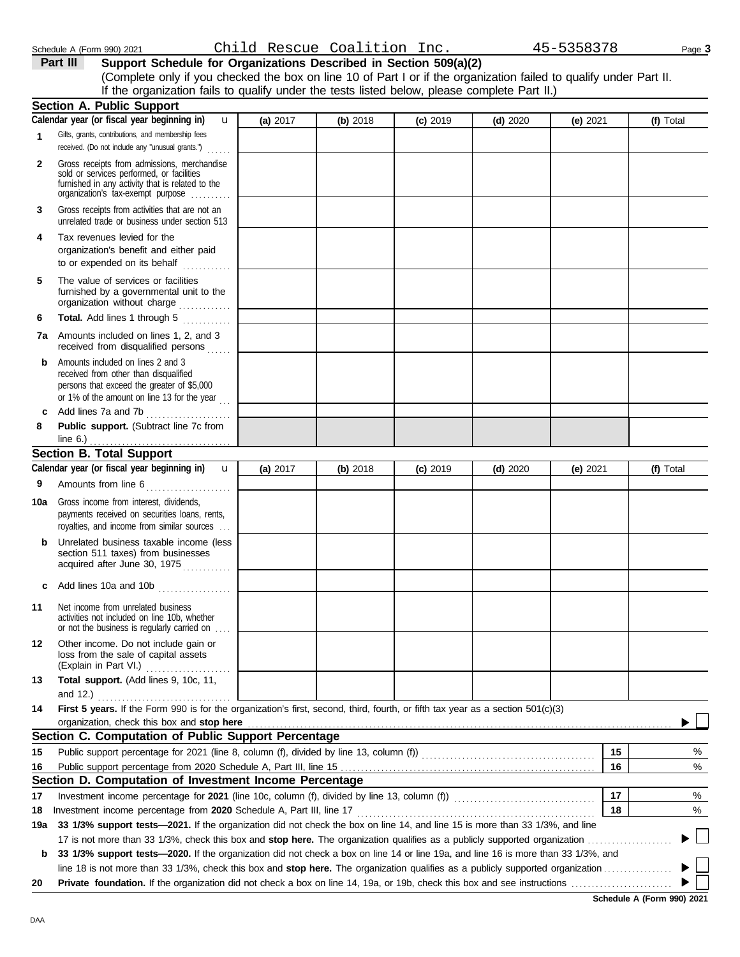**8**

**9**

**Section B. Total Support**

line 6.)

**10a** Gross income from interest, dividends,

**Calendar year (or fiscal year beginning in)** 

**11** Net income from unrelated business

**Public support.** (Subtract line 7c from

. . . . . . . . . . . . . . . . . . . . . . . . . . . . . . . . . . .

u

Amounts from line 6......................

royalties, and income from similar sources . . . payments received on securities loans, rents,

**b** Unrelated business taxable income (less section 511 taxes) from businesses acquired after June 30, 1975 **c** Add lines 10a and 10b . . . . . . . . . . . . . . . . . .

activities not included on line 10b, whether or not the business is regularly carried on . . . .

(Explain in Part VI.) . . . . . . . . . . . . . . . . . . . . . loss from the sale of capital assets **12** Other income. Do not include gain or

and 12.) . . . . . . . . . . . . . . . . . . . . . . . . . . . . . . . . .

organization, check this box and stop here

**Section C. Computation of Public Support Percentage**

**Section D. Computation of Investment Income Percentage**

**14 First 5 years.** If the Form 990 is for the organization's first, second, third, fourth, or fifth tax year as a section 501(c)(3)

Public support percentage from 2020 Schedule A, Part III, line 15 . . . . . . . . . . . . . . . . . . . . . . . . . . . . . . . . . . . . . . . . . . . . . . . . . . . . . . . . . . . . . . . **15** Public support percentage for 2021 (line 8, column (f), divided by line 13, column (f))  $\ldots$ 

Investment income percentage for **2021** (line 10c, column (f), divided by line 13, column (f)) . . . . . . . . . . . . . . . . . . . . . . . . . . . . . . . . . . .

Investment income percentage from **2020** Schedule A, Part III, line 17 . . . . . . . . . . . . . . . . . . . . . . . . . . . . . . . . . . . . . . . . . . . . . . . . . . . . . . . . . . .

**b 33 1/3% support tests—2020.** If the organization did not check a box on line 14 or line 19a, and line 16 is more than 33 1/3%, and

**19a 33 1/3% support tests—2021.** If the organization did not check the box on line 14, and line 15 is more than 33 1/3%, and line

17 is not more than 33 1/3%, check this box and **stop here.** The organization qualifies as a publicly supported organization . . . . . . . . . . . . . . . . . . . . .

line 18 is not more than 33 1/3%, check this box and **stop here.** The organization qualifies as a publicly supported organization . . . . . . . . . . . . . . . . . **20 Private foundation.** If the organization did not check a box on line 14, 19a, or 19b, check this box and see instructions . . . . . . . . . . . . . . . . . . . . . . . . .

**13 Total support.** (Add lines 9, 10c, 11,

**c** Add lines 7a and 7b . . . . . . . . . . . . . . . . . . . . .

|              | Schedule A (Form 990) 2021                                                                                                                                                                                                                                                                          |              |          | Child Rescue Coalition Inc. |            |            | 45-5358378 | Page 3    |
|--------------|-----------------------------------------------------------------------------------------------------------------------------------------------------------------------------------------------------------------------------------------------------------------------------------------------------|--------------|----------|-----------------------------|------------|------------|------------|-----------|
|              | Part III<br>Support Schedule for Organizations Described in Section 509(a)(2)<br>(Complete only if you checked the box on line 10 of Part I or if the organization failed to qualify under Part II.<br>If the organization fails to qualify under the tests listed below, please complete Part II.) |              |          |                             |            |            |            |           |
|              | <b>Section A. Public Support</b>                                                                                                                                                                                                                                                                    |              |          |                             |            |            |            |           |
|              | Calendar year (or fiscal year beginning in)                                                                                                                                                                                                                                                         | $\mathbf{u}$ | (a) 2017 | (b) 2018                    | $(c)$ 2019 | $(d)$ 2020 | (e) 2021   | (f) Total |
| 1            | Gifts, grants, contributions, and membership fees<br>received. (Do not include any "unusual grants.")                                                                                                                                                                                               |              |          |                             |            |            |            |           |
| $\mathbf{2}$ | Gross receipts from admissions, merchandise<br>sold or services performed, or facilities<br>furnished in any activity that is related to the<br>organization's tax-exempt purpose                                                                                                                   |              |          |                             |            |            |            |           |
| 3            | Gross receipts from activities that are not an<br>unrelated trade or business under section 513                                                                                                                                                                                                     |              |          |                             |            |            |            |           |
| 4            | Tax revenues levied for the<br>organization's benefit and either paid<br>to or expended on its behalf                                                                                                                                                                                               |              |          |                             |            |            |            |           |
| 5            | The value of services or facilities<br>furnished by a governmental unit to the<br>organization without charge                                                                                                                                                                                       |              |          |                             |            |            |            |           |
| 6            | Total. Add lines 1 through 5                                                                                                                                                                                                                                                                        |              |          |                             |            |            |            |           |
|              | <b>7a</b> Amounts included on lines 1, 2, and 3<br>received from disqualified persons                                                                                                                                                                                                               |              |          |                             |            |            |            |           |
|              | Amounts included on lines 2 and 3<br>received from other than disqualified<br>persons that exceed the greater of \$5,000<br>or 1% of the amount on line 13 for the year                                                                                                                             |              |          |                             |            |            |            |           |

**(a)** 2017 **(b)** 2018 **(c)** 2019 **(d)** 2020 **(e)** 2021

| Schedule A (Form 990) 2021 |  |  |
|----------------------------|--|--|
|                            |  |  |

**16 15**

**17 18** % %

**(f)** Total

% %

**16**

**18**

**17**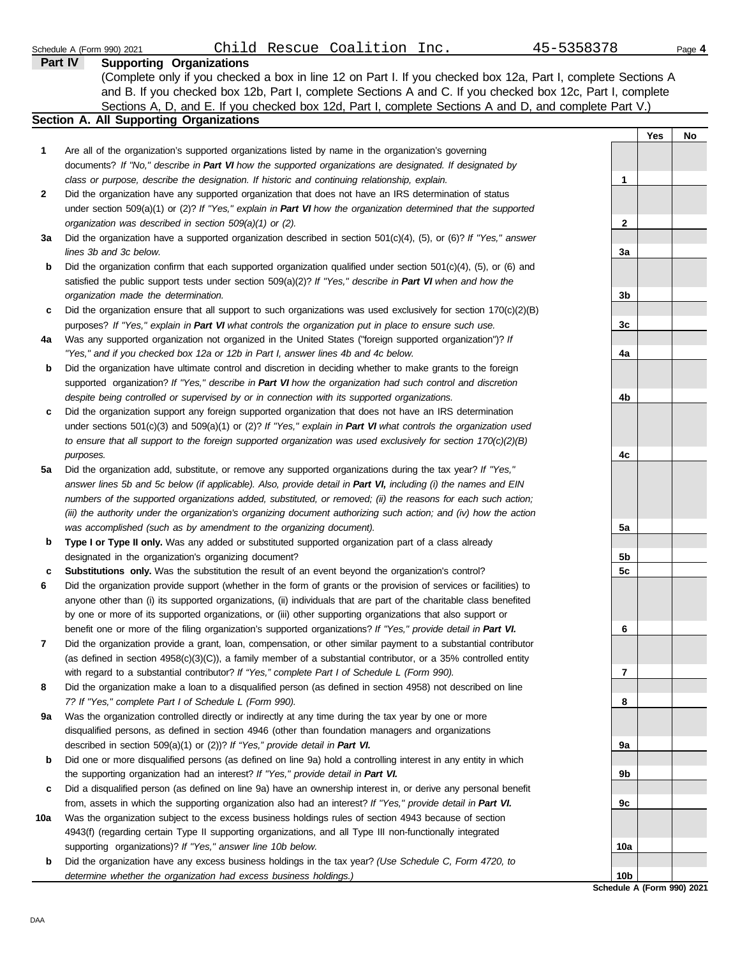| Schedule A (Form 990) 2021                     | Child Rescue Coalition Inc.                                                                                         | 45-5358378     |            | Page 4 |
|------------------------------------------------|---------------------------------------------------------------------------------------------------------------------|----------------|------------|--------|
| Part IV                                        | <b>Supporting Organizations</b>                                                                                     |                |            |        |
|                                                | (Complete only if you checked a box in line 12 on Part I. If you checked box 12a, Part I, complete Sections A       |                |            |        |
|                                                | and B. If you checked box 12b, Part I, complete Sections A and C. If you checked box 12c, Part I, complete          |                |            |        |
|                                                | Sections A, D, and E. If you checked box 12d, Part I, complete Sections A and D, and complete Part V.)              |                |            |        |
| <b>Section A. All Supporting Organizations</b> |                                                                                                                     |                |            |        |
|                                                |                                                                                                                     |                | <b>Yes</b> | No     |
| 1                                              | Are all of the organization's supported organizations listed by name in the organization's governing                |                |            |        |
|                                                | documents? If "No," describe in Part VI how the supported organizations are designated. If designated by            |                |            |        |
|                                                | class or purpose, describe the designation. If historic and continuing relationship, explain.                       | 1              |            |        |
| $\mathbf{2}$                                   | Did the organization have any supported organization that does not have an IRS determination of status              |                |            |        |
|                                                | under section 509(a)(1) or (2)? If "Yes," explain in Part VI how the organization determined that the supported     |                |            |        |
|                                                | organization was described in section 509(a)(1) or (2).                                                             | $\mathbf{2}$   |            |        |
| За                                             | Did the organization have a supported organization described in section $501(c)(4)$ , (5), or (6)? If "Yes," answer |                |            |        |
| lines 3b and 3c below.                         |                                                                                                                     | 3a             |            |        |
| b                                              | Did the organization confirm that each supported organization qualified under section $501(c)(4)$ , (5), or (6) and |                |            |        |
|                                                | satisfied the public support tests under section $509(a)(2)$ ? If "Yes," describe in Part VI when and how the       |                |            |        |
| organization made the determination.           |                                                                                                                     | 3 <sub>b</sub> |            |        |
| c                                              | Did the organization ensure that all support to such organizations was used exclusively for section $170(c)(2)(B)$  |                |            |        |
|                                                | purposes? If "Yes," explain in Part VI what controls the organization put in place to ensure such use.              | 3c             |            |        |
| 4a                                             | Was any supported organization not organized in the United States ("foreign supported organization")? If            |                |            |        |
|                                                | "Yes," and if you checked box 12a or 12b in Part I, answer lines 4b and 4c below.                                   | 4a             |            |        |

**4b**

**4c**

**5a**

**5b 5c**

**6**

**7**

**8**

**9a**

**9b**

**9c**

**10a**

**10b**

**b** *"Yes," and if you checked box 12a or 12b in Part I, answer lines 4b and 4c below.* Did the organization have ultimate control and discretion in deciding whether to make grants to the foreign supported organization? *If "Yes," describe in Part VI how the organization had such control and discretion despite being controlled or supervised by or in connection with its supported organizations.*

- **c** Did the organization support any foreign supported organization that does not have an IRS determination under sections 501(c)(3) and 509(a)(1) or (2)? *If "Yes," explain in Part VI what controls the organization used to ensure that all support to the foreign supported organization was used exclusively for section 170(c)(2)(B) purposes.*
- **5a** Did the organization add, substitute, or remove any supported organizations during the tax year? *If "Yes," answer lines 5b and 5c below (if applicable). Also, provide detail in Part VI, including (i) the names and EIN numbers of the supported organizations added, substituted, or removed; (ii) the reasons for each such action; (iii) the authority under the organization's organizing document authorizing such action; and (iv) how the action was accomplished (such as by amendment to the organizing document).*
- **b Type I or Type II only.** Was any added or substituted supported organization part of a class already designated in the organization's organizing document?
- **c Substitutions only.** Was the substitution the result of an event beyond the organization's control?
- **6** Did the organization provide support (whether in the form of grants or the provision of services or facilities) to anyone other than (i) its supported organizations, (ii) individuals that are part of the charitable class benefited by one or more of its supported organizations, or (iii) other supporting organizations that also support or benefit one or more of the filing organization's supported organizations? *If "Yes," provide detail in Part VI.*
- **7** Did the organization provide a grant, loan, compensation, or other similar payment to a substantial contributor (as defined in section 4958(c)(3)(C)), a family member of a substantial contributor, or a 35% controlled entity with regard to a substantial contributor? *If "Yes," complete Part I of Schedule L (Form 990).*
- **8** Did the organization make a loan to a disqualified person (as defined in section 4958) not described on line *7? If "Yes," complete Part I of Schedule L (Form 990).*
- **9a** Was the organization controlled directly or indirectly at any time during the tax year by one or more disqualified persons, as defined in section 4946 (other than foundation managers and organizations described in section 509(a)(1) or (2))? *If "Yes," provide detail in Part VI.*
- **b** Did one or more disqualified persons (as defined on line 9a) hold a controlling interest in any entity in which the supporting organization had an interest? *If "Yes," provide detail in Part VI.*
- **c** Did a disqualified person (as defined on line 9a) have an ownership interest in, or derive any personal benefit from, assets in which the supporting organization also had an interest? *If "Yes," provide detail in Part VI.*
- **10a** Was the organization subject to the excess business holdings rules of section 4943 because of section 4943(f) (regarding certain Type II supporting organizations, and all Type III non-functionally integrated supporting organizations)? *If "Yes," answer line 10b below.*
- **b** Did the organization have any excess business holdings in the tax year? *(Use Schedule C, Form 4720, to determine whether the organization had excess business holdings.)*

**Schedule A (Form 990) 2021**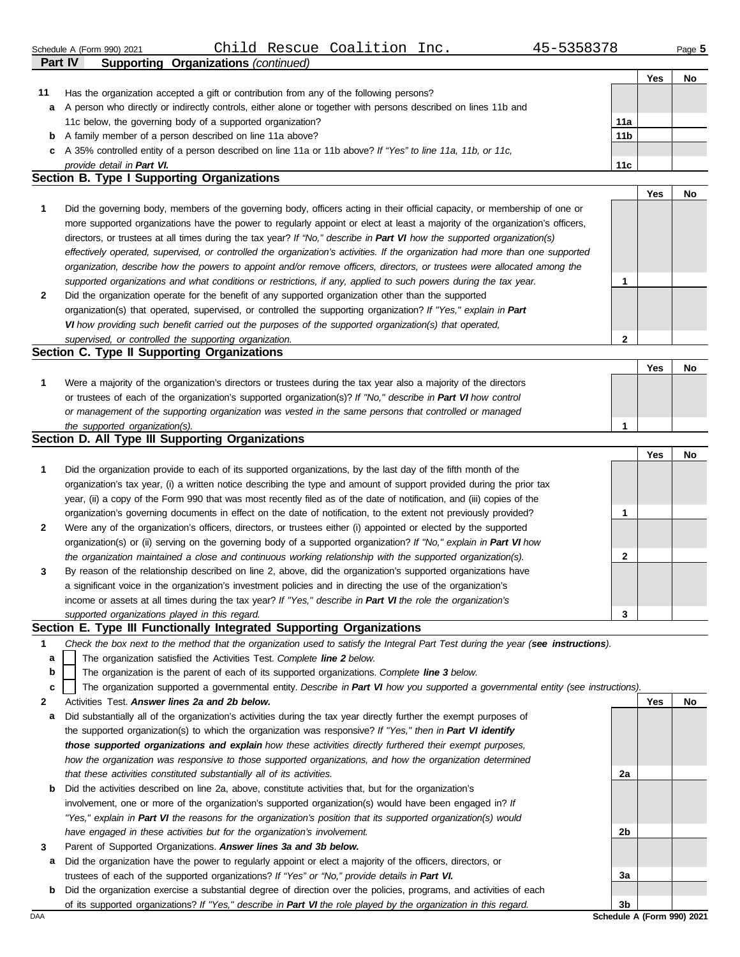|                                               | Schedule A (Form 990) 2021                                                                                       |  |  | Child Rescue Coalition Inc. |  | 45-5358378      |     | Page 5 |
|-----------------------------------------------|------------------------------------------------------------------------------------------------------------------|--|--|-----------------------------|--|-----------------|-----|--------|
|                                               | Part IV<br><b>Supporting Organizations (continued)</b>                                                           |  |  |                             |  |                 |     |        |
|                                               |                                                                                                                  |  |  |                             |  |                 | Yes | No     |
| 11                                            | Has the organization accepted a gift or contribution from any of the following persons?                          |  |  |                             |  |                 |     |        |
|                                               | a A person who directly or indirectly controls, either alone or together with persons described on lines 11b and |  |  |                             |  |                 |     |        |
|                                               | 11c below, the governing body of a supported organization?<br>11a                                                |  |  |                             |  |                 |     |        |
|                                               | <b>b</b> A family member of a person described on line 11a above?                                                |  |  |                             |  | 11 <sub>b</sub> |     |        |
|                                               | c A 35% controlled entity of a person described on line 11a or 11b above? If "Yes" to line 11a, 11b, or 11c,     |  |  |                             |  |                 |     |        |
| 11 <sub>c</sub><br>provide detail in Part VI. |                                                                                                                  |  |  |                             |  |                 |     |        |
|                                               | Section B. Type I Supporting Organizations                                                                       |  |  |                             |  |                 |     |        |
|                                               |                                                                                                                  |  |  |                             |  |                 | Yes | No     |

**2 1** *supported organizations and what conditions or restrictions, if any, applied to such powers during the tax year. organization, describe how the powers to appoint and/or remove officers, directors, or trustees were allocated among the effectively operated, supervised, or controlled the organization's activities. If the organization had more than one supported* directors, or trustees at all times during the tax year? *If "No," describe in Part VI how the supported organization(s)* more supported organizations have the power to regularly appoint or elect at least a majority of the organization's officers, Did the governing body, members of the governing body, officers acting in their official capacity, or membership of one or Did the organization operate for the benefit of any supported organization other than the supported organization(s) that operated, supervised, or controlled the supporting organization? *If "Yes," explain in Part*  **1**

*VI how providing such benefit carried out the purposes of the supported organization(s) that operated, supervised, or controlled the supporting organization.*

# **Section C. Type II Supporting Organizations**

|                                                                                                                  |  | No |
|------------------------------------------------------------------------------------------------------------------|--|----|
| Were a majority of the organization's directors or trustees during the tax year also a majority of the directors |  |    |
| or trustees of each of the organization's supported organization(s)? If "No," describe in Part VI how control    |  |    |
| or management of the supporting organization was vested in the same persons that controlled or managed           |  |    |
| the supported organization(s).                                                                                   |  |    |

## **Section D. All Type III Supporting Organizations**

|              |                                                                                                                        |   | Yes | No |
|--------------|------------------------------------------------------------------------------------------------------------------------|---|-----|----|
|              | Did the organization provide to each of its supported organizations, by the last day of the fifth month of the         |   |     |    |
|              | organization's tax year, (i) a written notice describing the type and amount of support provided during the prior tax  |   |     |    |
|              | year, (ii) a copy of the Form 990 that was most recently filed as of the date of notification, and (iii) copies of the |   |     |    |
|              | organization's governing documents in effect on the date of notification, to the extent not previously provided?       |   |     |    |
| $\mathbf{2}$ | Were any of the organization's officers, directors, or trustees either (i) appointed or elected by the supported       |   |     |    |
|              | organization(s) or (ii) serving on the governing body of a supported organization? If "No," explain in Part VI how     |   |     |    |
|              | the organization maintained a close and continuous working relationship with the supported organization(s).            | າ |     |    |
| 3            | By reason of the relationship described on line 2, above, did the organization's supported organizations have          |   |     |    |
|              | a significant voice in the organization's investment policies and in directing the use of the organization's           |   |     |    |
|              | income or assets at all times during the tax year? If "Yes," describe in Part VI the role the organization's           |   |     |    |
|              | supported organizations played in this regard.                                                                         | 3 |     |    |

### **Section E. Type III Functionally Integrated Supporting Organizations**

- **1** *Check the box next to the method that the organization used to satisfy the Integral Part Test during the year (see instructions).*
	- The organization satisfied the Activities Test. *Complete line 2 below.* **a**
	- The organization is the parent of each of its supported organizations. *Complete line 3 below.* **b**
	- The organization supported a governmental entity. *Describe in Part VI how you supported a governmental entity (see instructions).* **c**
- **2** Activities Test. *Answer lines 2a and 2b below.*
- **a** Did substantially all of the organization's activities during the tax year directly further the exempt purposes of the supported organization(s) to which the organization was responsive? *If "Yes," then in Part VI identify those supported organizations and explain how these activities directly furthered their exempt purposes,*  how the organization was responsive to those supported organizations, and how the organization determined *that these activities constituted substantially all of its activities.*
- **b** Did the activities described on line 2a, above, constitute activities that, but for the organization's involvement, one or more of the organization's supported organization(s) would have been engaged in? *If "Yes," explain in Part VI the reasons for the organization's position that its supported organization(s) would have engaged in these activities but for the organization's involvement.*
- **3** Parent of Supported Organizations. *Answer lines 3a and 3b below.*
- **a** Did the organization have the power to regularly appoint or elect a majority of the officers, directors, or trustees of each of the supported organizations? *If "Yes" or "No," provide details in Part VI.*
- DAA **Schedule A (Form 990) 2021 b** Did the organization exercise a substantial degree of direction over the policies, programs, and activities of each of its supported organizations? *If "Yes," describe in Part VI the role played by the organization in this regard.*

**2a**

**2b**

**3a**

**3b**

**Yes No**

**2**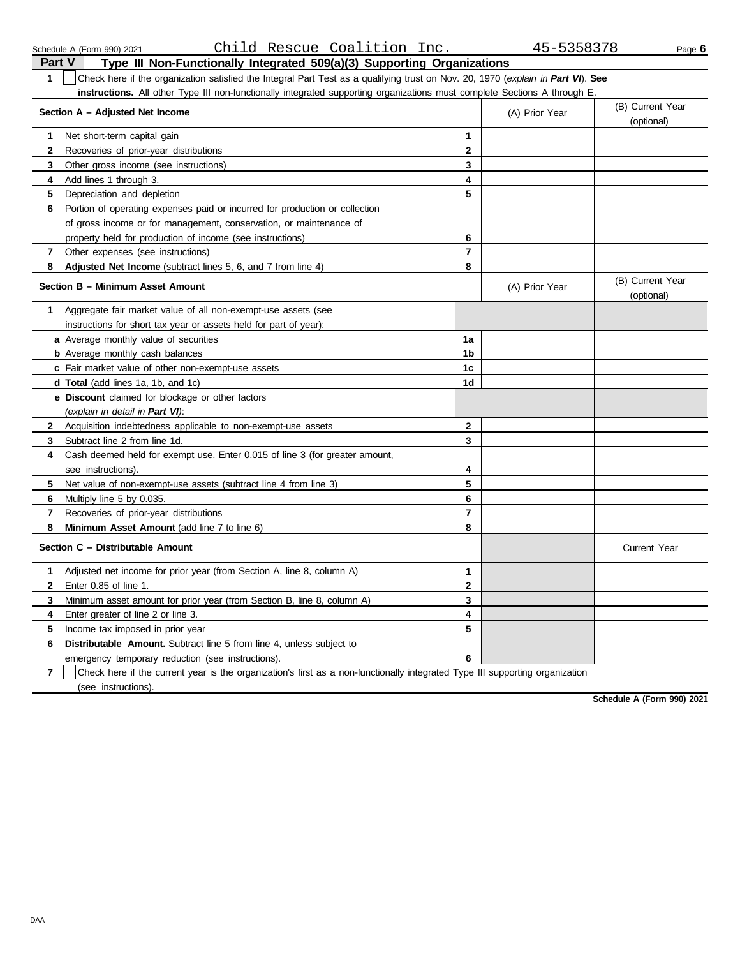| Part V         | Type III Non-Functionally Integrated 509(a)(3) Supporting Organizations                                                          |                         |                |                                |  |  |  |  |
|----------------|----------------------------------------------------------------------------------------------------------------------------------|-------------------------|----------------|--------------------------------|--|--|--|--|
| $\mathbf{1}$   | Check here if the organization satisfied the Integral Part Test as a qualifying trust on Nov. 20, 1970 (explain in Part VI). See |                         |                |                                |  |  |  |  |
|                | <b>instructions.</b> All other Type III non-functionally integrated supporting organizations must complete Sections A through E. |                         |                |                                |  |  |  |  |
|                | (B) Current Year<br>Section A - Adjusted Net Income<br>(A) Prior Year<br>(optional)                                              |                         |                |                                |  |  |  |  |
| 1              | Net short-term capital gain                                                                                                      | 1                       |                |                                |  |  |  |  |
| $\mathbf{2}$   | Recoveries of prior-year distributions                                                                                           | $\mathbf{2}$            |                |                                |  |  |  |  |
| 3              | Other gross income (see instructions)                                                                                            | 3                       |                |                                |  |  |  |  |
| 4              | Add lines 1 through 3.                                                                                                           | $\overline{\mathbf{4}}$ |                |                                |  |  |  |  |
| 5              | Depreciation and depletion                                                                                                       | 5                       |                |                                |  |  |  |  |
| 6              | Portion of operating expenses paid or incurred for production or collection                                                      |                         |                |                                |  |  |  |  |
|                |                                                                                                                                  |                         |                |                                |  |  |  |  |
|                | of gross income or for management, conservation, or maintenance of                                                               |                         |                |                                |  |  |  |  |
|                | property held for production of income (see instructions)                                                                        | 6                       |                |                                |  |  |  |  |
| 7              | Other expenses (see instructions)                                                                                                | 7                       |                |                                |  |  |  |  |
| 8              | <b>Adjusted Net Income</b> (subtract lines 5, 6, and 7 from line 4)<br>Section B - Minimum Asset Amount                          | 8                       | (A) Prior Year | (B) Current Year<br>(optional) |  |  |  |  |
| 1              | Aggregate fair market value of all non-exempt-use assets (see                                                                    |                         |                |                                |  |  |  |  |
|                | instructions for short tax year or assets held for part of year):                                                                |                         |                |                                |  |  |  |  |
|                | a Average monthly value of securities                                                                                            | 1a                      |                |                                |  |  |  |  |
|                | <b>b</b> Average monthly cash balances                                                                                           | 1b                      |                |                                |  |  |  |  |
|                | c Fair market value of other non-exempt-use assets                                                                               | 1c                      |                |                                |  |  |  |  |
|                | <b>d Total</b> (add lines 1a, 1b, and 1c)                                                                                        | 1d                      |                |                                |  |  |  |  |
|                | <b>e Discount</b> claimed for blockage or other factors                                                                          |                         |                |                                |  |  |  |  |
|                | (explain in detail in Part VI):                                                                                                  |                         |                |                                |  |  |  |  |
| $\mathbf{2}$   | Acquisition indebtedness applicable to non-exempt-use assets                                                                     | $\mathbf{2}$            |                |                                |  |  |  |  |
| 3              | Subtract line 2 from line 1d.                                                                                                    | 3                       |                |                                |  |  |  |  |
| 4              | Cash deemed held for exempt use. Enter 0.015 of line 3 (for greater amount,                                                      |                         |                |                                |  |  |  |  |
|                | see instructions)                                                                                                                | 4                       |                |                                |  |  |  |  |
| 5              | Net value of non-exempt-use assets (subtract line 4 from line 3)                                                                 | 5                       |                |                                |  |  |  |  |
| 6              | Multiply line 5 by 0.035.                                                                                                        | 6                       |                |                                |  |  |  |  |
| 7              | Recoveries of prior-year distributions                                                                                           | $\overline{7}$          |                |                                |  |  |  |  |
| 8              | Minimum Asset Amount (add line 7 to line 6)                                                                                      | 8                       |                |                                |  |  |  |  |
|                | Section C - Distributable Amount                                                                                                 |                         |                | <b>Current Year</b>            |  |  |  |  |
| 1              | Adjusted net income for prior year (from Section A, line 8, column A)                                                            | 1                       |                |                                |  |  |  |  |
| $\mathbf{2}$   | Enter 0.85 of line 1.                                                                                                            | $\mathbf{2}$            |                |                                |  |  |  |  |
| 3              | Minimum asset amount for prior year (from Section B, line 8, column A)                                                           | 3                       |                |                                |  |  |  |  |
| 4              | Enter greater of line 2 or line 3.                                                                                               | 4                       |                |                                |  |  |  |  |
| 5              | Income tax imposed in prior year                                                                                                 | 5                       |                |                                |  |  |  |  |
| 6              | <b>Distributable Amount.</b> Subtract line 5 from line 4, unless subject to                                                      |                         |                |                                |  |  |  |  |
|                | emergency temporary reduction (see instructions).                                                                                | 6                       |                |                                |  |  |  |  |
| $\overline{7}$ | Check here if the current year is the organization's first as a non-functionally integrated Type III supporting organization     |                         |                |                                |  |  |  |  |

Schedule A (Form 990) 2021 Page **6** Child Rescue Coalition Inc. 45-5358378

**Schedule A (Form 990) 2021**

DAA

(see instructions).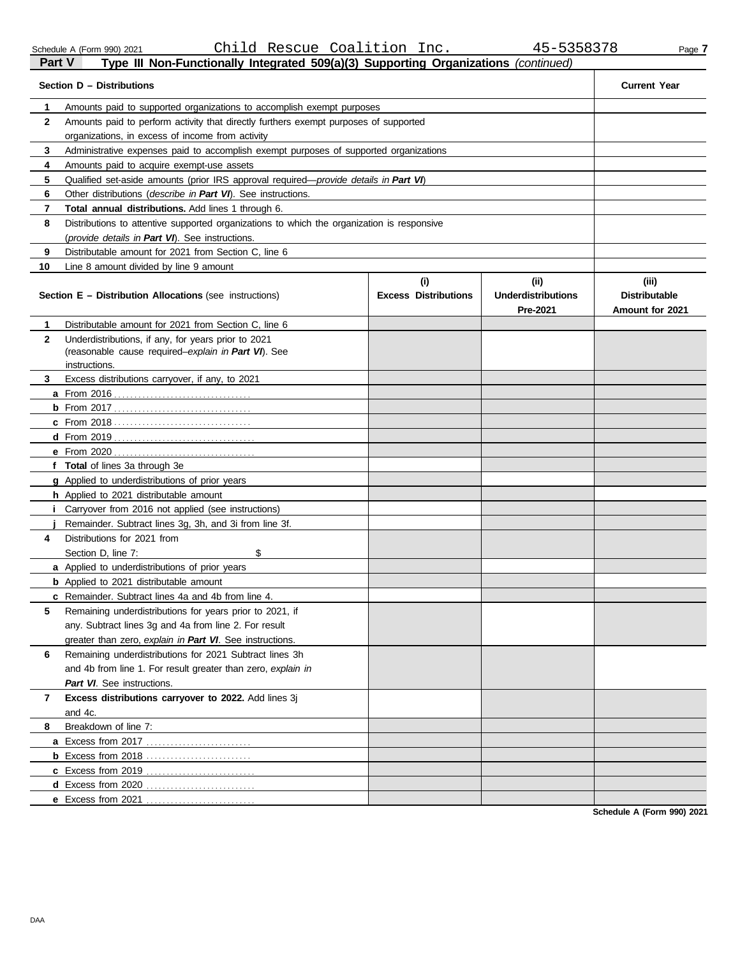| Part V       | Type III Non-Functionally Integrated 509(a)(3) Supporting Organizations (continued)                                         |                                    |                                               |                                                  |  |  |
|--------------|-----------------------------------------------------------------------------------------------------------------------------|------------------------------------|-----------------------------------------------|--------------------------------------------------|--|--|
|              | Section D – Distributions                                                                                                   |                                    |                                               | <b>Current Year</b>                              |  |  |
| 1            | Amounts paid to supported organizations to accomplish exempt purposes                                                       |                                    |                                               |                                                  |  |  |
| 2            | Amounts paid to perform activity that directly furthers exempt purposes of supported                                        |                                    |                                               |                                                  |  |  |
|              | organizations, in excess of income from activity                                                                            |                                    |                                               |                                                  |  |  |
| 3            | Administrative expenses paid to accomplish exempt purposes of supported organizations                                       |                                    |                                               |                                                  |  |  |
| 4            | Amounts paid to acquire exempt-use assets                                                                                   |                                    |                                               |                                                  |  |  |
| 5            | Qualified set-aside amounts (prior IRS approval required—provide details in Part VI)                                        |                                    |                                               |                                                  |  |  |
| 6            | Other distributions ( <i>describe in Part VI</i> ). See instructions.                                                       |                                    |                                               |                                                  |  |  |
| 7            | Total annual distributions. Add lines 1 through 6.                                                                          |                                    |                                               |                                                  |  |  |
| 8            | Distributions to attentive supported organizations to which the organization is responsive                                  |                                    |                                               |                                                  |  |  |
|              | (provide details in Part VI). See instructions.                                                                             |                                    |                                               |                                                  |  |  |
| 9            | Distributable amount for 2021 from Section C, line 6                                                                        |                                    |                                               |                                                  |  |  |
| 10           | Line 8 amount divided by line 9 amount                                                                                      |                                    |                                               |                                                  |  |  |
|              | <b>Section E - Distribution Allocations (see instructions)</b>                                                              | (i)<br><b>Excess Distributions</b> | (ii)<br><b>Underdistributions</b><br>Pre-2021 | (iii)<br><b>Distributable</b><br>Amount for 2021 |  |  |
| 1            | Distributable amount for 2021 from Section C, line 6                                                                        |                                    |                                               |                                                  |  |  |
| $\mathbf{2}$ | Underdistributions, if any, for years prior to 2021<br>(reasonable cause required-explain in Part VI). See<br>instructions. |                                    |                                               |                                                  |  |  |
| 3            | Excess distributions carryover, if any, to 2021                                                                             |                                    |                                               |                                                  |  |  |
|              |                                                                                                                             |                                    |                                               |                                                  |  |  |
|              |                                                                                                                             |                                    |                                               |                                                  |  |  |
|              |                                                                                                                             |                                    |                                               |                                                  |  |  |
|              |                                                                                                                             |                                    |                                               |                                                  |  |  |
|              | <b>e</b> From 2020                                                                                                          |                                    |                                               |                                                  |  |  |
|              | f Total of lines 3a through 3e                                                                                              |                                    |                                               |                                                  |  |  |
|              | g Applied to underdistributions of prior years                                                                              |                                    |                                               |                                                  |  |  |
|              | h Applied to 2021 distributable amount                                                                                      |                                    |                                               |                                                  |  |  |
|              | Carryover from 2016 not applied (see instructions)                                                                          |                                    |                                               |                                                  |  |  |
|              | Remainder. Subtract lines 3g, 3h, and 3i from line 3f.                                                                      |                                    |                                               |                                                  |  |  |
| 4            | Distributions for 2021 from                                                                                                 |                                    |                                               |                                                  |  |  |
|              | \$<br>Section D, line 7:                                                                                                    |                                    |                                               |                                                  |  |  |
|              | <b>a</b> Applied to underdistributions of prior years                                                                       |                                    |                                               |                                                  |  |  |
|              | <b>b</b> Applied to 2021 distributable amount                                                                               |                                    |                                               |                                                  |  |  |
|              | c Remainder. Subtract lines 4a and 4b from line 4.                                                                          |                                    |                                               |                                                  |  |  |
| 5            | Remaining underdistributions for years prior to 2021, if                                                                    |                                    |                                               |                                                  |  |  |
|              | any. Subtract lines 3q and 4a from line 2. For result                                                                       |                                    |                                               |                                                  |  |  |
|              | greater than zero, explain in Part VI. See instructions.                                                                    |                                    |                                               |                                                  |  |  |
| 6            | Remaining underdistributions for 2021 Subtract lines 3h                                                                     |                                    |                                               |                                                  |  |  |
|              | and 4b from line 1. For result greater than zero, explain in                                                                |                                    |                                               |                                                  |  |  |
|              | Part VI. See instructions.                                                                                                  |                                    |                                               |                                                  |  |  |
| 7            | Excess distributions carryover to 2022. Add lines 3i                                                                        |                                    |                                               |                                                  |  |  |
|              | and 4c.                                                                                                                     |                                    |                                               |                                                  |  |  |
| 8            | Breakdown of line 7:                                                                                                        |                                    |                                               |                                                  |  |  |
|              |                                                                                                                             |                                    |                                               |                                                  |  |  |
|              |                                                                                                                             |                                    |                                               |                                                  |  |  |
|              |                                                                                                                             |                                    |                                               |                                                  |  |  |
|              |                                                                                                                             |                                    |                                               |                                                  |  |  |
|              | e Excess from 2021                                                                                                          |                                    |                                               |                                                  |  |  |

**Schedule A (Form 990) 2021**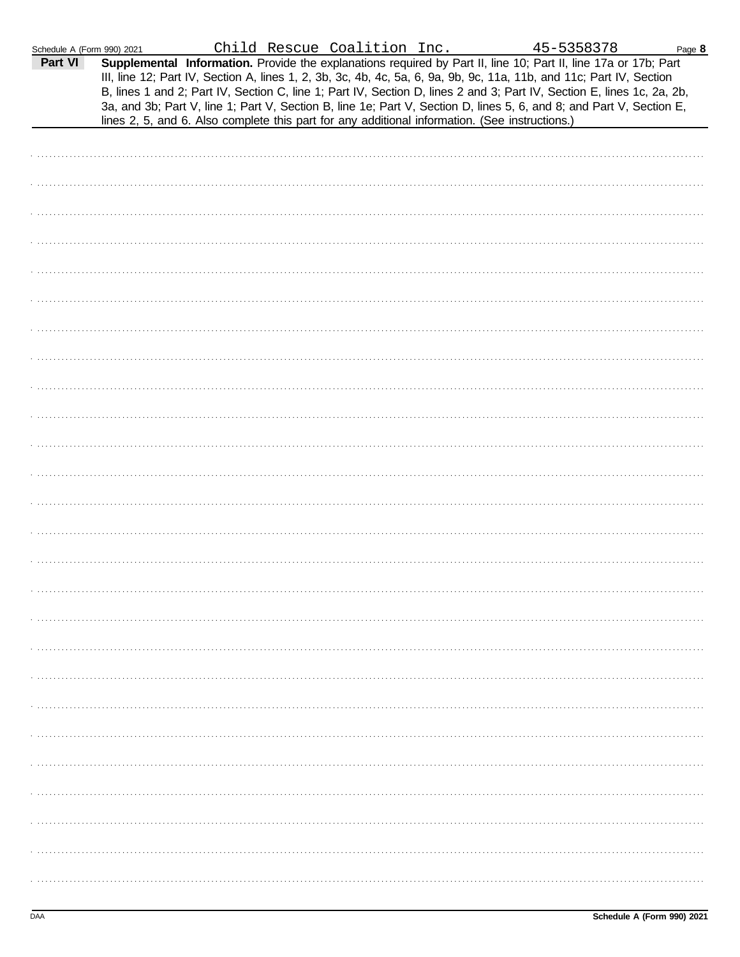| Schedule A (Form 990) 2021 |                                                                                                | Child Rescue Coalition Inc. |  | 45-5358378                                                                                                                                                                                                                                                                                                                                                                                                                                                                                | Page 8 |  |
|----------------------------|------------------------------------------------------------------------------------------------|-----------------------------|--|-------------------------------------------------------------------------------------------------------------------------------------------------------------------------------------------------------------------------------------------------------------------------------------------------------------------------------------------------------------------------------------------------------------------------------------------------------------------------------------------|--------|--|
| Part VI                    | lines 2, 5, and 6. Also complete this part for any additional information. (See instructions.) |                             |  | Supplemental Information. Provide the explanations required by Part II, line 10; Part II, line 17a or 17b; Part<br>III, line 12; Part IV, Section A, lines 1, 2, 3b, 3c, 4b, 4c, 5a, 6, 9a, 9b, 9c, 11a, 11b, and 11c; Part IV, Section<br>B, lines 1 and 2; Part IV, Section C, line 1; Part IV, Section D, lines 2 and 3; Part IV, Section E, lines 1c, 2a, 2b,<br>3a, and 3b; Part V, line 1; Part V, Section B, line 1e; Part V, Section D, lines 5, 6, and 8; and Part V, Section E, |        |  |
|                            |                                                                                                |                             |  |                                                                                                                                                                                                                                                                                                                                                                                                                                                                                           |        |  |
|                            |                                                                                                |                             |  |                                                                                                                                                                                                                                                                                                                                                                                                                                                                                           |        |  |
|                            |                                                                                                |                             |  |                                                                                                                                                                                                                                                                                                                                                                                                                                                                                           |        |  |
|                            |                                                                                                |                             |  |                                                                                                                                                                                                                                                                                                                                                                                                                                                                                           |        |  |
|                            |                                                                                                |                             |  |                                                                                                                                                                                                                                                                                                                                                                                                                                                                                           |        |  |
|                            |                                                                                                |                             |  |                                                                                                                                                                                                                                                                                                                                                                                                                                                                                           |        |  |
|                            |                                                                                                |                             |  |                                                                                                                                                                                                                                                                                                                                                                                                                                                                                           |        |  |
|                            |                                                                                                |                             |  |                                                                                                                                                                                                                                                                                                                                                                                                                                                                                           |        |  |
|                            |                                                                                                |                             |  |                                                                                                                                                                                                                                                                                                                                                                                                                                                                                           |        |  |
|                            |                                                                                                |                             |  |                                                                                                                                                                                                                                                                                                                                                                                                                                                                                           |        |  |
|                            |                                                                                                |                             |  |                                                                                                                                                                                                                                                                                                                                                                                                                                                                                           |        |  |
|                            |                                                                                                |                             |  |                                                                                                                                                                                                                                                                                                                                                                                                                                                                                           |        |  |
|                            |                                                                                                |                             |  |                                                                                                                                                                                                                                                                                                                                                                                                                                                                                           |        |  |
|                            |                                                                                                |                             |  |                                                                                                                                                                                                                                                                                                                                                                                                                                                                                           |        |  |
|                            |                                                                                                |                             |  |                                                                                                                                                                                                                                                                                                                                                                                                                                                                                           |        |  |
|                            |                                                                                                |                             |  |                                                                                                                                                                                                                                                                                                                                                                                                                                                                                           |        |  |
|                            |                                                                                                |                             |  |                                                                                                                                                                                                                                                                                                                                                                                                                                                                                           |        |  |
|                            |                                                                                                |                             |  |                                                                                                                                                                                                                                                                                                                                                                                                                                                                                           |        |  |
|                            |                                                                                                |                             |  |                                                                                                                                                                                                                                                                                                                                                                                                                                                                                           |        |  |
|                            |                                                                                                |                             |  |                                                                                                                                                                                                                                                                                                                                                                                                                                                                                           |        |  |
|                            |                                                                                                |                             |  |                                                                                                                                                                                                                                                                                                                                                                                                                                                                                           |        |  |
|                            |                                                                                                |                             |  |                                                                                                                                                                                                                                                                                                                                                                                                                                                                                           |        |  |
|                            |                                                                                                |                             |  |                                                                                                                                                                                                                                                                                                                                                                                                                                                                                           |        |  |
|                            |                                                                                                |                             |  |                                                                                                                                                                                                                                                                                                                                                                                                                                                                                           |        |  |
|                            |                                                                                                |                             |  |                                                                                                                                                                                                                                                                                                                                                                                                                                                                                           |        |  |
|                            |                                                                                                |                             |  |                                                                                                                                                                                                                                                                                                                                                                                                                                                                                           |        |  |
|                            |                                                                                                |                             |  |                                                                                                                                                                                                                                                                                                                                                                                                                                                                                           |        |  |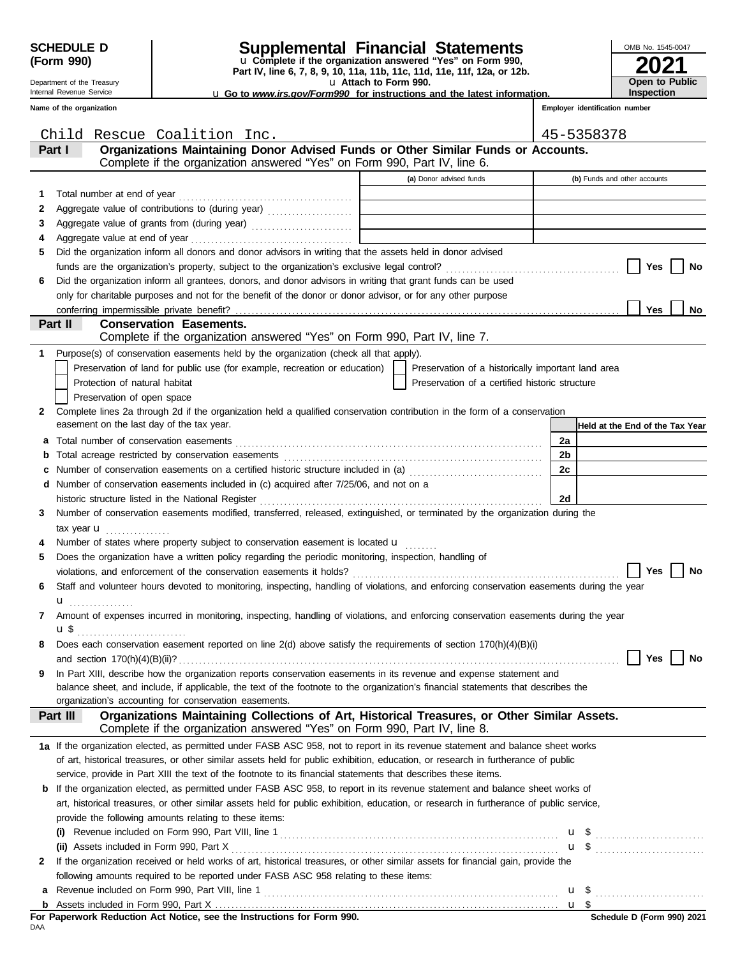Department of the Treasury

# **SCHEDULE D Supplemental Financial Statements**

**Part IV, line 6, 7, 8, 9, 10, 11a, 11b, 11c, 11d, 11e, 11f, 12a, or 12b.** u **Complete if the organization answered "Yes" on Form 990,**

u **Attach to Form 990.** 

| 2021                                       |
|--------------------------------------------|
| <b>Open to Public</b><br><b>Inspection</b> |

OMB No. 1545-0047

u **Go to** *www.irs.gov/Form990* **for instructions and the latest information.**

|  | Internal Revenue Service |  |
|--|--------------------------|--|
|  | Name of the organization |  |

| 11. |                                | <b>IIISPECHOI</b> |
|-----|--------------------------------|-------------------|
|     | Employer identification number |                   |
|     |                                |                   |

|   | Child Rescue Coalition Inc.                                                                                                               |                                                    | 45-5358378                      |
|---|-------------------------------------------------------------------------------------------------------------------------------------------|----------------------------------------------------|---------------------------------|
|   | Organizations Maintaining Donor Advised Funds or Other Similar Funds or Accounts.<br>Part I                                               |                                                    |                                 |
|   | Complete if the organization answered "Yes" on Form 990, Part IV, line 6.                                                                 |                                                    |                                 |
|   |                                                                                                                                           | (a) Donor advised funds                            | (b) Funds and other accounts    |
| 1 |                                                                                                                                           |                                                    |                                 |
| 2 | Aggregate value of contributions to (during year) [10] Aggregate value of contributions to (during year)                                  |                                                    |                                 |
| З |                                                                                                                                           |                                                    |                                 |
| 4 |                                                                                                                                           |                                                    |                                 |
| 5 | Did the organization inform all donors and donor advisors in writing that the assets held in donor advised                                |                                                    |                                 |
|   |                                                                                                                                           |                                                    | Yes<br>No                       |
|   |                                                                                                                                           |                                                    |                                 |
| 6 | Did the organization inform all grantees, donors, and donor advisors in writing that grant funds can be used                              |                                                    |                                 |
|   | only for charitable purposes and not for the benefit of the donor or donor advisor, or for any other purpose                              |                                                    |                                 |
|   | conferring impermissible private benefit?                                                                                                 |                                                    | <b>Yes</b><br>No                |
|   | Part II<br><b>Conservation Easements.</b>                                                                                                 |                                                    |                                 |
|   | Complete if the organization answered "Yes" on Form 990, Part IV, line 7.                                                                 |                                                    |                                 |
| 1 | Purpose(s) of conservation easements held by the organization (check all that apply).                                                     |                                                    |                                 |
|   | Preservation of land for public use (for example, recreation or education)                                                                | Preservation of a historically important land area |                                 |
|   | Protection of natural habitat                                                                                                             | Preservation of a certified historic structure     |                                 |
|   | Preservation of open space                                                                                                                |                                                    |                                 |
| 2 | Complete lines 2a through 2d if the organization held a qualified conservation contribution in the form of a conservation                 |                                                    |                                 |
|   | easement on the last day of the tax year.                                                                                                 |                                                    | Held at the End of the Tax Year |
|   | a Total number of conservation easements                                                                                                  |                                                    | 2a                              |
| b |                                                                                                                                           |                                                    | 2b                              |
|   | c Number of conservation easements on a certified historic structure included in (a) [[[[[[[[[[[[[[[[[[[[[[[[]]]]]]]                      |                                                    | 2c                              |
|   | d Number of conservation easements included in (c) acquired after 7/25/06, and not on a                                                   |                                                    |                                 |
|   |                                                                                                                                           |                                                    | 2d                              |
| 3 | Number of conservation easements modified, transferred, released, extinguished, or terminated by the organization during the              |                                                    |                                 |
|   | tax year $\mathbf u$                                                                                                                      |                                                    |                                 |
| 4 | Number of states where property subject to conservation easement is located $\mathbf{u}$                                                  |                                                    |                                 |
| 5 | Does the organization have a written policy regarding the periodic monitoring, inspection, handling of                                    |                                                    |                                 |
|   |                                                                                                                                           |                                                    | Yes<br>No                       |
| 6 | Staff and volunteer hours devoted to monitoring, inspecting, handling of violations, and enforcing conservation easements during the year |                                                    |                                 |
|   | u <sub></sub>                                                                                                                             |                                                    |                                 |
| 7 | Amount of expenses incurred in monitoring, inspecting, handling of violations, and enforcing conservation easements during the year       |                                                    |                                 |
|   | u \$                                                                                                                                      |                                                    |                                 |
| 8 | Does each conservation easement reported on line 2(d) above satisfy the requirements of section 170(h)(4)(B)(i)                           |                                                    |                                 |
|   |                                                                                                                                           |                                                    | No<br>Yes                       |
| 9 | In Part XIII, describe how the organization reports conservation easements in its revenue and expense statement and                       |                                                    |                                 |
|   | balance sheet, and include, if applicable, the text of the footnote to the organization's financial statements that describes the         |                                                    |                                 |
|   | organization's accounting for conservation easements.                                                                                     |                                                    |                                 |
|   | Organizations Maintaining Collections of Art, Historical Treasures, or Other Similar Assets.<br>Part III                                  |                                                    |                                 |
|   | Complete if the organization answered "Yes" on Form 990, Part IV, line 8.                                                                 |                                                    |                                 |
|   | 1a If the organization elected, as permitted under FASB ASC 958, not to report in its revenue statement and balance sheet works           |                                                    |                                 |
|   | of art, historical treasures, or other similar assets held for public exhibition, education, or research in furtherance of public         |                                                    |                                 |
|   | service, provide in Part XIII the text of the footnote to its financial statements that describes these items.                            |                                                    |                                 |
|   | <b>b</b> If the organization elected, as permitted under FASB ASC 958, to report in its revenue statement and balance sheet works of      |                                                    |                                 |
|   | art, historical treasures, or other similar assets held for public exhibition, education, or research in furtherance of public service,   |                                                    |                                 |
|   | provide the following amounts relating to these items:                                                                                    |                                                    |                                 |
|   |                                                                                                                                           |                                                    |                                 |
|   |                                                                                                                                           |                                                    |                                 |
|   | If the organization received or held works of art, historical treasures, or other similar assets for financial gain, provide the          |                                                    |                                 |
| 2 |                                                                                                                                           |                                                    |                                 |
|   | following amounts required to be reported under FASB ASC 958 relating to these items:                                                     |                                                    |                                 |
|   | a Revenue included on Form 990, Part VIII, line 1                                                                                         |                                                    | $u \$                           |

Assets included in Form 990, Part X . . . . . . . . . . . . . . . . . . . . . . . . . . . . . . . . . . . . . . . . . . . . . . . . . . . . . . . . . . . . . . . . . . . . . . . . . . . . . . . . . . . . . **b**

<u>u \$</u>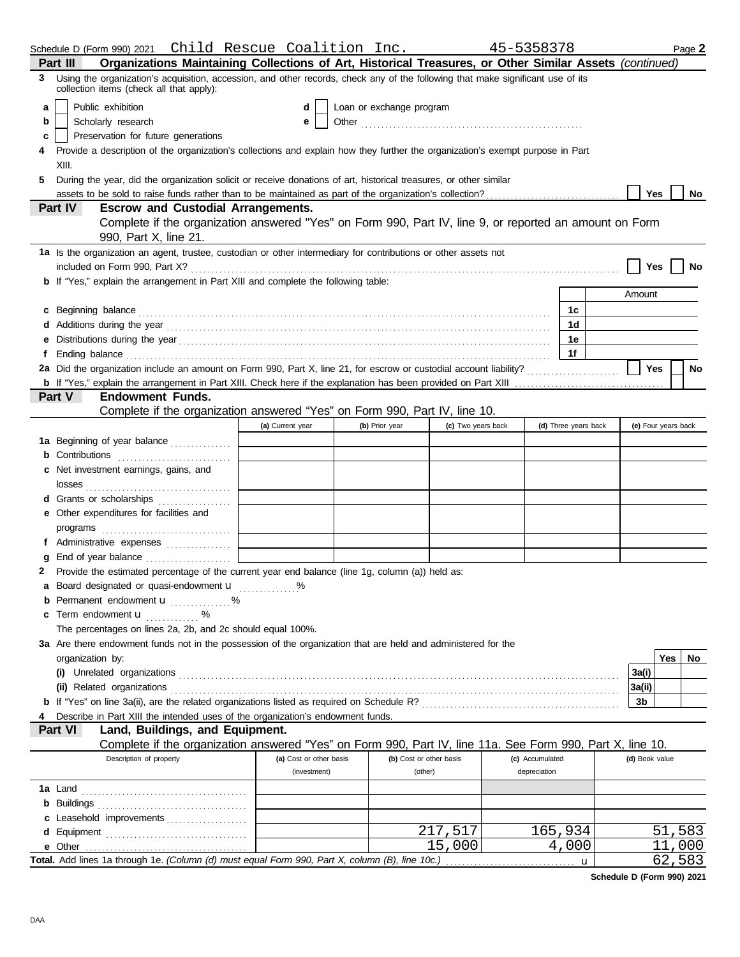|    | Schedule D (Form 990) 2021  Child Rescue Coalition Inc.                                                                                                                                                                              |                         |                          |                         | 45-5358378      |                      |        |                     | Page 2    |
|----|--------------------------------------------------------------------------------------------------------------------------------------------------------------------------------------------------------------------------------------|-------------------------|--------------------------|-------------------------|-----------------|----------------------|--------|---------------------|-----------|
|    | Organizations Maintaining Collections of Art, Historical Treasures, or Other Similar Assets (continued)<br>Part III                                                                                                                  |                         |                          |                         |                 |                      |        |                     |           |
| 3  | Using the organization's acquisition, accession, and other records, check any of the following that make significant use of its<br>collection items (check all that apply):                                                          |                         |                          |                         |                 |                      |        |                     |           |
| a  | Public exhibition                                                                                                                                                                                                                    | d                       | Loan or exchange program |                         |                 |                      |        |                     |           |
| b  | Scholarly research                                                                                                                                                                                                                   | e                       |                          |                         |                 |                      |        |                     |           |
| c  | Preservation for future generations                                                                                                                                                                                                  |                         |                          |                         |                 |                      |        |                     |           |
|    | Provide a description of the organization's collections and explain how they further the organization's exempt purpose in Part                                                                                                       |                         |                          |                         |                 |                      |        |                     |           |
|    | XIII.                                                                                                                                                                                                                                |                         |                          |                         |                 |                      |        |                     |           |
| 5. | During the year, did the organization solicit or receive donations of art, historical treasures, or other similar                                                                                                                    |                         |                          |                         |                 |                      |        |                     |           |
|    |                                                                                                                                                                                                                                      |                         |                          |                         |                 |                      |        | Yes                 | No        |
|    | <b>Part IV</b><br><b>Escrow and Custodial Arrangements.</b>                                                                                                                                                                          |                         |                          |                         |                 |                      |        |                     |           |
|    | Complete if the organization answered "Yes" on Form 990, Part IV, line 9, or reported an amount on Form<br>990, Part X, line 21.                                                                                                     |                         |                          |                         |                 |                      |        |                     |           |
|    | 1a Is the organization an agent, trustee, custodian or other intermediary for contributions or other assets not                                                                                                                      |                         |                          |                         |                 |                      |        |                     |           |
|    |                                                                                                                                                                                                                                      |                         |                          |                         |                 |                      |        | Yes                 | No        |
|    | b If "Yes," explain the arrangement in Part XIII and complete the following table:                                                                                                                                                   |                         |                          |                         |                 |                      |        |                     |           |
|    |                                                                                                                                                                                                                                      |                         |                          |                         |                 |                      | Amount |                     |           |
|    | c Beginning balance <b>contract the contract of the contract of the contract of the contract of the contract of the contract of the contract of the contract of the contract of the contract of the contract of the contract of </b> |                         |                          |                         |                 | 1c                   |        |                     |           |
|    |                                                                                                                                                                                                                                      |                         |                          |                         |                 | 1d                   |        |                     |           |
|    |                                                                                                                                                                                                                                      |                         |                          |                         |                 | 1e                   |        |                     |           |
|    |                                                                                                                                                                                                                                      |                         |                          |                         |                 | 1f                   |        |                     |           |
|    |                                                                                                                                                                                                                                      |                         |                          |                         |                 |                      |        | Yes                 | <b>No</b> |
|    |                                                                                                                                                                                                                                      |                         |                          |                         |                 |                      |        |                     |           |
|    | <b>Endowment Funds.</b><br><b>Part V</b>                                                                                                                                                                                             |                         |                          |                         |                 |                      |        |                     |           |
|    | Complete if the organization answered "Yes" on Form 990, Part IV, line 10.                                                                                                                                                           |                         |                          |                         |                 |                      |        |                     |           |
|    |                                                                                                                                                                                                                                      | (a) Current year        | (b) Prior year           | (c) Two years back      |                 | (d) Three years back |        | (e) Four years back |           |
|    |                                                                                                                                                                                                                                      |                         |                          |                         |                 |                      |        |                     |           |
|    | 1a Beginning of year balance                                                                                                                                                                                                         |                         |                          |                         |                 |                      |        |                     |           |
|    |                                                                                                                                                                                                                                      |                         |                          |                         |                 |                      |        |                     |           |
|    | c Net investment earnings, gains, and                                                                                                                                                                                                |                         |                          |                         |                 |                      |        |                     |           |
|    |                                                                                                                                                                                                                                      |                         |                          |                         |                 |                      |        |                     |           |
|    | d Grants or scholarships                                                                                                                                                                                                             |                         |                          |                         |                 |                      |        |                     |           |
|    | e Other expenditures for facilities and                                                                                                                                                                                              |                         |                          |                         |                 |                      |        |                     |           |
|    |                                                                                                                                                                                                                                      |                         |                          |                         |                 |                      |        |                     |           |
|    | f Administrative expenses                                                                                                                                                                                                            |                         |                          |                         |                 |                      |        |                     |           |
|    |                                                                                                                                                                                                                                      |                         |                          |                         |                 |                      |        |                     |           |
| 2  | Provide the estimated percentage of the current year end balance (line 1g, column (a)) held as:                                                                                                                                      |                         |                          |                         |                 |                      |        |                     |           |
|    | a Board designated or quasi-endowment u                                                                                                                                                                                              |                         |                          |                         |                 |                      |        |                     |           |
|    | <b>b</b> Permanent endowment <b>u</b> %                                                                                                                                                                                              |                         |                          |                         |                 |                      |        |                     |           |
|    | c Term endowment <b>u</b> %                                                                                                                                                                                                          |                         |                          |                         |                 |                      |        |                     |           |
|    | The percentages on lines 2a, 2b, and 2c should equal 100%.                                                                                                                                                                           |                         |                          |                         |                 |                      |        |                     |           |
|    | 3a Are there endowment funds not in the possession of the organization that are held and administered for the                                                                                                                        |                         |                          |                         |                 |                      |        |                     |           |
|    | organization by:                                                                                                                                                                                                                     |                         |                          |                         |                 |                      |        | Yes                 | No        |
|    |                                                                                                                                                                                                                                      |                         |                          |                         |                 |                      | 3a(i)  |                     |           |
|    | (ii) Related organizations <b>constants</b> and constant of the constant of the constant of the constant of the constant of the constant of the constant of the constant of the constant of the constant of the constant of the con  |                         |                          |                         |                 |                      | 3a(ii) |                     |           |
|    |                                                                                                                                                                                                                                      |                         |                          |                         |                 |                      | 3b     |                     |           |
|    | Describe in Part XIII the intended uses of the organization's endowment funds.                                                                                                                                                       |                         |                          |                         |                 |                      |        |                     |           |
|    | Land, Buildings, and Equipment.<br>Part VI                                                                                                                                                                                           |                         |                          |                         |                 |                      |        |                     |           |
|    | Complete if the organization answered "Yes" on Form 990, Part IV, line 11a. See Form 990, Part X, line 10.                                                                                                                           |                         |                          |                         |                 |                      |        |                     |           |
|    | Description of property                                                                                                                                                                                                              | (a) Cost or other basis |                          | (b) Cost or other basis | (c) Accumulated |                      |        | (d) Book value      |           |
|    |                                                                                                                                                                                                                                      | (investment)            |                          | (other)                 | depreciation    |                      |        |                     |           |
|    |                                                                                                                                                                                                                                      |                         |                          |                         |                 |                      |        |                     |           |
|    |                                                                                                                                                                                                                                      |                         |                          |                         |                 |                      |        |                     |           |
|    |                                                                                                                                                                                                                                      |                         |                          |                         |                 |                      |        |                     |           |
|    | c Leasehold improvements                                                                                                                                                                                                             |                         |                          | 217,517                 |                 | 165,934              |        | 51                  | ,583      |
|    |                                                                                                                                                                                                                                      |                         |                          |                         |                 |                      |        | 11                  | 000       |
|    |                                                                                                                                                                                                                                      |                         |                          | 15,000                  |                 | 4,000                |        |                     |           |
|    | Total. Add lines 1a through 1e. (Column (d) must equal Form 990, Part X, column (B), line 10c.)                                                                                                                                      |                         |                          |                         |                 | u                    |        |                     | 62,583    |

**Schedule D (Form 990) 2021**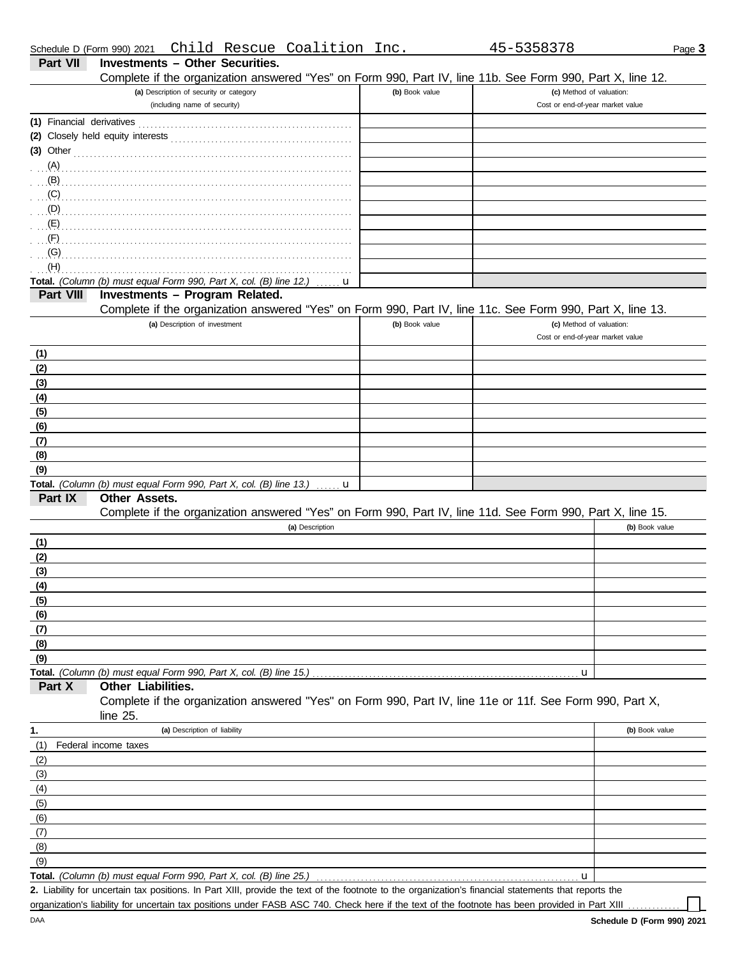| (a) Description of security or category<br>(b) Book value<br>(c) Method of valuation:<br>(including name of security)<br>Cost or end-of-year market value<br>(3) Other $\ldots$ $\ldots$ $\ldots$ $\ldots$ $\ldots$ $\ldots$ $\ldots$ $\ldots$ $\ldots$ $\ldots$ $\ldots$ $\ldots$<br>(D)<br>(F)<br>(H)<br>Total. (Column (b) must equal Form 990, Part X, col. (B) line 12.)<br>u<br>Investments - Program Related.<br>Part VIII<br>Complete if the organization answered "Yes" on Form 990, Part IV, line 11c. See Form 990, Part X, line 13.<br>(a) Description of investment<br>(b) Book value<br>(c) Method of valuation:<br>Cost or end-of-year market value<br><b>Total.</b> (Column (b) must equal Form 990, Part X, col. (B) line 13.) $\ldots$ <b>u</b><br>Part IX<br>Other Assets.<br>Complete if the organization answered "Yes" on Form 990, Part IV, line 11d. See Form 990, Part X, line 15.<br>(a) Description<br>(b) Book value<br>(5)<br>(6)<br>(7)<br>(8)<br>(9)<br>u<br>Part X<br>Other Liabilities.<br>Complete if the organization answered "Yes" on Form 990, Part IV, line 11e or 11f. See Form 990, Part X,<br>line $25$ .<br>(a) Description of liability<br>(b) Book value<br>(1)<br>Federal income taxes<br>(2)<br>(3)<br>(4)<br>(5)<br>(6)<br>Total. (Column (b) must equal Form 990, Part X, col. (B) line 25.) | Part VII | <b>Investments - Other Securities.</b><br>Complete if the organization answered "Yes" on Form 990, Part IV, line 11b. See Form 990, Part X, line 12. |   |
|-----------------------------------------------------------------------------------------------------------------------------------------------------------------------------------------------------------------------------------------------------------------------------------------------------------------------------------------------------------------------------------------------------------------------------------------------------------------------------------------------------------------------------------------------------------------------------------------------------------------------------------------------------------------------------------------------------------------------------------------------------------------------------------------------------------------------------------------------------------------------------------------------------------------------------------------------------------------------------------------------------------------------------------------------------------------------------------------------------------------------------------------------------------------------------------------------------------------------------------------------------------------------------------------------------------------------------------------------|----------|------------------------------------------------------------------------------------------------------------------------------------------------------|---|
|                                                                                                                                                                                                                                                                                                                                                                                                                                                                                                                                                                                                                                                                                                                                                                                                                                                                                                                                                                                                                                                                                                                                                                                                                                                                                                                                               |          |                                                                                                                                                      |   |
|                                                                                                                                                                                                                                                                                                                                                                                                                                                                                                                                                                                                                                                                                                                                                                                                                                                                                                                                                                                                                                                                                                                                                                                                                                                                                                                                               |          |                                                                                                                                                      |   |
|                                                                                                                                                                                                                                                                                                                                                                                                                                                                                                                                                                                                                                                                                                                                                                                                                                                                                                                                                                                                                                                                                                                                                                                                                                                                                                                                               |          |                                                                                                                                                      |   |
|                                                                                                                                                                                                                                                                                                                                                                                                                                                                                                                                                                                                                                                                                                                                                                                                                                                                                                                                                                                                                                                                                                                                                                                                                                                                                                                                               |          |                                                                                                                                                      |   |
|                                                                                                                                                                                                                                                                                                                                                                                                                                                                                                                                                                                                                                                                                                                                                                                                                                                                                                                                                                                                                                                                                                                                                                                                                                                                                                                                               |          |                                                                                                                                                      |   |
|                                                                                                                                                                                                                                                                                                                                                                                                                                                                                                                                                                                                                                                                                                                                                                                                                                                                                                                                                                                                                                                                                                                                                                                                                                                                                                                                               |          |                                                                                                                                                      |   |
|                                                                                                                                                                                                                                                                                                                                                                                                                                                                                                                                                                                                                                                                                                                                                                                                                                                                                                                                                                                                                                                                                                                                                                                                                                                                                                                                               |          |                                                                                                                                                      |   |
|                                                                                                                                                                                                                                                                                                                                                                                                                                                                                                                                                                                                                                                                                                                                                                                                                                                                                                                                                                                                                                                                                                                                                                                                                                                                                                                                               |          |                                                                                                                                                      |   |
|                                                                                                                                                                                                                                                                                                                                                                                                                                                                                                                                                                                                                                                                                                                                                                                                                                                                                                                                                                                                                                                                                                                                                                                                                                                                                                                                               |          |                                                                                                                                                      |   |
|                                                                                                                                                                                                                                                                                                                                                                                                                                                                                                                                                                                                                                                                                                                                                                                                                                                                                                                                                                                                                                                                                                                                                                                                                                                                                                                                               |          |                                                                                                                                                      |   |
|                                                                                                                                                                                                                                                                                                                                                                                                                                                                                                                                                                                                                                                                                                                                                                                                                                                                                                                                                                                                                                                                                                                                                                                                                                                                                                                                               |          |                                                                                                                                                      |   |
|                                                                                                                                                                                                                                                                                                                                                                                                                                                                                                                                                                                                                                                                                                                                                                                                                                                                                                                                                                                                                                                                                                                                                                                                                                                                                                                                               |          |                                                                                                                                                      |   |
|                                                                                                                                                                                                                                                                                                                                                                                                                                                                                                                                                                                                                                                                                                                                                                                                                                                                                                                                                                                                                                                                                                                                                                                                                                                                                                                                               |          |                                                                                                                                                      |   |
|                                                                                                                                                                                                                                                                                                                                                                                                                                                                                                                                                                                                                                                                                                                                                                                                                                                                                                                                                                                                                                                                                                                                                                                                                                                                                                                                               |          |                                                                                                                                                      |   |
|                                                                                                                                                                                                                                                                                                                                                                                                                                                                                                                                                                                                                                                                                                                                                                                                                                                                                                                                                                                                                                                                                                                                                                                                                                                                                                                                               |          |                                                                                                                                                      |   |
|                                                                                                                                                                                                                                                                                                                                                                                                                                                                                                                                                                                                                                                                                                                                                                                                                                                                                                                                                                                                                                                                                                                                                                                                                                                                                                                                               |          |                                                                                                                                                      |   |
|                                                                                                                                                                                                                                                                                                                                                                                                                                                                                                                                                                                                                                                                                                                                                                                                                                                                                                                                                                                                                                                                                                                                                                                                                                                                                                                                               |          |                                                                                                                                                      |   |
|                                                                                                                                                                                                                                                                                                                                                                                                                                                                                                                                                                                                                                                                                                                                                                                                                                                                                                                                                                                                                                                                                                                                                                                                                                                                                                                                               | (1)      |                                                                                                                                                      |   |
|                                                                                                                                                                                                                                                                                                                                                                                                                                                                                                                                                                                                                                                                                                                                                                                                                                                                                                                                                                                                                                                                                                                                                                                                                                                                                                                                               | (2)      |                                                                                                                                                      |   |
|                                                                                                                                                                                                                                                                                                                                                                                                                                                                                                                                                                                                                                                                                                                                                                                                                                                                                                                                                                                                                                                                                                                                                                                                                                                                                                                                               | (3)      |                                                                                                                                                      |   |
|                                                                                                                                                                                                                                                                                                                                                                                                                                                                                                                                                                                                                                                                                                                                                                                                                                                                                                                                                                                                                                                                                                                                                                                                                                                                                                                                               | (4)      |                                                                                                                                                      |   |
|                                                                                                                                                                                                                                                                                                                                                                                                                                                                                                                                                                                                                                                                                                                                                                                                                                                                                                                                                                                                                                                                                                                                                                                                                                                                                                                                               | (5)      |                                                                                                                                                      |   |
|                                                                                                                                                                                                                                                                                                                                                                                                                                                                                                                                                                                                                                                                                                                                                                                                                                                                                                                                                                                                                                                                                                                                                                                                                                                                                                                                               | (6)      |                                                                                                                                                      |   |
|                                                                                                                                                                                                                                                                                                                                                                                                                                                                                                                                                                                                                                                                                                                                                                                                                                                                                                                                                                                                                                                                                                                                                                                                                                                                                                                                               | (7)      |                                                                                                                                                      |   |
|                                                                                                                                                                                                                                                                                                                                                                                                                                                                                                                                                                                                                                                                                                                                                                                                                                                                                                                                                                                                                                                                                                                                                                                                                                                                                                                                               | (8)      |                                                                                                                                                      |   |
|                                                                                                                                                                                                                                                                                                                                                                                                                                                                                                                                                                                                                                                                                                                                                                                                                                                                                                                                                                                                                                                                                                                                                                                                                                                                                                                                               | (9)      |                                                                                                                                                      |   |
|                                                                                                                                                                                                                                                                                                                                                                                                                                                                                                                                                                                                                                                                                                                                                                                                                                                                                                                                                                                                                                                                                                                                                                                                                                                                                                                                               |          |                                                                                                                                                      |   |
|                                                                                                                                                                                                                                                                                                                                                                                                                                                                                                                                                                                                                                                                                                                                                                                                                                                                                                                                                                                                                                                                                                                                                                                                                                                                                                                                               |          |                                                                                                                                                      |   |
|                                                                                                                                                                                                                                                                                                                                                                                                                                                                                                                                                                                                                                                                                                                                                                                                                                                                                                                                                                                                                                                                                                                                                                                                                                                                                                                                               |          |                                                                                                                                                      |   |
|                                                                                                                                                                                                                                                                                                                                                                                                                                                                                                                                                                                                                                                                                                                                                                                                                                                                                                                                                                                                                                                                                                                                                                                                                                                                                                                                               |          |                                                                                                                                                      |   |
|                                                                                                                                                                                                                                                                                                                                                                                                                                                                                                                                                                                                                                                                                                                                                                                                                                                                                                                                                                                                                                                                                                                                                                                                                                                                                                                                               | (1)      |                                                                                                                                                      |   |
|                                                                                                                                                                                                                                                                                                                                                                                                                                                                                                                                                                                                                                                                                                                                                                                                                                                                                                                                                                                                                                                                                                                                                                                                                                                                                                                                               | (2)      |                                                                                                                                                      |   |
|                                                                                                                                                                                                                                                                                                                                                                                                                                                                                                                                                                                                                                                                                                                                                                                                                                                                                                                                                                                                                                                                                                                                                                                                                                                                                                                                               | (3)      |                                                                                                                                                      |   |
|                                                                                                                                                                                                                                                                                                                                                                                                                                                                                                                                                                                                                                                                                                                                                                                                                                                                                                                                                                                                                                                                                                                                                                                                                                                                                                                                               | (4)      |                                                                                                                                                      |   |
|                                                                                                                                                                                                                                                                                                                                                                                                                                                                                                                                                                                                                                                                                                                                                                                                                                                                                                                                                                                                                                                                                                                                                                                                                                                                                                                                               |          |                                                                                                                                                      |   |
|                                                                                                                                                                                                                                                                                                                                                                                                                                                                                                                                                                                                                                                                                                                                                                                                                                                                                                                                                                                                                                                                                                                                                                                                                                                                                                                                               |          |                                                                                                                                                      |   |
|                                                                                                                                                                                                                                                                                                                                                                                                                                                                                                                                                                                                                                                                                                                                                                                                                                                                                                                                                                                                                                                                                                                                                                                                                                                                                                                                               |          |                                                                                                                                                      |   |
|                                                                                                                                                                                                                                                                                                                                                                                                                                                                                                                                                                                                                                                                                                                                                                                                                                                                                                                                                                                                                                                                                                                                                                                                                                                                                                                                               |          |                                                                                                                                                      |   |
|                                                                                                                                                                                                                                                                                                                                                                                                                                                                                                                                                                                                                                                                                                                                                                                                                                                                                                                                                                                                                                                                                                                                                                                                                                                                                                                                               |          |                                                                                                                                                      |   |
|                                                                                                                                                                                                                                                                                                                                                                                                                                                                                                                                                                                                                                                                                                                                                                                                                                                                                                                                                                                                                                                                                                                                                                                                                                                                                                                                               |          |                                                                                                                                                      |   |
|                                                                                                                                                                                                                                                                                                                                                                                                                                                                                                                                                                                                                                                                                                                                                                                                                                                                                                                                                                                                                                                                                                                                                                                                                                                                                                                                               |          |                                                                                                                                                      |   |
|                                                                                                                                                                                                                                                                                                                                                                                                                                                                                                                                                                                                                                                                                                                                                                                                                                                                                                                                                                                                                                                                                                                                                                                                                                                                                                                                               | 1.       |                                                                                                                                                      |   |
|                                                                                                                                                                                                                                                                                                                                                                                                                                                                                                                                                                                                                                                                                                                                                                                                                                                                                                                                                                                                                                                                                                                                                                                                                                                                                                                                               |          |                                                                                                                                                      |   |
|                                                                                                                                                                                                                                                                                                                                                                                                                                                                                                                                                                                                                                                                                                                                                                                                                                                                                                                                                                                                                                                                                                                                                                                                                                                                                                                                               |          |                                                                                                                                                      |   |
|                                                                                                                                                                                                                                                                                                                                                                                                                                                                                                                                                                                                                                                                                                                                                                                                                                                                                                                                                                                                                                                                                                                                                                                                                                                                                                                                               |          |                                                                                                                                                      |   |
|                                                                                                                                                                                                                                                                                                                                                                                                                                                                                                                                                                                                                                                                                                                                                                                                                                                                                                                                                                                                                                                                                                                                                                                                                                                                                                                                               |          |                                                                                                                                                      |   |
|                                                                                                                                                                                                                                                                                                                                                                                                                                                                                                                                                                                                                                                                                                                                                                                                                                                                                                                                                                                                                                                                                                                                                                                                                                                                                                                                               |          |                                                                                                                                                      |   |
|                                                                                                                                                                                                                                                                                                                                                                                                                                                                                                                                                                                                                                                                                                                                                                                                                                                                                                                                                                                                                                                                                                                                                                                                                                                                                                                                               |          |                                                                                                                                                      |   |
|                                                                                                                                                                                                                                                                                                                                                                                                                                                                                                                                                                                                                                                                                                                                                                                                                                                                                                                                                                                                                                                                                                                                                                                                                                                                                                                                               | (7)      |                                                                                                                                                      |   |
|                                                                                                                                                                                                                                                                                                                                                                                                                                                                                                                                                                                                                                                                                                                                                                                                                                                                                                                                                                                                                                                                                                                                                                                                                                                                                                                                               | (8)      |                                                                                                                                                      |   |
|                                                                                                                                                                                                                                                                                                                                                                                                                                                                                                                                                                                                                                                                                                                                                                                                                                                                                                                                                                                                                                                                                                                                                                                                                                                                                                                                               | (9)      |                                                                                                                                                      |   |
|                                                                                                                                                                                                                                                                                                                                                                                                                                                                                                                                                                                                                                                                                                                                                                                                                                                                                                                                                                                                                                                                                                                                                                                                                                                                                                                                               |          |                                                                                                                                                      | u |

Liability for uncertain tax positions. In Part XIII, provide the text of the footnote to the organization's financial statements that reports the **2.** organization's liability for uncertain tax positions under FASB ASC 740. Check here if the text of the footnote has been provided in Part XIII

DAA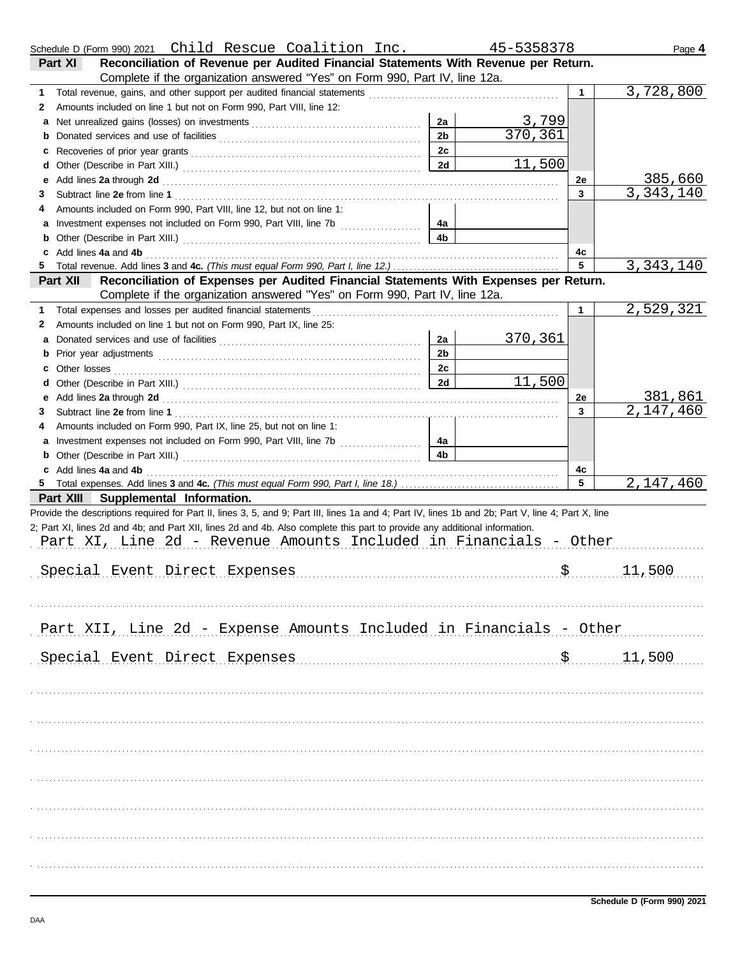|    | Schedule D (Form 990) 2021 Child Rescue Coalition Inc.                                                                                                                                                                        |                | 45-5358378 |              | Page 4      |
|----|-------------------------------------------------------------------------------------------------------------------------------------------------------------------------------------------------------------------------------|----------------|------------|--------------|-------------|
|    | Reconciliation of Revenue per Audited Financial Statements With Revenue per Return.<br>Part XI                                                                                                                                |                |            |              |             |
|    | Complete if the organization answered "Yes" on Form 990, Part IV, line 12a.                                                                                                                                                   |                |            |              |             |
| 1  | Total revenue, gains, and other support per audited financial statements [11] [11] Total revenue controlled that the statements [11] [12] Total revenue of the statements [11] Total revenue of the statements and revenue of |                |            | $\mathbf{1}$ | 3,728,800   |
| 2  | Amounts included on line 1 but not on Form 990, Part VIII, line 12:                                                                                                                                                           |                |            |              |             |
| а  |                                                                                                                                                                                                                               | 2a             | 3,799      |              |             |
| b  |                                                                                                                                                                                                                               | 2 <sub>b</sub> | 370, 361   |              |             |
| c  |                                                                                                                                                                                                                               | 2c             |            |              |             |
| d  |                                                                                                                                                                                                                               | 2d             | 11,500     |              |             |
| е  | Add lines 2a through 2d [11] Additional Property and Property and Property and Property and Property and Property and Property and Property and Property and Property and Property and Property and Property and Property and |                |            | 2e           | 385,660     |
| З  |                                                                                                                                                                                                                               |                |            | 3            | 3,343,140   |
| 4  | Amounts included on Form 990, Part VIII, line 12, but not on line 1:                                                                                                                                                          |                |            |              |             |
| а  |                                                                                                                                                                                                                               | 4а             |            |              |             |
| b  |                                                                                                                                                                                                                               | 4b             |            |              |             |
| c  | Add lines 4a and 4b                                                                                                                                                                                                           |                |            | 4c           |             |
| 5. |                                                                                                                                                                                                                               |                |            | 5            | 3, 343, 140 |
|    | Reconciliation of Expenses per Audited Financial Statements With Expenses per Return.<br>Part XII                                                                                                                             |                |            |              |             |
|    | Complete if the organization answered "Yes" on Form 990, Part IV, line 12a.                                                                                                                                                   |                |            |              |             |
| 1  | Total expenses and losses per audited financial statements                                                                                                                                                                    |                |            | 1            | 2,529,321   |
|    | Amounts included on line 1 but not on Form 990, Part IX, line 25:                                                                                                                                                             |                |            |              |             |
| 2  |                                                                                                                                                                                                                               |                |            |              |             |
| а  |                                                                                                                                                                                                                               | 2a             | 370,361    |              |             |
| b  |                                                                                                                                                                                                                               | 2 <sub>b</sub> |            |              |             |
| c  | Other losses                                                                                                                                                                                                                  | 2c             |            |              |             |
| d  |                                                                                                                                                                                                                               | 2d             | 11,500     |              |             |
| е  | Add lines 2a through 2d [11] Additional Property and Property and Property and Property and Property and Property and Property and Property and Property and Property and Property and Property and Property and Property and |                |            | 2e           | 381,861     |
| 3  |                                                                                                                                                                                                                               |                |            | 3            | 2,147,460   |
| 4  | Amounts included on Form 990, Part IX, line 25, but not on line 1:                                                                                                                                                            |                |            |              |             |
| а  |                                                                                                                                                                                                                               | 4a             |            |              |             |
| b  |                                                                                                                                                                                                                               | 4b             |            |              |             |
|    |                                                                                                                                                                                                                               |                |            | 4c           |             |
|    | c Add lines 4a and 4b                                                                                                                                                                                                         |                |            |              |             |
| 5  |                                                                                                                                                                                                                               |                |            | 5            |             |
|    | Part XIII Supplemental Information.                                                                                                                                                                                           |                |            |              |             |
|    | Provide the descriptions required for Part II, lines 3, 5, and 9; Part III, lines 1a and 4; Part IV, lines 1b and 2b; Part V, line 4; Part X, line                                                                            |                |            |              |             |
|    | 2; Part XI, lines 2d and 4b; and Part XII, lines 2d and 4b. Also complete this part to provide any additional information.                                                                                                    |                |            |              |             |
|    | Part XI, Line 2d - Revenue Amounts Included in Financials - Other                                                                                                                                                             |                |            |              |             |
|    |                                                                                                                                                                                                                               |                |            |              | 2,147,460   |
|    |                                                                                                                                                                                                                               |                |            |              |             |
|    | Special Event Direct Expenses                                                                                                                                                                                                 |                |            |              | 11,500      |
|    |                                                                                                                                                                                                                               |                |            |              |             |
|    |                                                                                                                                                                                                                               |                |            |              |             |
|    |                                                                                                                                                                                                                               |                |            |              |             |
|    | Part XII, Line 2d - Expense Amounts Included in Financials - Other                                                                                                                                                            |                |            |              |             |
|    |                                                                                                                                                                                                                               |                |            |              |             |
|    | Special Event Direct Expenses                                                                                                                                                                                                 |                |            | \$           | 11,500      |
|    |                                                                                                                                                                                                                               |                |            |              |             |
|    |                                                                                                                                                                                                                               |                |            |              |             |
|    |                                                                                                                                                                                                                               |                |            |              |             |
|    |                                                                                                                                                                                                                               |                |            |              |             |
|    |                                                                                                                                                                                                                               |                |            |              |             |
|    |                                                                                                                                                                                                                               |                |            |              |             |
|    |                                                                                                                                                                                                                               |                |            |              |             |
|    |                                                                                                                                                                                                                               |                |            |              |             |
|    |                                                                                                                                                                                                                               |                |            |              |             |
|    |                                                                                                                                                                                                                               |                |            |              |             |
|    |                                                                                                                                                                                                                               |                |            |              |             |
|    |                                                                                                                                                                                                                               |                |            |              |             |
|    |                                                                                                                                                                                                                               |                |            |              |             |
|    |                                                                                                                                                                                                                               |                |            |              |             |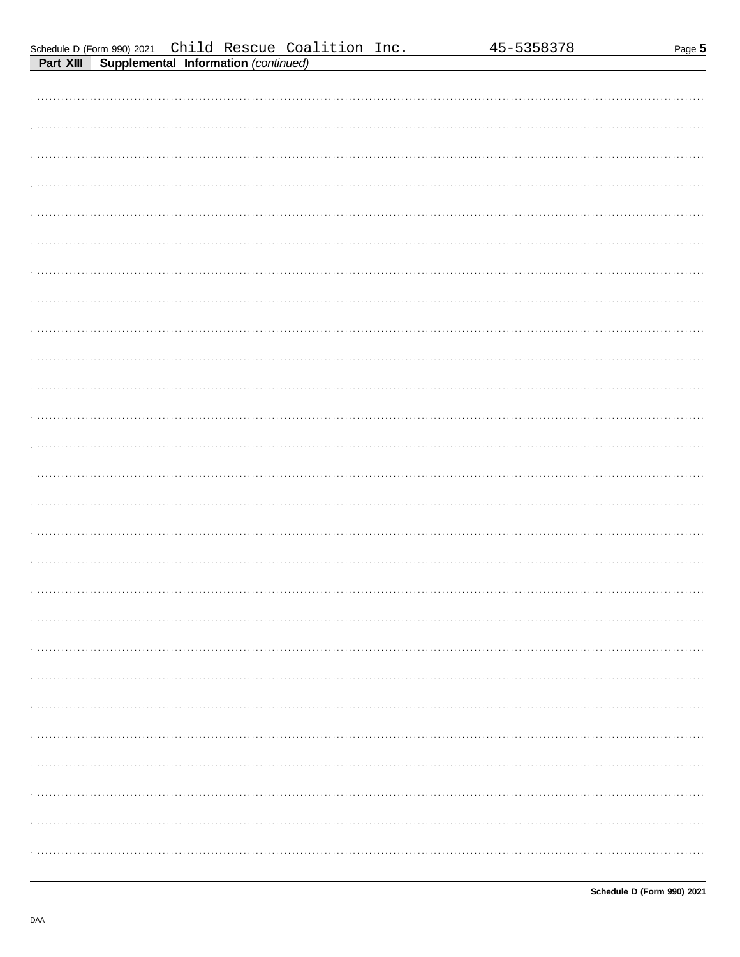Page 5

| <b>FAIL AIII</b><br>supplemental implimation (commuted) |
|---------------------------------------------------------|
|                                                         |
|                                                         |
|                                                         |
|                                                         |
|                                                         |
|                                                         |
|                                                         |
|                                                         |
|                                                         |
|                                                         |
|                                                         |
|                                                         |
|                                                         |
|                                                         |
|                                                         |
|                                                         |
|                                                         |
|                                                         |
|                                                         |
|                                                         |
|                                                         |
|                                                         |
|                                                         |
|                                                         |
|                                                         |
|                                                         |
|                                                         |
|                                                         |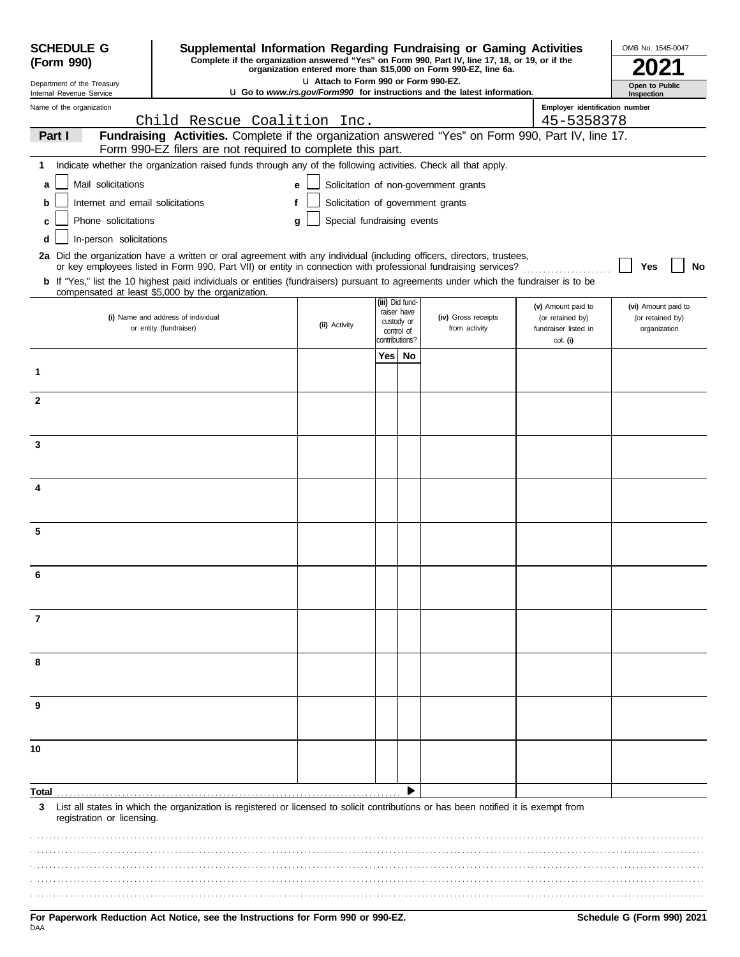| <b>SCHEDULE G</b>                                      | Supplemental Information Regarding Fundraising or Gaming Activities                                                                                                                                                                      |                                        | OMB No. 1545-0047            |                           |                                                                                 |                                  |                              |
|--------------------------------------------------------|------------------------------------------------------------------------------------------------------------------------------------------------------------------------------------------------------------------------------------------|----------------------------------------|------------------------------|---------------------------|---------------------------------------------------------------------------------|----------------------------------|------------------------------|
| (Form 990)                                             | Complete if the organization answered "Yes" on Form 990, Part IV, line 17, 18, or 19, or if the                                                                                                                                          |                                        |                              |                           | organization entered more than \$15,000 on Form 990-EZ, line 6a.                |                                  |                              |
| Department of the Treasury<br>Internal Revenue Service |                                                                                                                                                                                                                                          | LI Attach to Form 990 or Form 990-EZ.  |                              |                           | <b>u</b> Go to www.irs.gov/Form990 for instructions and the latest information. |                                  | Open to Public<br>Inspection |
| Name of the organization                               |                                                                                                                                                                                                                                          |                                        |                              |                           |                                                                                 | Employer identification number   |                              |
|                                                        | Child Rescue Coalition Inc.                                                                                                                                                                                                              |                                        |                              |                           |                                                                                 | 45-5358378                       |                              |
| Part I                                                 | Fundraising Activities. Complete if the organization answered "Yes" on Form 990, Part IV, line 17.<br>Form 990-EZ filers are not required to complete this part.                                                                         |                                        |                              |                           |                                                                                 |                                  |                              |
| 1                                                      | Indicate whether the organization raised funds through any of the following activities. Check all that apply.                                                                                                                            |                                        |                              |                           |                                                                                 |                                  |                              |
| Mail solicitations<br>a                                |                                                                                                                                                                                                                                          | e                                      |                              |                           | Solicitation of non-government grants                                           |                                  |                              |
| Internet and email solicitations<br>b                  |                                                                                                                                                                                                                                          | Solicitation of government grants<br>f |                              |                           |                                                                                 |                                  |                              |
| Phone solicitations<br>c                               |                                                                                                                                                                                                                                          | Special fundraising events<br>g        |                              |                           |                                                                                 |                                  |                              |
| In-person solicitations<br>d                           |                                                                                                                                                                                                                                          |                                        |                              |                           |                                                                                 |                                  |                              |
|                                                        | 2a Did the organization have a written or oral agreement with any individual (including officers, directors, trustees,<br>or key employees listed in Form 990, Part VII) or entity in connection with professional fundraising services? |                                        |                              |                           |                                                                                 |                                  | No<br>Yes                    |
|                                                        | b If "Yes," list the 10 highest paid individuals or entities (fundraisers) pursuant to agreements under which the fundraiser is to be                                                                                                    |                                        |                              |                           |                                                                                 |                                  |                              |
|                                                        | compensated at least \$5,000 by the organization.                                                                                                                                                                                        |                                        |                              | (iii) Did fund-           |                                                                                 | (v) Amount paid to               | (vi) Amount paid to          |
|                                                        | (i) Name and address of individual                                                                                                                                                                                                       | (ii) Activity                          |                              | raiser have<br>custody or | (iv) Gross receipts                                                             | (or retained by)                 | (or retained by)             |
|                                                        | or entity (fundraiser)                                                                                                                                                                                                                   |                                        | control of<br>contributions? |                           | from activity                                                                   | fundraiser listed in<br>col. (i) | organization                 |
|                                                        |                                                                                                                                                                                                                                          |                                        | Yes                          | No                        |                                                                                 |                                  |                              |
| 1                                                      |                                                                                                                                                                                                                                          |                                        |                              |                           |                                                                                 |                                  |                              |
| 2                                                      |                                                                                                                                                                                                                                          |                                        |                              |                           |                                                                                 |                                  |                              |
|                                                        |                                                                                                                                                                                                                                          |                                        |                              |                           |                                                                                 |                                  |                              |
| 3                                                      |                                                                                                                                                                                                                                          |                                        |                              |                           |                                                                                 |                                  |                              |
|                                                        |                                                                                                                                                                                                                                          |                                        |                              |                           |                                                                                 |                                  |                              |
|                                                        |                                                                                                                                                                                                                                          |                                        |                              |                           |                                                                                 |                                  |                              |
| 4                                                      |                                                                                                                                                                                                                                          |                                        |                              |                           |                                                                                 |                                  |                              |
|                                                        |                                                                                                                                                                                                                                          |                                        |                              |                           |                                                                                 |                                  |                              |
| 5                                                      |                                                                                                                                                                                                                                          |                                        |                              |                           |                                                                                 |                                  |                              |
|                                                        |                                                                                                                                                                                                                                          |                                        |                              |                           |                                                                                 |                                  |                              |
| 6                                                      |                                                                                                                                                                                                                                          |                                        |                              |                           |                                                                                 |                                  |                              |
|                                                        |                                                                                                                                                                                                                                          |                                        |                              |                           |                                                                                 |                                  |                              |
| 7                                                      |                                                                                                                                                                                                                                          |                                        |                              |                           |                                                                                 |                                  |                              |
|                                                        |                                                                                                                                                                                                                                          |                                        |                              |                           |                                                                                 |                                  |                              |
|                                                        |                                                                                                                                                                                                                                          |                                        |                              |                           |                                                                                 |                                  |                              |
| 8                                                      |                                                                                                                                                                                                                                          |                                        |                              |                           |                                                                                 |                                  |                              |
|                                                        |                                                                                                                                                                                                                                          |                                        |                              |                           |                                                                                 |                                  |                              |
| 9                                                      |                                                                                                                                                                                                                                          |                                        |                              |                           |                                                                                 |                                  |                              |
|                                                        |                                                                                                                                                                                                                                          |                                        |                              |                           |                                                                                 |                                  |                              |
| 10                                                     |                                                                                                                                                                                                                                          |                                        |                              |                           |                                                                                 |                                  |                              |
|                                                        |                                                                                                                                                                                                                                          |                                        |                              |                           |                                                                                 |                                  |                              |
| Total                                                  |                                                                                                                                                                                                                                          |                                        |                              |                           |                                                                                 |                                  |                              |
| 3<br>registration or licensing.                        | List all states in which the organization is registered or licensed to solicit contributions or has been notified it is exempt from                                                                                                      |                                        |                              |                           |                                                                                 |                                  |                              |
|                                                        |                                                                                                                                                                                                                                          |                                        |                              |                           |                                                                                 |                                  |                              |
|                                                        |                                                                                                                                                                                                                                          |                                        |                              |                           |                                                                                 |                                  |                              |
|                                                        |                                                                                                                                                                                                                                          |                                        |                              |                           |                                                                                 |                                  |                              |
|                                                        |                                                                                                                                                                                                                                          |                                        |                              |                           |                                                                                 |                                  |                              |
|                                                        |                                                                                                                                                                                                                                          |                                        |                              |                           |                                                                                 |                                  |                              |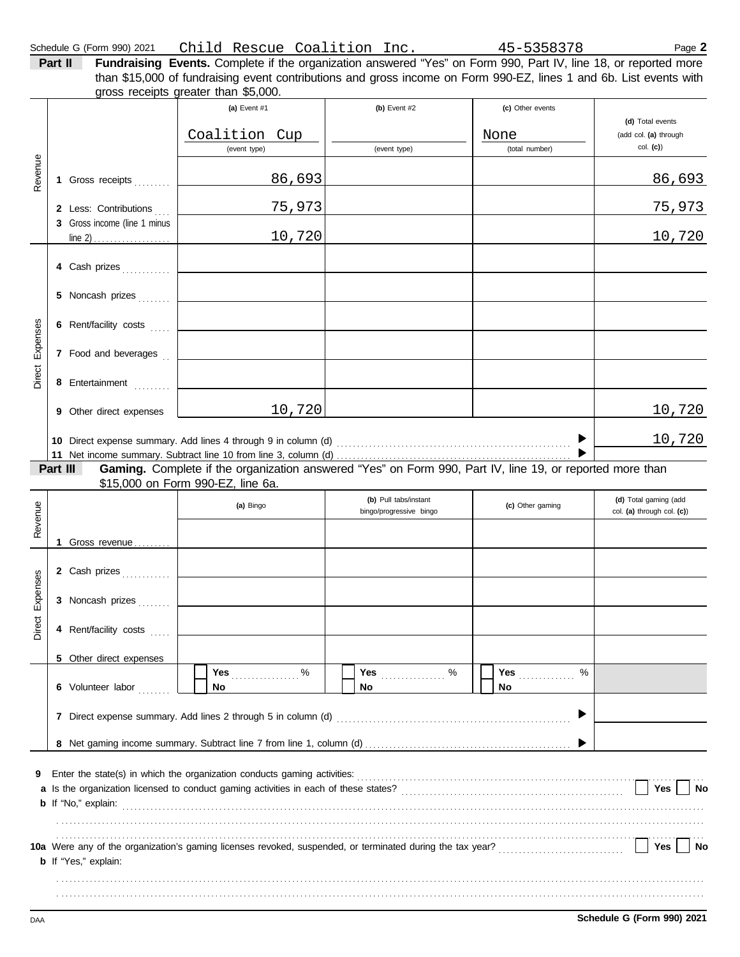|                    | Schedule G (Form 990) 2021                            | Child Rescue Coalition Inc. 45-5358378                                                                                                                                                                                                                                        |                                                  |                                            | Page 2                                                |
|--------------------|-------------------------------------------------------|-------------------------------------------------------------------------------------------------------------------------------------------------------------------------------------------------------------------------------------------------------------------------------|--------------------------------------------------|--------------------------------------------|-------------------------------------------------------|
|                    | Part II                                               | Fundraising Events. Complete if the organization answered "Yes" on Form 990, Part IV, line 18, or reported more<br>than \$15,000 of fundraising event contributions and gross income on Form 990-EZ, lines 1 and 6b. List events with<br>gross receipts greater than \$5,000. |                                                  |                                            |                                                       |
|                    |                                                       | (a) Event #1<br>Coalition Cup<br>(event type)                                                                                                                                                                                                                                 | (b) Event $#2$<br>(event type)                   | (c) Other events<br>None<br>(total number) | (d) Total events<br>(add col. (a) through<br>col. (c) |
| Revenue            | 1 Gross receipts                                      | 86,693                                                                                                                                                                                                                                                                        |                                                  |                                            | 86,693                                                |
|                    | 2 Less: Contributions<br>3 Gross income (line 1 minus | 75,973                                                                                                                                                                                                                                                                        |                                                  |                                            | 75,973                                                |
|                    | line 2) $\ldots$                                      | 10,720                                                                                                                                                                                                                                                                        |                                                  |                                            | 10,720                                                |
|                    | 4 Cash prizes                                         |                                                                                                                                                                                                                                                                               |                                                  |                                            |                                                       |
| Expenses<br>Direct | 5 Noncash prizes                                      |                                                                                                                                                                                                                                                                               |                                                  |                                            |                                                       |
|                    | 6 Rent/facility costs                                 |                                                                                                                                                                                                                                                                               |                                                  |                                            |                                                       |
|                    | 7 Food and beverages                                  |                                                                                                                                                                                                                                                                               |                                                  |                                            |                                                       |
|                    | 8 Entertainment<br>9 Other direct expenses            | 10,720                                                                                                                                                                                                                                                                        |                                                  |                                            | 10,720                                                |
|                    |                                                       |                                                                                                                                                                                                                                                                               |                                                  |                                            | 10,720                                                |
|                    | Part III                                              | Gaming. Complete if the organization answered "Yes" on Form 990, Part IV, line 19, or reported more than                                                                                                                                                                      |                                                  |                                            |                                                       |
| Revenue            |                                                       | \$15,000 on Form 990-EZ, line 6a.                                                                                                                                                                                                                                             |                                                  |                                            |                                                       |
|                    |                                                       | (a) Bingo                                                                                                                                                                                                                                                                     | (b) Pull tabs/instant<br>bingo/progressive bingo | (c) Other gaming                           | (d) Total gaming (add<br>col. (a) through col. (c))   |
|                    | 1 Gross revenue                                       |                                                                                                                                                                                                                                                                               |                                                  |                                            |                                                       |
|                    | 2 Cash prizes                                         |                                                                                                                                                                                                                                                                               |                                                  |                                            |                                                       |
|                    | 3 Noncash prizes                                      |                                                                                                                                                                                                                                                                               |                                                  |                                            |                                                       |
| Direct Expenses    | 4 Rent/facility costs                                 |                                                                                                                                                                                                                                                                               |                                                  |                                            |                                                       |
|                    | 5 Other direct expenses                               |                                                                                                                                                                                                                                                                               |                                                  |                                            |                                                       |
|                    | 6 Volunteer labor                                     | No                                                                                                                                                                                                                                                                            | No.                                              | <b>Yes</b><br>%<br>No                      |                                                       |
|                    |                                                       |                                                                                                                                                                                                                                                                               |                                                  |                                            |                                                       |
|                    |                                                       |                                                                                                                                                                                                                                                                               |                                                  |                                            |                                                       |
| 9                  |                                                       |                                                                                                                                                                                                                                                                               |                                                  |                                            |                                                       |
|                    |                                                       |                                                                                                                                                                                                                                                                               |                                                  |                                            | Yes<br>No                                             |
|                    |                                                       |                                                                                                                                                                                                                                                                               |                                                  |                                            |                                                       |

. . . . . . . . . . . . . . . . . . . . . . . . . . . . . . . . . . . . . . . . . . . . . . . . . . . . . . . . . . . . . . . . . . . . . . . . . . . . . . . . . . . . . . . . . . . . . . . . . . . . . . . . . . . . . . . . . . . . . . . . . . . . . . . . . . . . . . . . . . . . . . . . . . . . . . . . . . . . . . . . . . . . . . . . . . . . . . . . . . . . . . . . . . . . . . . . . . . . . . . . . . . . . . . . . . . . . . . . . . . . . . . . . . . . . . . . . . . . . . . . . . . . . . . . . . . . . . . . . . . . . . . . . . . . . . . . . . . . . . . . . . . . . . . . . . . . . . . . . . . . . . . . . . . . . . . . . . . . . . . .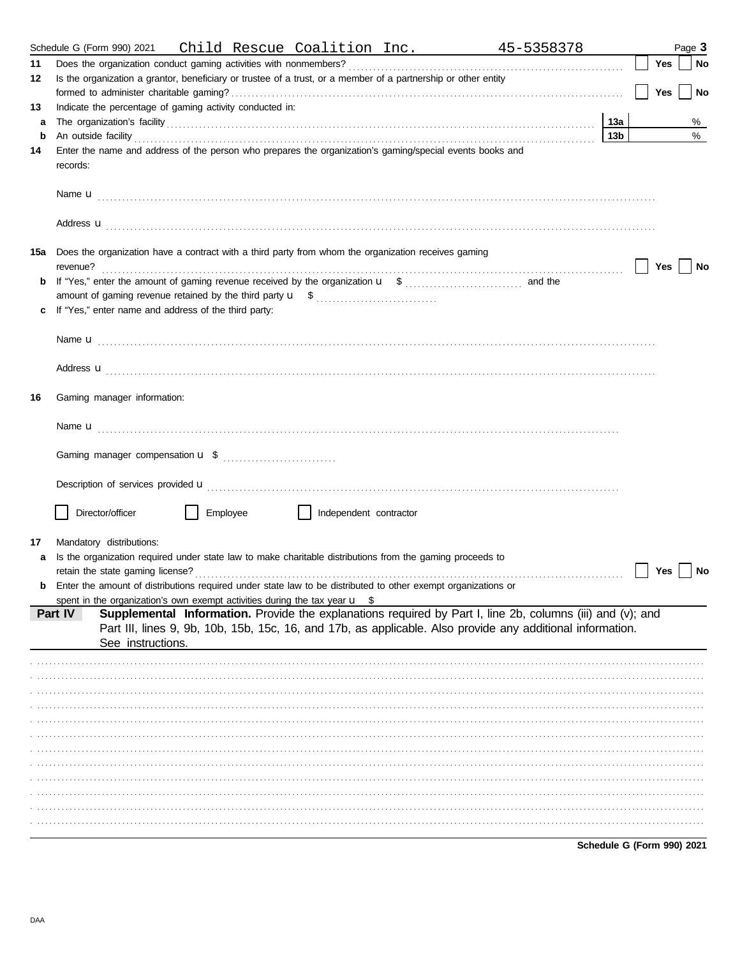|        | Schedule G (Form 990) 2021 Child Rescue Coalition Inc. 45-5358378                                                                                                                                                                      |                        |     | Page 3 |           |
|--------|----------------------------------------------------------------------------------------------------------------------------------------------------------------------------------------------------------------------------------------|------------------------|-----|--------|-----------|
| 11     |                                                                                                                                                                                                                                        |                        | Yes |        | No        |
| 12     | Is the organization a grantor, beneficiary or trustee of a trust, or a member of a partnership or other entity                                                                                                                         |                        |     |        |           |
|        |                                                                                                                                                                                                                                        |                        | Yes |        | <b>No</b> |
| 13     | Indicate the percentage of gaming activity conducted in:                                                                                                                                                                               |                        |     |        |           |
| a<br>b |                                                                                                                                                                                                                                        | 13a<br>13 <sub>b</sub> |     |        | %<br>%    |
| 14     | An outside facility <i>contained a contained a contained a contained a contained a contained a contained a contained a</i><br>Enter the name and address of the person who prepares the organization's gaming/special events books and |                        |     |        |           |
|        | records:                                                                                                                                                                                                                               |                        |     |        |           |
|        |                                                                                                                                                                                                                                        |                        |     |        |           |
|        | Address <b>u</b>                                                                                                                                                                                                                       |                        |     |        |           |
| 15a    | Does the organization have a contract with a third party from whom the organization receives gaming<br>revenue?                                                                                                                        |                        | Yes |        | No        |
| b      |                                                                                                                                                                                                                                        |                        |     |        |           |
|        |                                                                                                                                                                                                                                        |                        |     |        |           |
|        | If "Yes," enter name and address of the third party:                                                                                                                                                                                   |                        |     |        |           |
|        |                                                                                                                                                                                                                                        |                        |     |        |           |
|        | Address <b>u</b>                                                                                                                                                                                                                       |                        |     |        |           |
| 16     | Gaming manager information:                                                                                                                                                                                                            |                        |     |        |           |
|        |                                                                                                                                                                                                                                        |                        |     |        |           |
|        |                                                                                                                                                                                                                                        |                        |     |        |           |
|        | Description of services provided <b>u</b> electron control and the service of the service of the services provided <b>u</b>                                                                                                            |                        |     |        |           |
|        | Director/officer<br>Employee<br>    Independent contractor                                                                                                                                                                             |                        |     |        |           |
|        |                                                                                                                                                                                                                                        |                        |     |        |           |
| 17     | Mandatory distributions:<br>Is the organization required under state law to make charitable distributions from the gaming proceeds to                                                                                                  |                        |     |        |           |
|        |                                                                                                                                                                                                                                        |                        | Yes |        | No        |
|        | <b>b</b> Enter the amount of distributions required under state law to be distributed to other exempt organizations or                                                                                                                 |                        |     |        |           |
|        | spent in the organization's own exempt activities during the tax year $\mathbf{u}$ \$                                                                                                                                                  |                        |     |        |           |
|        | Supplemental Information. Provide the explanations required by Part I, line 2b, columns (iii) and (v); and<br>Part IV                                                                                                                  |                        |     |        |           |
|        | Part III, lines 9, 9b, 10b, 15b, 15c, 16, and 17b, as applicable. Also provide any additional information.                                                                                                                             |                        |     |        |           |
|        | See instructions.                                                                                                                                                                                                                      |                        |     |        |           |
|        |                                                                                                                                                                                                                                        |                        |     |        |           |
|        |                                                                                                                                                                                                                                        |                        |     |        |           |
|        |                                                                                                                                                                                                                                        |                        |     |        |           |
|        |                                                                                                                                                                                                                                        |                        |     |        |           |
|        |                                                                                                                                                                                                                                        |                        |     |        |           |
|        |                                                                                                                                                                                                                                        |                        |     |        |           |
|        |                                                                                                                                                                                                                                        |                        |     |        |           |
|        |                                                                                                                                                                                                                                        |                        |     |        |           |
|        |                                                                                                                                                                                                                                        |                        |     |        |           |
|        |                                                                                                                                                                                                                                        |                        |     |        |           |
|        |                                                                                                                                                                                                                                        |                        |     |        |           |
|        |                                                                                                                                                                                                                                        |                        |     |        |           |

Schedule G (Form 990) 2021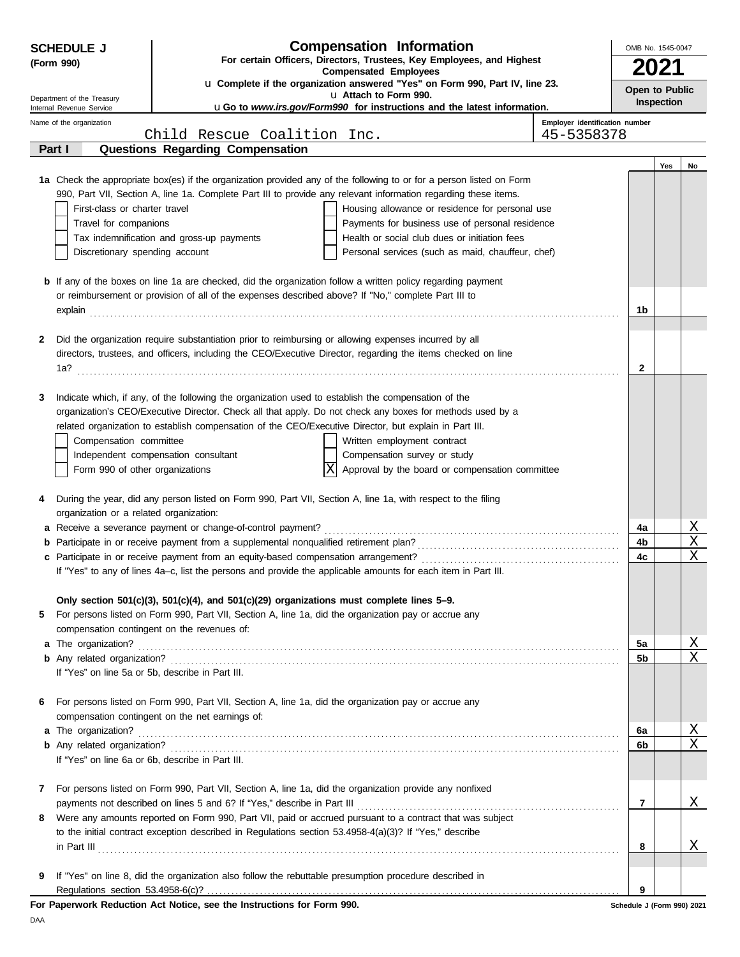| <b>Compensation Information</b><br><b>SCHEDULE J</b> |                                                        |                                                                                                         |                                                                                                                                                                                                                                      | OMB No. 1545-0047              |                            |            |    |
|------------------------------------------------------|--------------------------------------------------------|---------------------------------------------------------------------------------------------------------|--------------------------------------------------------------------------------------------------------------------------------------------------------------------------------------------------------------------------------------|--------------------------------|----------------------------|------------|----|
|                                                      | (Form 990)                                             |                                                                                                         | For certain Officers, Directors, Trustees, Key Employees, and Highest<br><b>Compensated Employees</b>                                                                                                                                |                                |                            |            |    |
|                                                      |                                                        |                                                                                                         | u Complete if the organization answered "Yes" on Form 990, Part IV, line 23.                                                                                                                                                         |                                | Open to Public             |            |    |
|                                                      | Department of the Treasury<br>Internal Revenue Service |                                                                                                         | u Attach to Form 990.<br><b>uGo to www.irs.gov/Form990 for instructions and the latest information.</b>                                                                                                                              |                                |                            | Inspection |    |
|                                                      | Name of the organization                               |                                                                                                         |                                                                                                                                                                                                                                      | Employer identification number |                            |            |    |
|                                                      |                                                        | Child Rescue Coalition Inc.                                                                             |                                                                                                                                                                                                                                      | 45-5358378                     |                            |            |    |
|                                                      | Part I                                                 | <b>Questions Regarding Compensation</b>                                                                 |                                                                                                                                                                                                                                      |                                |                            | Yes        |    |
|                                                      |                                                        |                                                                                                         | 1a Check the appropriate box(es) if the organization provided any of the following to or for a person listed on Form                                                                                                                 |                                |                            |            | No |
|                                                      |                                                        |                                                                                                         | 990, Part VII, Section A, line 1a. Complete Part III to provide any relevant information regarding these items.                                                                                                                      |                                |                            |            |    |
|                                                      | First-class or charter travel                          |                                                                                                         | Housing allowance or residence for personal use                                                                                                                                                                                      |                                |                            |            |    |
|                                                      | Travel for companions                                  |                                                                                                         | Payments for business use of personal residence                                                                                                                                                                                      |                                |                            |            |    |
|                                                      |                                                        | Tax indemnification and gross-up payments                                                               | Health or social club dues or initiation fees                                                                                                                                                                                        |                                |                            |            |    |
|                                                      | Discretionary spending account                         |                                                                                                         | Personal services (such as maid, chauffeur, chef)                                                                                                                                                                                    |                                |                            |            |    |
|                                                      |                                                        |                                                                                                         | <b>b</b> If any of the boxes on line 1a are checked, did the organization follow a written policy regarding payment                                                                                                                  |                                |                            |            |    |
|                                                      |                                                        | or reimbursement or provision of all of the expenses described above? If "No," complete Part III to     |                                                                                                                                                                                                                                      |                                |                            |            |    |
|                                                      |                                                        |                                                                                                         | explain <b>contract and the contract of the contract of the contract of the contract of the contract of the contract of the contract of the contract of the contract of the contract of the contract of the contract of the cont</b> |                                | 1b                         |            |    |
|                                                      |                                                        |                                                                                                         |                                                                                                                                                                                                                                      |                                |                            |            |    |
| 2                                                    |                                                        | Did the organization require substantiation prior to reimbursing or allowing expenses incurred by all   |                                                                                                                                                                                                                                      |                                |                            |            |    |
|                                                      | 1a?                                                    |                                                                                                         | directors, trustees, and officers, including the CEO/Executive Director, regarding the items checked on line                                                                                                                         |                                | $\mathbf{2}$               |            |    |
|                                                      |                                                        |                                                                                                         |                                                                                                                                                                                                                                      |                                |                            |            |    |
| 3                                                    |                                                        | Indicate which, if any, of the following the organization used to establish the compensation of the     |                                                                                                                                                                                                                                      |                                |                            |            |    |
|                                                      |                                                        |                                                                                                         | organization's CEO/Executive Director. Check all that apply. Do not check any boxes for methods used by a                                                                                                                            |                                |                            |            |    |
|                                                      |                                                        | related organization to establish compensation of the CEO/Executive Director, but explain in Part III.  |                                                                                                                                                                                                                                      |                                |                            |            |    |
|                                                      | Compensation committee                                 |                                                                                                         | Written employment contract                                                                                                                                                                                                          |                                |                            |            |    |
|                                                      |                                                        | Independent compensation consultant                                                                     | Compensation survey or study                                                                                                                                                                                                         |                                |                            |            |    |
|                                                      | Form 990 of other organizations                        |                                                                                                         | X<br>Approval by the board or compensation committee                                                                                                                                                                                 |                                |                            |            |    |
| 4                                                    |                                                        |                                                                                                         | During the year, did any person listed on Form 990, Part VII, Section A, line 1a, with respect to the filing                                                                                                                         |                                |                            |            |    |
|                                                      | organization or a related organization:                |                                                                                                         |                                                                                                                                                                                                                                      |                                |                            |            |    |
|                                                      |                                                        | a Receive a severance payment or change-of-control payment?                                             |                                                                                                                                                                                                                                      |                                | 4a                         |            | Χ  |
|                                                      |                                                        |                                                                                                         |                                                                                                                                                                                                                                      |                                | 4b                         |            | Χ  |
|                                                      |                                                        |                                                                                                         |                                                                                                                                                                                                                                      |                                | 4c                         |            | X  |
|                                                      |                                                        |                                                                                                         | If "Yes" to any of lines 4a-c, list the persons and provide the applicable amounts for each item in Part III.                                                                                                                        |                                |                            |            |    |
|                                                      |                                                        | Only section $501(c)(3)$ , $501(c)(4)$ , and $501(c)(29)$ organizations must complete lines $5-9$ .     |                                                                                                                                                                                                                                      |                                |                            |            |    |
| 5                                                    |                                                        | For persons listed on Form 990, Part VII, Section A, line 1a, did the organization pay or accrue any    |                                                                                                                                                                                                                                      |                                |                            |            |    |
|                                                      |                                                        | compensation contingent on the revenues of:                                                             |                                                                                                                                                                                                                                      |                                |                            |            |    |
|                                                      | a The organization?                                    |                                                                                                         |                                                                                                                                                                                                                                      |                                | 5a                         |            | Χ  |
|                                                      |                                                        |                                                                                                         |                                                                                                                                                                                                                                      |                                | 5b                         |            | X  |
|                                                      | If "Yes" on line 5a or 5b, describe in Part III.       |                                                                                                         |                                                                                                                                                                                                                                      |                                |                            |            |    |
| 6                                                    |                                                        | For persons listed on Form 990, Part VII, Section A, line 1a, did the organization pay or accrue any    |                                                                                                                                                                                                                                      |                                |                            |            |    |
|                                                      |                                                        | compensation contingent on the net earnings of:                                                         |                                                                                                                                                                                                                                      |                                |                            |            |    |
|                                                      | a The organization?                                    |                                                                                                         |                                                                                                                                                                                                                                      |                                | 6a                         |            | Χ  |
|                                                      |                                                        |                                                                                                         |                                                                                                                                                                                                                                      |                                | 6b                         |            | X  |
|                                                      | If "Yes" on line 6a or 6b, describe in Part III.       |                                                                                                         |                                                                                                                                                                                                                                      |                                |                            |            |    |
| 7                                                    |                                                        | For persons listed on Form 990, Part VII, Section A, line 1a, did the organization provide any nonfixed |                                                                                                                                                                                                                                      |                                |                            |            |    |
|                                                      |                                                        |                                                                                                         |                                                                                                                                                                                                                                      |                                | 7                          |            | Χ  |
| 8                                                    |                                                        |                                                                                                         | Were any amounts reported on Form 990, Part VII, paid or accrued pursuant to a contract that was subject                                                                                                                             |                                |                            |            |    |
|                                                      |                                                        | to the initial contract exception described in Regulations section 53.4958-4(a)(3)? If "Yes," describe  |                                                                                                                                                                                                                                      |                                |                            |            |    |
|                                                      |                                                        |                                                                                                         | $\ $ n Part III $\ $                                                                                                                                                                                                                 |                                | 8                          |            | Χ  |
| 9                                                    |                                                        | If "Yes" on line 8, did the organization also follow the rebuttable presumption procedure described in  |                                                                                                                                                                                                                                      |                                |                            |            |    |
|                                                      |                                                        |                                                                                                         |                                                                                                                                                                                                                                      |                                | 9                          |            |    |
|                                                      |                                                        | For Paperwork Reduction Act Notice, see the Instructions for Form 990.                                  |                                                                                                                                                                                                                                      |                                | Schedule J (Form 990) 2021 |            |    |

DAA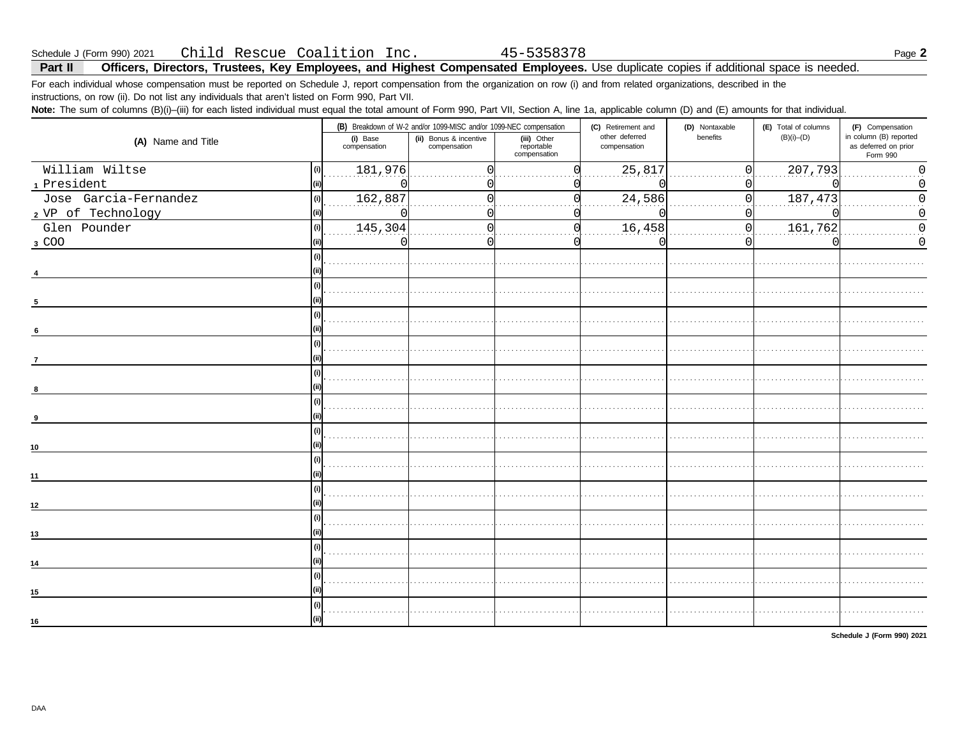| Schedule J (Form 990) 2021 |  |  | Child Rescue Coalition Inc. |  |
|----------------------------|--|--|-----------------------------|--|
|                            |  |  |                             |  |

Officers, Directors, Trustees, Key Employees, and Highest Compensated Employees. Use duplicate copies if additional space is needed. Part II

For each individual whose compensation must be reported on Schedule J, report compensation from the organization on row (i) and from related organizations, described in the instructions, on row (ii). Do not list any individuals that aren't listed on Form 990, Part VII.

Note: The sum of columns (B)(i)-(iii) for each listed individual must equal the total amount of Form 990, Part VII, Section A, line 1a, applicable column (D) and (E) amounts for that individual.

|                              |                          | (B) Breakdown of W-2 and/or 1099-MISC and/or 1099-NEC compensation |                                           | (C) Retirement and             | (D) Nontaxable | (E) Total of columns |                                                            |
|------------------------------|--------------------------|--------------------------------------------------------------------|-------------------------------------------|--------------------------------|----------------|----------------------|------------------------------------------------------------|
| (A) Name and Title           | (i) Base<br>compensation | (ii) Bonus & incentive<br>compensation                             | (iii) Other<br>reportable<br>compensation | other deferred<br>compensation | benefits       | $(B)(i)$ – $(D)$     | in column (B) reported<br>as deferred on prior<br>Form 990 |
| William Wiltse<br>(i)        | 181,976                  |                                                                    |                                           | 25,817                         | Ωl             | 207,793              |                                                            |
| 1 President<br>(iii)         |                          |                                                                    |                                           |                                | 01             |                      |                                                            |
| Jose Garcia-Fernandez<br>(i) | 162,887                  |                                                                    |                                           | 24,586                         | 0              | 187,473              |                                                            |
| 2 VP of Technology           | $\left($                 |                                                                    |                                           |                                | n              |                      |                                                            |
| Glen Pounder<br>(i)          | 145,304                  |                                                                    |                                           | 16,458                         | $\Omega$       | 161,762              |                                                            |
| 3 COO                        | U                        |                                                                    |                                           | C                              | $\Omega$       |                      |                                                            |
|                              |                          |                                                                    |                                           |                                |                |                      |                                                            |
|                              |                          |                                                                    |                                           |                                |                |                      |                                                            |
| (i)                          |                          |                                                                    |                                           |                                |                |                      |                                                            |
| 5                            |                          |                                                                    |                                           |                                |                |                      |                                                            |
| (i)                          |                          |                                                                    |                                           |                                |                |                      |                                                            |
| 6                            |                          |                                                                    |                                           |                                |                |                      |                                                            |
| (i)                          |                          |                                                                    |                                           |                                |                |                      |                                                            |
| $\overline{7}$               |                          |                                                                    |                                           |                                |                |                      |                                                            |
|                              |                          |                                                                    |                                           |                                |                |                      |                                                            |
|                              |                          |                                                                    |                                           |                                |                |                      |                                                            |
| (i)                          |                          |                                                                    |                                           |                                |                |                      |                                                            |
|                              |                          |                                                                    |                                           |                                |                |                      |                                                            |
| (i)                          |                          |                                                                    |                                           |                                |                |                      |                                                            |
| 10                           |                          |                                                                    |                                           |                                |                |                      |                                                            |
| (i)                          |                          |                                                                    |                                           |                                |                |                      |                                                            |
| 11                           |                          |                                                                    |                                           |                                |                |                      |                                                            |
| (i)                          |                          |                                                                    |                                           |                                |                |                      |                                                            |
| 12                           |                          |                                                                    |                                           |                                |                |                      |                                                            |
| (i)                          |                          |                                                                    |                                           |                                |                |                      |                                                            |
| 13                           |                          |                                                                    |                                           |                                |                |                      |                                                            |
| (i)                          |                          |                                                                    |                                           |                                |                |                      |                                                            |
| 14                           |                          |                                                                    |                                           |                                |                |                      |                                                            |
| (i)                          |                          |                                                                    |                                           |                                |                |                      |                                                            |
| 15                           |                          |                                                                    |                                           |                                |                |                      |                                                            |
| (i)                          |                          |                                                                    |                                           |                                |                |                      |                                                            |
| 16                           |                          |                                                                    |                                           |                                |                |                      |                                                            |
|                              |                          |                                                                    |                                           |                                |                |                      |                                                            |

Schedule J (Form 990) 2021

45-5358378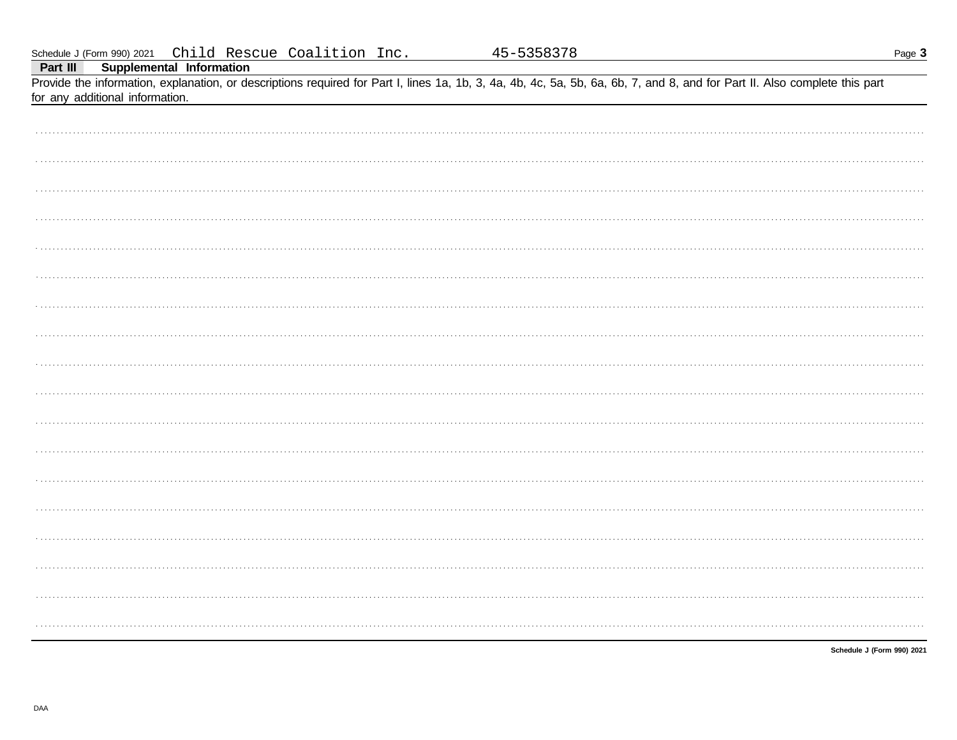|          |                                 |                          | Schedule J (Form 990) 2021 Child Rescue Coalition Inc. | 45-5358378                                                                                                                                                                 |  | Page 3 |
|----------|---------------------------------|--------------------------|--------------------------------------------------------|----------------------------------------------------------------------------------------------------------------------------------------------------------------------------|--|--------|
| Part III |                                 | Supplemental Information |                                                        |                                                                                                                                                                            |  |        |
|          |                                 |                          |                                                        | Provide the information, explanation, or descriptions required for Part I, lines 1a, 1b, 3, 4a, 4b, 4c, 5a, 5b, 6a, 6b, 7, and 8, and for Part II. Also complete this part |  |        |
|          | for any additional information. |                          |                                                        |                                                                                                                                                                            |  |        |
|          |                                 |                          |                                                        |                                                                                                                                                                            |  |        |
|          |                                 |                          |                                                        |                                                                                                                                                                            |  |        |
|          |                                 |                          |                                                        |                                                                                                                                                                            |  |        |
|          |                                 |                          |                                                        |                                                                                                                                                                            |  |        |
|          |                                 |                          |                                                        |                                                                                                                                                                            |  |        |
|          |                                 |                          |                                                        |                                                                                                                                                                            |  |        |
|          |                                 |                          |                                                        |                                                                                                                                                                            |  |        |
|          |                                 |                          |                                                        |                                                                                                                                                                            |  |        |
|          |                                 |                          |                                                        |                                                                                                                                                                            |  |        |
|          |                                 |                          |                                                        |                                                                                                                                                                            |  |        |
|          |                                 |                          |                                                        |                                                                                                                                                                            |  |        |
|          |                                 |                          |                                                        |                                                                                                                                                                            |  |        |
|          |                                 |                          |                                                        |                                                                                                                                                                            |  |        |
|          |                                 |                          |                                                        |                                                                                                                                                                            |  |        |
|          |                                 |                          |                                                        |                                                                                                                                                                            |  |        |
|          |                                 |                          |                                                        |                                                                                                                                                                            |  |        |
|          |                                 |                          |                                                        |                                                                                                                                                                            |  |        |
|          |                                 |                          |                                                        |                                                                                                                                                                            |  |        |
|          |                                 |                          |                                                        |                                                                                                                                                                            |  |        |
|          |                                 |                          |                                                        |                                                                                                                                                                            |  |        |
|          |                                 |                          |                                                        |                                                                                                                                                                            |  |        |
|          |                                 |                          |                                                        |                                                                                                                                                                            |  |        |
|          |                                 |                          |                                                        |                                                                                                                                                                            |  |        |
|          |                                 |                          |                                                        |                                                                                                                                                                            |  |        |
|          |                                 |                          |                                                        |                                                                                                                                                                            |  |        |
|          |                                 |                          |                                                        |                                                                                                                                                                            |  |        |
|          |                                 |                          |                                                        |                                                                                                                                                                            |  |        |
|          |                                 |                          |                                                        |                                                                                                                                                                            |  |        |
|          |                                 |                          |                                                        |                                                                                                                                                                            |  |        |
|          |                                 |                          |                                                        |                                                                                                                                                                            |  |        |
|          |                                 |                          |                                                        |                                                                                                                                                                            |  |        |
|          |                                 |                          |                                                        |                                                                                                                                                                            |  |        |

Schedule J (Form 990) 2021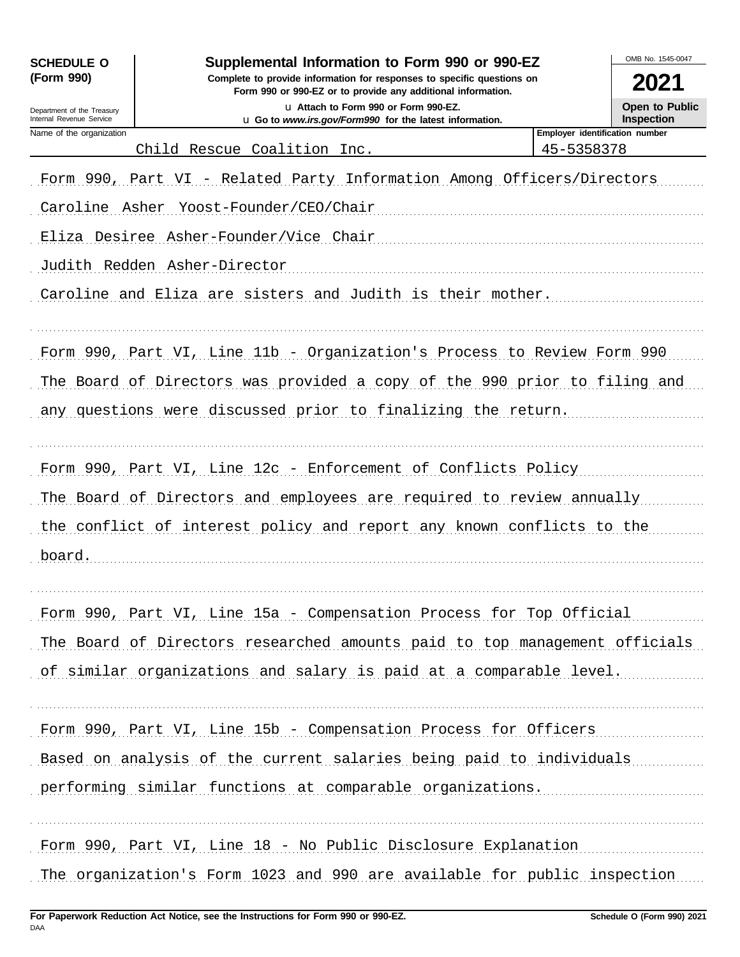| <b>SCHEDULE O</b>                                      | Supplemental Information to Form 990 or 990-EZ                                                                                         |                                | OMB No. 1545-0047                          |
|--------------------------------------------------------|----------------------------------------------------------------------------------------------------------------------------------------|--------------------------------|--------------------------------------------|
| (Form 990)                                             | Complete to provide information for responses to specific questions on<br>Form 990 or 990-EZ or to provide any additional information. |                                | 2021                                       |
| Department of the Treasury<br>Internal Revenue Service | La Attach to Form 990 or Form 990-EZ.<br>u Go to www.irs.gov/Form990 for the latest information.                                       |                                | <b>Open to Public</b><br><b>Inspection</b> |
| Name of the organization                               |                                                                                                                                        | Employer identification number |                                            |
|                                                        | Child Rescue Coalition Inc.                                                                                                            | 45-5358378                     |                                            |
|                                                        | Form 990, Part VI - Related Party Information Among Officers/Directors                                                                 |                                |                                            |
|                                                        | Caroline Asher Yoost-Founder/CEO/Chair                                                                                                 |                                |                                            |
|                                                        | Eliza Desiree Asher-Founder/Vice Chair                                                                                                 |                                |                                            |
|                                                        | Judith Redden Asher-Director                                                                                                           |                                |                                            |
|                                                        | Caroline and Eliza are sisters and Judith is their mother.                                                                             |                                |                                            |
|                                                        | Form 990, Part VI, Line 11b - Organization's Process to Review Form 990                                                                |                                |                                            |
|                                                        | The Board of Directors was provided a copy of the 990 prior to filing and                                                              |                                |                                            |
|                                                        | any questions were discussed prior to finalizing the return.                                                                           |                                |                                            |
|                                                        | Form 990, Part VI, Line 12c - Enforcement of Conflicts Policy                                                                          |                                |                                            |
|                                                        | The Board of Directors and employees are required to review annually                                                                   |                                |                                            |
|                                                        | the conflict of interest policy and report any known conflicts to the                                                                  |                                |                                            |
| board.                                                 |                                                                                                                                        |                                |                                            |
|                                                        |                                                                                                                                        |                                |                                            |
|                                                        | Form 990, Part VI, Line 15a - Compensation Process for Top Official                                                                    |                                |                                            |
|                                                        | The Board of Directors researched amounts paid to top management officials                                                             |                                |                                            |
|                                                        | of similar organizations and salary is paid at a comparable level.                                                                     |                                |                                            |
|                                                        | Form 990, Part VI, Line 15b - Compensation Process for Officers                                                                        |                                |                                            |
|                                                        | Based on analysis of the current salaries being paid to individuals                                                                    |                                |                                            |
|                                                        | performing similar functions at comparable organizations.                                                                              |                                |                                            |
|                                                        | Form 990, Part VI, Line 18 - No Public Disclosure Explanation                                                                          |                                |                                            |
|                                                        | The organization's Form 1023 and 990 are available for public inspection                                                               |                                |                                            |